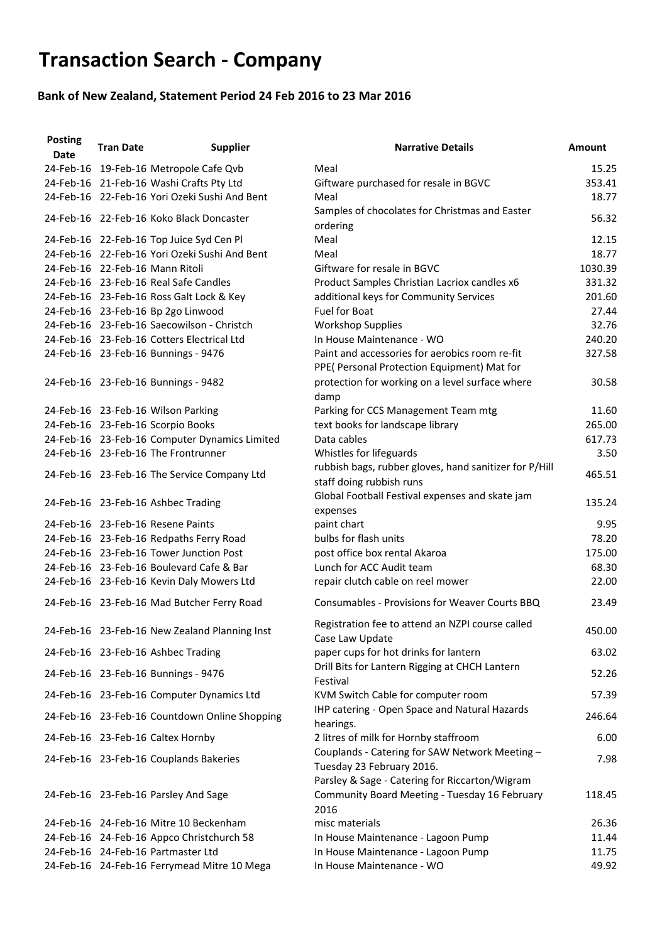## **Transaction Search - Company**

## **Bank of New Zealand, Statement Period 24 Feb 2016 to 23 Mar 2016**

| <b>Posting</b><br><b>Date</b> | <b>Tran Date</b> | <b>Supplier</b>                               | <b>Narrative Details</b>                                                                                                      | <b>Amount</b> |
|-------------------------------|------------------|-----------------------------------------------|-------------------------------------------------------------------------------------------------------------------------------|---------------|
|                               |                  | 24-Feb-16 19-Feb-16 Metropole Cafe Qvb        | Meal                                                                                                                          | 15.25         |
|                               |                  | 24-Feb-16 21-Feb-16 Washi Crafts Pty Ltd      | Giftware purchased for resale in BGVC                                                                                         | 353.41        |
|                               |                  | 24-Feb-16 22-Feb-16 Yori Ozeki Sushi And Bent | Meal                                                                                                                          | 18.77         |
|                               |                  | 24-Feb-16 22-Feb-16 Koko Black Doncaster      | Samples of chocolates for Christmas and Easter<br>ordering                                                                    | 56.32         |
|                               |                  | 24-Feb-16 22-Feb-16 Top Juice Syd Cen Pl      | Meal                                                                                                                          | 12.15         |
|                               |                  | 24-Feb-16 22-Feb-16 Yori Ozeki Sushi And Bent | Meal                                                                                                                          | 18.77         |
|                               |                  | 24-Feb-16 22-Feb-16 Mann Ritoli               | Giftware for resale in BGVC                                                                                                   | 1030.39       |
|                               |                  | 24-Feb-16 23-Feb-16 Real Safe Candles         | Product Samples Christian Lacriox candles x6                                                                                  | 331.32        |
|                               |                  | 24-Feb-16 23-Feb-16 Ross Galt Lock & Key      | additional keys for Community Services                                                                                        | 201.60        |
|                               |                  | 24-Feb-16 23-Feb-16 Bp 2go Linwood            | <b>Fuel for Boat</b>                                                                                                          | 27.44         |
|                               |                  | 24-Feb-16 23-Feb-16 Saecowilson - Christch    | <b>Workshop Supplies</b>                                                                                                      | 32.76         |
|                               |                  | 24-Feb-16 23-Feb-16 Cotters Electrical Ltd    | In House Maintenance - WO                                                                                                     | 240.20        |
|                               |                  | 24-Feb-16 23-Feb-16 Bunnings - 9476           | Paint and accessories for aerobics room re-fit<br>PPE( Personal Protection Equipment) Mat for                                 | 327.58        |
|                               |                  | 24-Feb-16 23-Feb-16 Bunnings - 9482           | protection for working on a level surface where<br>damp                                                                       | 30.58         |
|                               |                  | 24-Feb-16 23-Feb-16 Wilson Parking            | Parking for CCS Management Team mtg                                                                                           | 11.60         |
|                               |                  | 24-Feb-16 23-Feb-16 Scorpio Books             | text books for landscape library                                                                                              | 265.00        |
|                               |                  | 24-Feb-16 23-Feb-16 Computer Dynamics Limited | Data cables                                                                                                                   | 617.73        |
|                               |                  | 24-Feb-16 23-Feb-16 The Frontrunner           | Whistles for lifeguards                                                                                                       | 3.50          |
|                               |                  | 24-Feb-16 23-Feb-16 The Service Company Ltd   | rubbish bags, rubber gloves, hand sanitizer for P/Hill<br>staff doing rubbish runs                                            | 465.51        |
|                               |                  | 24-Feb-16 23-Feb-16 Ashbec Trading            | Global Football Festival expenses and skate jam<br>expenses                                                                   | 135.24        |
|                               |                  | 24-Feb-16 23-Feb-16 Resene Paints             | paint chart                                                                                                                   | 9.95          |
|                               |                  | 24-Feb-16 23-Feb-16 Redpaths Ferry Road       | bulbs for flash units                                                                                                         | 78.20         |
|                               |                  | 24-Feb-16 23-Feb-16 Tower Junction Post       | post office box rental Akaroa                                                                                                 | 175.00        |
|                               |                  | 24-Feb-16 23-Feb-16 Boulevard Cafe & Bar      | Lunch for ACC Audit team                                                                                                      | 68.30         |
|                               |                  | 24-Feb-16 23-Feb-16 Kevin Daly Mowers Ltd     | repair clutch cable on reel mower                                                                                             | 22.00         |
|                               |                  | 24-Feb-16 23-Feb-16 Mad Butcher Ferry Road    | Consumables - Provisions for Weaver Courts BBQ                                                                                | 23.49         |
|                               |                  | 24-Feb-16 23-Feb-16 New Zealand Planning Inst | Registration fee to attend an NZPI course called<br>Case Law Update                                                           | 450.00        |
|                               |                  | 24-Feb-16 23-Feb-16 Ashbec Trading            | paper cups for hot drinks for lantern                                                                                         | 63.02         |
|                               |                  | 24-Feb-16 23-Feb-16 Bunnings - 9476           | Drill Bits for Lantern Rigging at CHCH Lantern<br>Festival                                                                    | 52.26         |
|                               |                  | 24-Feb-16 23-Feb-16 Computer Dynamics Ltd     | KVM Switch Cable for computer room                                                                                            | 57.39         |
|                               |                  | 24-Feb-16 23-Feb-16 Countdown Online Shopping | IHP catering - Open Space and Natural Hazards<br>hearings.                                                                    | 246.64        |
|                               |                  | 24-Feb-16 23-Feb-16 Caltex Hornby             | 2 litres of milk for Hornby staffroom                                                                                         | 6.00          |
|                               |                  | 24-Feb-16 23-Feb-16 Couplands Bakeries        | Couplands - Catering for SAW Network Meeting -<br>Tuesday 23 February 2016.<br>Parsley & Sage - Catering for Riccarton/Wigram | 7.98          |
|                               |                  | 24-Feb-16 23-Feb-16 Parsley And Sage          | Community Board Meeting - Tuesday 16 February<br>2016                                                                         | 118.45        |
|                               |                  | 24-Feb-16 24-Feb-16 Mitre 10 Beckenham        | misc materials                                                                                                                | 26.36         |
|                               |                  | 24-Feb-16 24-Feb-16 Appco Christchurch 58     | In House Maintenance - Lagoon Pump                                                                                            | 11.44         |
|                               |                  | 24-Feb-16 24-Feb-16 Partmaster Ltd            | In House Maintenance - Lagoon Pump                                                                                            | 11.75         |
|                               |                  | 24-Feb-16 24-Feb-16 Ferrymead Mitre 10 Mega   | In House Maintenance - WO                                                                                                     | 49.92         |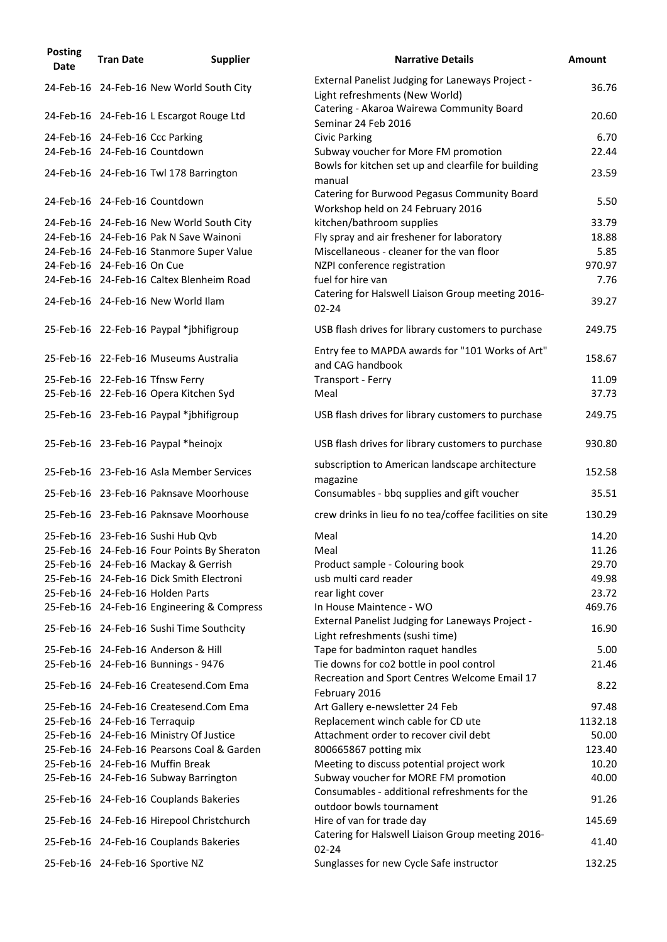| <b>Posting</b><br><b>Date</b> | <b>Tran Date</b>                | <b>Supplier</b>                             | <b>Narrative Details</b>                                                            | <b>Amount</b> |
|-------------------------------|---------------------------------|---------------------------------------------|-------------------------------------------------------------------------------------|---------------|
|                               |                                 | 24-Feb-16 24-Feb-16 New World South City    | External Panelist Judging for Laneways Project -<br>Light refreshments (New World)  | 36.76         |
|                               |                                 | 24-Feb-16 24-Feb-16 L Escargot Rouge Ltd    | Catering - Akaroa Wairewa Community Board<br>Seminar 24 Feb 2016                    | 20.60         |
|                               | 24-Feb-16 24-Feb-16 Ccc Parking |                                             | <b>Civic Parking</b>                                                                | 6.70          |
|                               | 24-Feb-16 24-Feb-16 Countdown   |                                             | Subway voucher for More FM promotion                                                | 22.44         |
|                               |                                 | 24-Feb-16 24-Feb-16 Twl 178 Barrington      | Bowls for kitchen set up and clearfile for building<br>manual                       | 23.59         |
|                               | 24-Feb-16 24-Feb-16 Countdown   |                                             | Catering for Burwood Pegasus Community Board<br>Workshop held on 24 February 2016   | 5.50          |
|                               |                                 | 24-Feb-16 24-Feb-16 New World South City    | kitchen/bathroom supplies                                                           | 33.79         |
|                               |                                 | 24-Feb-16 24-Feb-16 Pak N Save Wainoni      | Fly spray and air freshener for laboratory                                          | 18.88         |
|                               |                                 | 24-Feb-16 24-Feb-16 Stanmore Super Value    | Miscellaneous - cleaner for the van floor                                           | 5.85          |
|                               | 24-Feb-16 24-Feb-16 On Cue      |                                             | NZPI conference registration                                                        | 970.97        |
|                               |                                 | 24-Feb-16 24-Feb-16 Caltex Blenheim Road    | fuel for hire van                                                                   | 7.76          |
|                               |                                 | 24-Feb-16 24-Feb-16 New World Ilam          | Catering for Halswell Liaison Group meeting 2016-<br>$02 - 24$                      | 39.27         |
|                               |                                 | 25-Feb-16 22-Feb-16 Paypal *jbhifigroup     | USB flash drives for library customers to purchase                                  | 249.75        |
|                               |                                 | 25-Feb-16 22-Feb-16 Museums Australia       | Entry fee to MAPDA awards for "101 Works of Art"<br>and CAG handbook                | 158.67        |
|                               | 25-Feb-16 22-Feb-16 Tfnsw Ferry |                                             | Transport - Ferry                                                                   | 11.09         |
|                               |                                 | 25-Feb-16 22-Feb-16 Opera Kitchen Syd       | Meal                                                                                | 37.73         |
|                               |                                 | 25-Feb-16 23-Feb-16 Paypal *jbhifigroup     | USB flash drives for library customers to purchase                                  | 249.75        |
|                               |                                 | 25-Feb-16 23-Feb-16 Paypal *heinojx         | USB flash drives for library customers to purchase                                  | 930.80        |
|                               |                                 | 25-Feb-16 23-Feb-16 Asla Member Services    | subscription to American landscape architecture<br>magazine                         | 152.58        |
|                               |                                 | 25-Feb-16 23-Feb-16 Paknsave Moorhouse      | Consumables - bbq supplies and gift voucher                                         | 35.51         |
|                               |                                 | 25-Feb-16 23-Feb-16 Paknsave Moorhouse      | crew drinks in lieu fo no tea/coffee facilities on site                             | 130.29        |
|                               |                                 | 25-Feb-16 23-Feb-16 Sushi Hub Qvb           | Meal                                                                                | 14.20         |
|                               |                                 | 25-Feb-16 24-Feb-16 Four Points By Sheraton | Meal                                                                                | 11.26         |
|                               |                                 | 25-Feb-16 24-Feb-16 Mackay & Gerrish        | Product sample - Colouring book                                                     | 29.70         |
|                               |                                 | 25-Feb-16 24-Feb-16 Dick Smith Electroni    | usb multi card reader                                                               | 49.98         |
|                               |                                 | 25-Feb-16 24-Feb-16 Holden Parts            | rear light cover                                                                    | 23.72         |
|                               |                                 | 25-Feb-16 24-Feb-16 Engineering & Compress  | In House Maintence - WO                                                             | 469.76        |
|                               |                                 | 25-Feb-16 24-Feb-16 Sushi Time Southcity    | External Panelist Judging for Laneways Project -<br>Light refreshments (sushi time) | 16.90         |
|                               |                                 | 25-Feb-16 24-Feb-16 Anderson & Hill         | Tape for badminton raquet handles                                                   | 5.00          |
|                               |                                 | 25-Feb-16 24-Feb-16 Bunnings - 9476         | Tie downs for co2 bottle in pool control                                            | 21.46         |
|                               |                                 | 25-Feb-16 24-Feb-16 Createsend.Com Ema      | Recreation and Sport Centres Welcome Email 17<br>February 2016                      | 8.22          |
|                               |                                 | 25-Feb-16 24-Feb-16 Createsend.Com Ema      | Art Gallery e-newsletter 24 Feb                                                     | 97.48         |
|                               | 25-Feb-16 24-Feb-16 Terraquip   |                                             | Replacement winch cable for CD ute                                                  | 1132.18       |
|                               |                                 | 25-Feb-16 24-Feb-16 Ministry Of Justice     | Attachment order to recover civil debt                                              | 50.00         |
|                               |                                 | 25-Feb-16 24-Feb-16 Pearsons Coal & Garden  | 800665867 potting mix                                                               | 123.40        |
|                               |                                 | 25-Feb-16 24-Feb-16 Muffin Break            | Meeting to discuss potential project work                                           | 10.20         |
|                               |                                 | 25-Feb-16 24-Feb-16 Subway Barrington       | Subway voucher for MORE FM promotion                                                | 40.00         |
|                               |                                 | 25-Feb-16 24-Feb-16 Couplands Bakeries      | Consumables - additional refreshments for the<br>outdoor bowls tournament           | 91.26         |
|                               |                                 | 25-Feb-16 24-Feb-16 Hirepool Christchurch   | Hire of van for trade day                                                           | 145.69        |
|                               |                                 | 25-Feb-16 24-Feb-16 Couplands Bakeries      | Catering for Halswell Liaison Group meeting 2016-<br>$02 - 24$                      | 41.40         |
|                               | 25-Feb-16 24-Feb-16 Sportive NZ |                                             | Sunglasses for new Cycle Safe instructor                                            | 132.25        |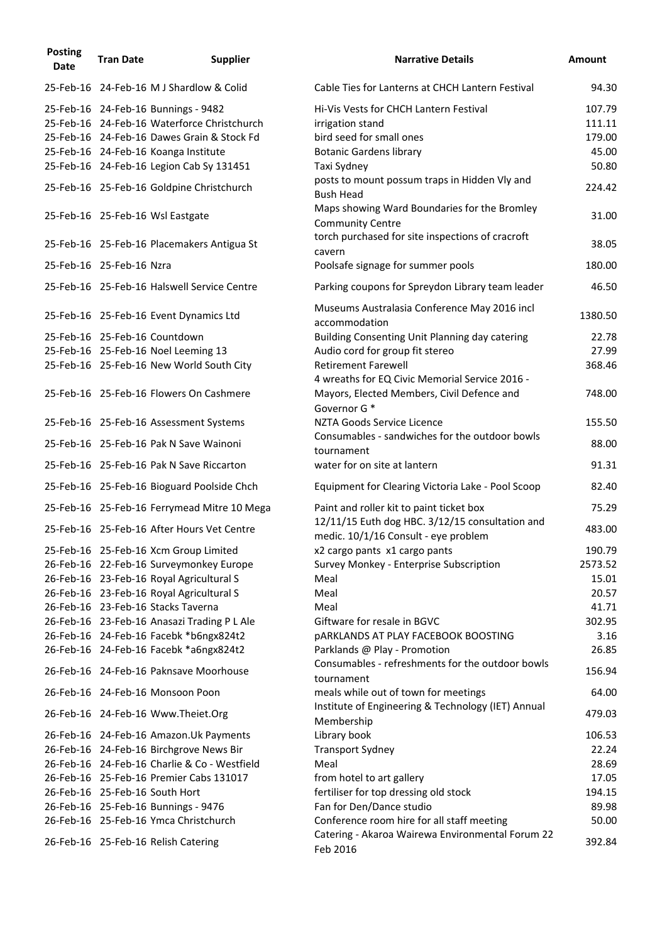| <b>Posting</b><br><b>Date</b> | <b>Tran Date</b>         | <b>Supplier</b>                              | <b>Narrative Details</b>                                                                | Amount  |
|-------------------------------|--------------------------|----------------------------------------------|-----------------------------------------------------------------------------------------|---------|
|                               |                          | 25-Feb-16 24-Feb-16 M J Shardlow & Colid     | Cable Ties for Lanterns at CHCH Lantern Festival                                        | 94.30   |
|                               |                          | 25-Feb-16 24-Feb-16 Bunnings - 9482          | Hi-Vis Vests for CHCH Lantern Festival                                                  | 107.79  |
|                               |                          | 25-Feb-16 24-Feb-16 Waterforce Christchurch  | irrigation stand                                                                        | 111.11  |
|                               |                          | 25-Feb-16 24-Feb-16 Dawes Grain & Stock Fd   | bird seed for small ones                                                                | 179.00  |
|                               |                          | 25-Feb-16 24-Feb-16 Koanga Institute         | <b>Botanic Gardens library</b>                                                          | 45.00   |
|                               |                          | 25-Feb-16 24-Feb-16 Legion Cab Sy 131451     | Taxi Sydney                                                                             | 50.80   |
|                               |                          | 25-Feb-16 25-Feb-16 Goldpine Christchurch    | posts to mount possum traps in Hidden Vly and<br><b>Bush Head</b>                       | 224.42  |
|                               |                          | 25-Feb-16 25-Feb-16 Wsl Eastgate             | Maps showing Ward Boundaries for the Bromley<br><b>Community Centre</b>                 | 31.00   |
|                               |                          | 25-Feb-16 25-Feb-16 Placemakers Antigua St   | torch purchased for site inspections of cracroft<br>cavern                              | 38.05   |
|                               | 25-Feb-16 25-Feb-16 Nzra |                                              | Poolsafe signage for summer pools                                                       | 180.00  |
|                               |                          | 25-Feb-16 25-Feb-16 Halswell Service Centre  | Parking coupons for Spreydon Library team leader                                        | 46.50   |
|                               |                          | 25-Feb-16 25-Feb-16 Event Dynamics Ltd       | Museums Australasia Conference May 2016 incl<br>accommodation                           | 1380.50 |
|                               |                          | 25-Feb-16 25-Feb-16 Countdown                | Building Consenting Unit Planning day catering                                          | 22.78   |
|                               |                          | 25-Feb-16 25-Feb-16 Noel Leeming 13          | Audio cord for group fit stereo                                                         | 27.99   |
|                               |                          | 25-Feb-16 25-Feb-16 New World South City     | <b>Retirement Farewell</b><br>4 wreaths for EQ Civic Memorial Service 2016 -            | 368.46  |
|                               |                          | 25-Feb-16 25-Feb-16 Flowers On Cashmere      | Mayors, Elected Members, Civil Defence and<br>Governor G <sup>*</sup>                   | 748.00  |
|                               |                          | 25-Feb-16 25-Feb-16 Assessment Systems       | NZTA Goods Service Licence<br>Consumables - sandwiches for the outdoor bowls            | 155.50  |
|                               |                          | 25-Feb-16 25-Feb-16 Pak N Save Wainoni       | tournament                                                                              | 88.00   |
|                               |                          | 25-Feb-16 25-Feb-16 Pak N Save Riccarton     | water for on site at lantern                                                            | 91.31   |
|                               |                          | 25-Feb-16 25-Feb-16 Bioguard Poolside Chch   | Equipment for Clearing Victoria Lake - Pool Scoop                                       | 82.40   |
|                               |                          | 25-Feb-16 25-Feb-16 Ferrymead Mitre 10 Mega  | Paint and roller kit to paint ticket box                                                | 75.29   |
|                               |                          | 25-Feb-16 25-Feb-16 After Hours Vet Centre   | 12/11/15 Euth dog HBC. 3/12/15 consultation and<br>medic. 10/1/16 Consult - eye problem | 483.00  |
|                               |                          | 25-Feb-16 25-Feb-16 Xcm Group Limited        | x2 cargo pants x1 cargo pants                                                           | 190.79  |
|                               |                          | 26-Feb-16 22-Feb-16 Surveymonkey Europe      | Survey Monkey - Enterprise Subscription                                                 | 2573.52 |
|                               |                          | 26-Feb-16 23-Feb-16 Royal Agricultural S     | Meal                                                                                    | 15.01   |
|                               |                          | 26-Feb-16 23-Feb-16 Royal Agricultural S     | Meal                                                                                    | 20.57   |
|                               |                          | 26-Feb-16 23-Feb-16 Stacks Taverna           | Meal                                                                                    | 41.71   |
|                               |                          | 26-Feb-16 23-Feb-16 Anasazi Trading P L Ale  | Giftware for resale in BGVC                                                             | 302.95  |
|                               |                          | 26-Feb-16 24-Feb-16 Facebk *b6ngx824t2       | <b>pARKLANDS AT PLAY FACEBOOK BOOSTING</b>                                              | 3.16    |
|                               |                          | 26-Feb-16 24-Feb-16 Facebk *a6ngx824t2       | Parklands @ Play - Promotion                                                            | 26.85   |
|                               |                          | 26-Feb-16 24-Feb-16 Paknsave Moorhouse       | Consumables - refreshments for the outdoor bowls<br>tournament                          | 156.94  |
|                               |                          | 26-Feb-16 24-Feb-16 Monsoon Poon             | meals while out of town for meetings                                                    | 64.00   |
|                               |                          | 26-Feb-16 24-Feb-16 Www.Theiet.Org           | Institute of Engineering & Technology (IET) Annual<br>Membership                        | 479.03  |
|                               |                          | 26-Feb-16 24-Feb-16 Amazon.Uk Payments       | Library book                                                                            | 106.53  |
|                               |                          | 26-Feb-16 24-Feb-16 Birchgrove News Bir      | <b>Transport Sydney</b>                                                                 | 22.24   |
|                               |                          | 26-Feb-16 24-Feb-16 Charlie & Co - Westfield | Meal                                                                                    | 28.69   |
|                               |                          | 26-Feb-16 25-Feb-16 Premier Cabs 131017      | from hotel to art gallery                                                               | 17.05   |
|                               |                          | 26-Feb-16 25-Feb-16 South Hort               | fertiliser for top dressing old stock                                                   | 194.15  |
|                               |                          | 26-Feb-16 25-Feb-16 Bunnings - 9476          | Fan for Den/Dance studio                                                                | 89.98   |
|                               |                          | 26-Feb-16 25-Feb-16 Ymca Christchurch        | Conference room hire for all staff meeting                                              | 50.00   |
|                               |                          | 26-Feb-16 25-Feb-16 Relish Catering          | Catering - Akaroa Wairewa Environmental Forum 22<br>Feb 2016                            | 392.84  |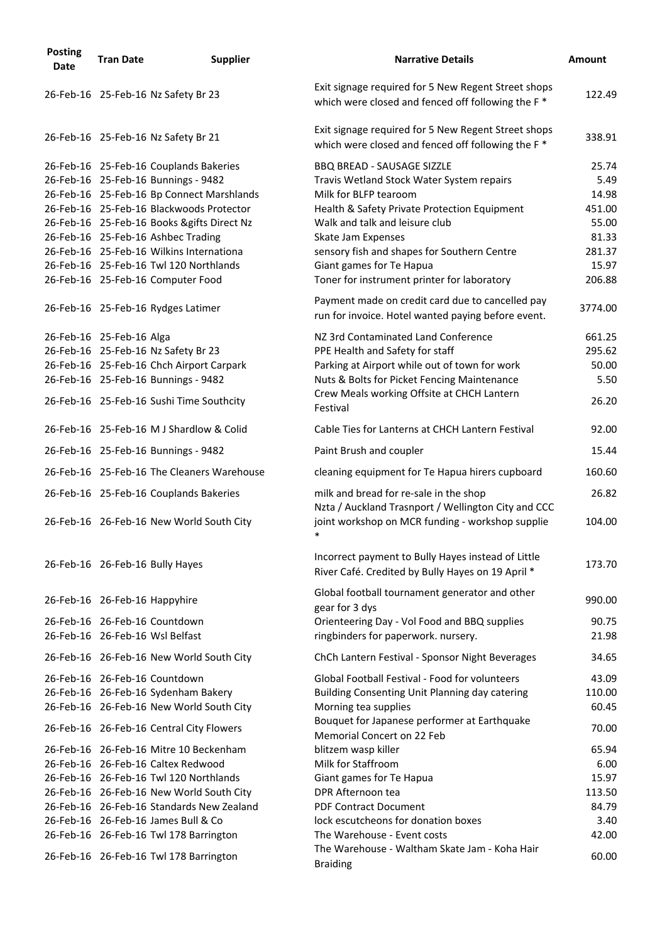| <b>Posting</b><br><b>Date</b> | <b>Tran Date</b> | <b>Supplier</b>                            | <b>Narrative Details</b>                                                                                             | <b>Amount</b> |
|-------------------------------|------------------|--------------------------------------------|----------------------------------------------------------------------------------------------------------------------|---------------|
|                               |                  | 26-Feb-16 25-Feb-16 Nz Safety Br 23        | Exit signage required for 5 New Regent Street shops<br>which were closed and fenced off following the F <sup>*</sup> | 122.49        |
|                               |                  | 26-Feb-16 25-Feb-16 Nz Safety Br 21        | Exit signage required for 5 New Regent Street shops<br>which were closed and fenced off following the F <sup>*</sup> | 338.91        |
|                               |                  | 26-Feb-16 25-Feb-16 Couplands Bakeries     | <b>BBQ BREAD - SAUSAGE SIZZLE</b>                                                                                    | 25.74         |
|                               |                  | 26-Feb-16 25-Feb-16 Bunnings - 9482        | Travis Wetland Stock Water System repairs                                                                            | 5.49          |
|                               |                  | 26-Feb-16 25-Feb-16 Bp Connect Marshlands  | Milk for BLFP tearoom                                                                                                | 14.98         |
|                               |                  | 26-Feb-16 25-Feb-16 Blackwoods Protector   | Health & Safety Private Protection Equipment                                                                         | 451.00        |
|                               |                  | 26-Feb-16 25-Feb-16 Books &gifts Direct Nz | Walk and talk and leisure club                                                                                       | 55.00         |
|                               |                  | 26-Feb-16 25-Feb-16 Ashbec Trading         | Skate Jam Expenses                                                                                                   | 81.33         |
|                               |                  | 26-Feb-16 25-Feb-16 Wilkins Internationa   | sensory fish and shapes for Southern Centre                                                                          | 281.37        |
|                               |                  | 26-Feb-16 25-Feb-16 Twl 120 Northlands     | Giant games for Te Hapua                                                                                             | 15.97         |
|                               |                  | 26-Feb-16 25-Feb-16 Computer Food          | Toner for instrument printer for laboratory                                                                          | 206.88        |
|                               |                  | 26-Feb-16 25-Feb-16 Rydges Latimer         | Payment made on credit card due to cancelled pay<br>run for invoice. Hotel wanted paying before event.               | 3774.00       |
| 26-Feb-16 25-Feb-16 Alga      |                  |                                            | NZ 3rd Contaminated Land Conference                                                                                  | 661.25        |
|                               |                  | 26-Feb-16 25-Feb-16 Nz Safety Br 23        | PPE Health and Safety for staff                                                                                      | 295.62        |
|                               |                  | 26-Feb-16 25-Feb-16 Chch Airport Carpark   | Parking at Airport while out of town for work                                                                        | 50.00         |
|                               |                  | 26-Feb-16 25-Feb-16 Bunnings - 9482        | Nuts & Bolts for Picket Fencing Maintenance                                                                          | 5.50          |
|                               |                  | 26-Feb-16 25-Feb-16 Sushi Time Southcity   | Crew Meals working Offsite at CHCH Lantern<br>Festival                                                               | 26.20         |
|                               |                  | 26-Feb-16 25-Feb-16 M J Shardlow & Colid   | Cable Ties for Lanterns at CHCH Lantern Festival                                                                     | 92.00         |
|                               |                  | 26-Feb-16 25-Feb-16 Bunnings - 9482        | Paint Brush and coupler                                                                                              | 15.44         |
|                               |                  | 26-Feb-16 25-Feb-16 The Cleaners Warehouse | cleaning equipment for Te Hapua hirers cupboard                                                                      | 160.60        |
|                               |                  | 26-Feb-16 25-Feb-16 Couplands Bakeries     | milk and bread for re-sale in the shop                                                                               | 26.82         |
|                               |                  | 26-Feb-16 26-Feb-16 New World South City   | Nzta / Auckland Trasnport / Wellington City and CCC<br>joint workshop on MCR funding - workshop supplie              | 104.00        |
|                               |                  |                                            | $\ast$                                                                                                               |               |
|                               |                  | 26-Feb-16 26-Feb-16 Bully Hayes            | Incorrect payment to Bully Hayes instead of Little<br>River Café. Credited by Bully Hayes on 19 April *              | 173.70        |
| 26-Feb-16 26-Feb-16 Happyhire |                  |                                            | Global football tournament generator and other<br>gear for 3 dys                                                     | 990.00        |
|                               |                  | 26-Feb-16 26-Feb-16 Countdown              | Orienteering Day - Vol Food and BBQ supplies                                                                         | 90.75         |
|                               |                  | 26-Feb-16 26-Feb-16 Wsl Belfast            | ringbinders for paperwork. nursery.                                                                                  | 21.98         |
|                               |                  | 26-Feb-16 26-Feb-16 New World South City   | ChCh Lantern Festival - Sponsor Night Beverages                                                                      | 34.65         |
|                               |                  | 26-Feb-16 26-Feb-16 Countdown              | Global Football Festival - Food for volunteers                                                                       | 43.09         |
|                               |                  | 26-Feb-16 26-Feb-16 Sydenham Bakery        | Building Consenting Unit Planning day catering                                                                       | 110.00        |
|                               |                  | 26-Feb-16 26-Feb-16 New World South City   | Morning tea supplies                                                                                                 | 60.45         |
|                               |                  | 26-Feb-16 26-Feb-16 Central City Flowers   | Bouquet for Japanese performer at Earthquake<br><b>Memorial Concert on 22 Feb</b>                                    | 70.00         |
|                               |                  | 26-Feb-16 26-Feb-16 Mitre 10 Beckenham     | blitzem wasp killer                                                                                                  | 65.94         |
|                               |                  | 26-Feb-16 26-Feb-16 Caltex Redwood         | Milk for Staffroom                                                                                                   | 6.00          |
|                               |                  | 26-Feb-16 26-Feb-16 Twl 120 Northlands     | Giant games for Te Hapua                                                                                             | 15.97         |
|                               |                  | 26-Feb-16 26-Feb-16 New World South City   | DPR Afternoon tea                                                                                                    | 113.50        |
|                               |                  | 26-Feb-16 26-Feb-16 Standards New Zealand  | <b>PDF Contract Document</b>                                                                                         | 84.79         |
|                               |                  | 26-Feb-16 26-Feb-16 James Bull & Co        | lock escutcheons for donation boxes                                                                                  | 3.40          |
|                               |                  | 26-Feb-16 26-Feb-16 Twl 178 Barrington     | The Warehouse - Event costs                                                                                          | 42.00         |
|                               |                  | 26-Feb-16 26-Feb-16 Twl 178 Barrington     | The Warehouse - Waltham Skate Jam - Koha Hair<br><b>Braiding</b>                                                     | 60.00         |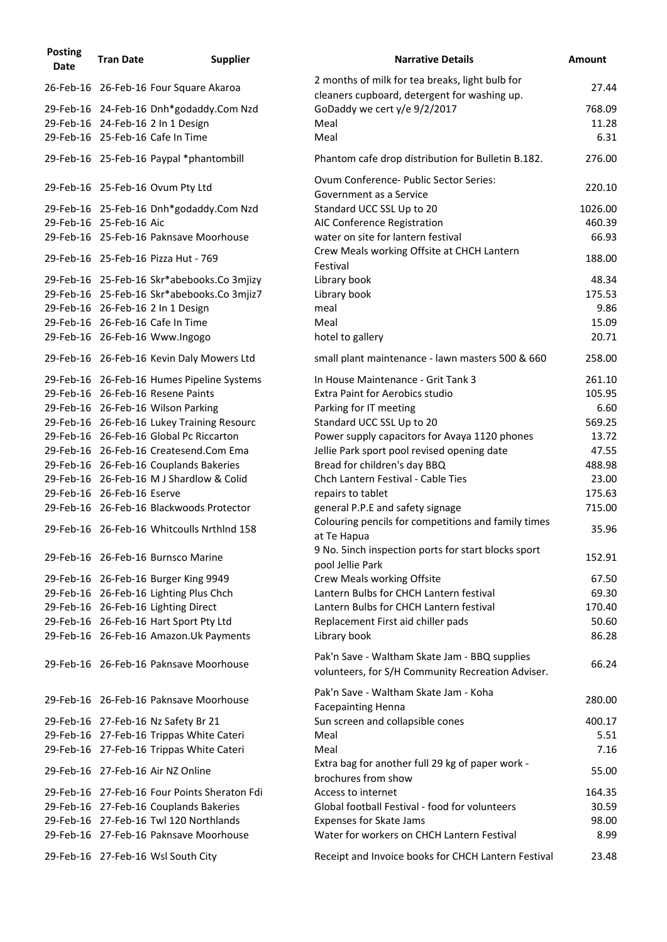| <b>Posting</b><br><b>Date</b> | <b>Tran Date</b>           | <b>Supplier</b>                                                                 | <b>Narrative Details</b>                                                                           | <b>Amount</b>    |
|-------------------------------|----------------------------|---------------------------------------------------------------------------------|----------------------------------------------------------------------------------------------------|------------------|
|                               |                            | 26-Feb-16 26-Feb-16 Four Square Akaroa                                          | 2 months of milk for tea breaks, light bulb for<br>cleaners cupboard, detergent for washing up.    | 27.44            |
|                               |                            | 29-Feb-16 24-Feb-16 Dnh*godaddy.Com Nzd                                         | GoDaddy we cert y/e 9/2/2017                                                                       | 768.09           |
|                               |                            | 29-Feb-16 24-Feb-16 2 In 1 Design                                               | Meal                                                                                               | 11.28            |
|                               |                            | 29-Feb-16 25-Feb-16 Cafe In Time                                                | Meal                                                                                               | 6.31             |
|                               |                            | 29-Feb-16 25-Feb-16 Paypal *phantombill                                         | Phantom cafe drop distribution for Bulletin B.182.                                                 | 276.00           |
|                               |                            | 29-Feb-16 25-Feb-16 Ovum Pty Ltd                                                | Ovum Conference- Public Sector Series:<br>Government as a Service                                  | 220.10           |
|                               |                            | 29-Feb-16 25-Feb-16 Dnh*godaddy.Com Nzd                                         | Standard UCC SSL Up to 20                                                                          | 1026.00          |
|                               | 29-Feb-16 25-Feb-16 Aic    |                                                                                 | AIC Conference Registration                                                                        | 460.39           |
|                               |                            | 29-Feb-16 25-Feb-16 Paknsave Moorhouse                                          | water on site for lantern festival<br>Crew Meals working Offsite at CHCH Lantern                   | 66.93            |
|                               |                            | 29-Feb-16 25-Feb-16 Pizza Hut - 769                                             | Festival                                                                                           | 188.00           |
|                               |                            | 29-Feb-16 25-Feb-16 Skr*abebooks.Co 3mjizy                                      | Library book                                                                                       | 48.34            |
|                               |                            | 29-Feb-16 25-Feb-16 Skr*abebooks.Co 3mjiz7                                      | Library book                                                                                       | 175.53           |
|                               |                            | 29-Feb-16 26-Feb-16 2 In 1 Design                                               | meal                                                                                               | 9.86             |
|                               |                            | 29-Feb-16 26-Feb-16 Cafe In Time                                                | Meal                                                                                               | 15.09            |
|                               |                            | 29-Feb-16 26-Feb-16 Www.Ingogo                                                  | hotel to gallery                                                                                   | 20.71            |
|                               |                            | 29-Feb-16 26-Feb-16 Kevin Daly Mowers Ltd                                       | small plant maintenance - lawn masters 500 & 660                                                   | 258.00<br>261.10 |
|                               |                            | 29-Feb-16 26-Feb-16 Humes Pipeline Systems<br>29-Feb-16 26-Feb-16 Resene Paints | In House Maintenance - Grit Tank 3<br>Extra Paint for Aerobics studio                              | 105.95           |
|                               |                            | 29-Feb-16 26-Feb-16 Wilson Parking                                              | Parking for IT meeting                                                                             | 6.60             |
|                               |                            | 29-Feb-16 26-Feb-16 Lukey Training Resourc                                      | Standard UCC SSL Up to 20                                                                          | 569.25           |
|                               |                            | 29-Feb-16 26-Feb-16 Global Pc Riccarton                                         | Power supply capacitors for Avaya 1120 phones                                                      | 13.72            |
|                               |                            | 29-Feb-16 26-Feb-16 Createsend.Com Ema                                          | Jellie Park sport pool revised opening date                                                        | 47.55            |
|                               |                            | 29-Feb-16 26-Feb-16 Couplands Bakeries                                          | Bread for children's day BBQ                                                                       | 488.98           |
|                               |                            | 29-Feb-16 26-Feb-16 M J Shardlow & Colid                                        | Chch Lantern Festival - Cable Ties                                                                 | 23.00            |
|                               | 29-Feb-16 26-Feb-16 Eserve |                                                                                 | repairs to tablet                                                                                  | 175.63           |
|                               |                            | 29-Feb-16 26-Feb-16 Blackwoods Protector                                        | general P.P.E and safety signage                                                                   | 715.00           |
|                               |                            | 29-Feb-16 26-Feb-16 Whitcoulls NrthInd 158                                      | Colouring pencils for competitions and family times<br>at Te Hapua                                 | 35.96            |
|                               |                            | 29-Feb-16 26-Feb-16 Burnsco Marine                                              | 9 No. 5inch inspection ports for start blocks sport<br>pool Jellie Park                            | 152.91           |
|                               |                            | 29-Feb-16 26-Feb-16 Burger King 9949                                            | Crew Meals working Offsite                                                                         | 67.50            |
|                               |                            | 29-Feb-16 26-Feb-16 Lighting Plus Chch                                          | Lantern Bulbs for CHCH Lantern festival                                                            | 69.30            |
|                               |                            | 29-Feb-16 26-Feb-16 Lighting Direct                                             | Lantern Bulbs for CHCH Lantern festival                                                            | 170.40           |
|                               |                            | 29-Feb-16 26-Feb-16 Hart Sport Pty Ltd                                          | Replacement First aid chiller pads                                                                 | 50.60            |
|                               |                            | 29-Feb-16 26-Feb-16 Amazon.Uk Payments                                          | Library book                                                                                       | 86.28            |
|                               |                            | 29-Feb-16 26-Feb-16 Paknsave Moorhouse                                          | Pak'n Save - Waltham Skate Jam - BBQ supplies<br>volunteers, for S/H Community Recreation Adviser. | 66.24            |
|                               |                            | 29-Feb-16 26-Feb-16 Paknsave Moorhouse                                          | Pak'n Save - Waltham Skate Jam - Koha<br><b>Facepainting Henna</b>                                 | 280.00           |
|                               |                            | 29-Feb-16 27-Feb-16 Nz Safety Br 21                                             | Sun screen and collapsible cones                                                                   | 400.17           |
|                               |                            | 29-Feb-16 27-Feb-16 Trippas White Cateri                                        | Meal                                                                                               | 5.51             |
|                               |                            | 29-Feb-16 27-Feb-16 Trippas White Cateri                                        | Meal                                                                                               | 7.16             |
|                               |                            | 29-Feb-16 27-Feb-16 Air NZ Online                                               | Extra bag for another full 29 kg of paper work -<br>brochures from show                            | 55.00            |
|                               |                            | 29-Feb-16 27-Feb-16 Four Points Sheraton Fdi                                    | Access to internet                                                                                 | 164.35           |
|                               |                            | 29-Feb-16 27-Feb-16 Couplands Bakeries                                          | Global football Festival - food for volunteers                                                     | 30.59            |
|                               |                            | 29-Feb-16 27-Feb-16 Twl 120 Northlands                                          | <b>Expenses for Skate Jams</b>                                                                     | 98.00            |
|                               |                            | 29-Feb-16 27-Feb-16 Paknsave Moorhouse                                          | Water for workers on CHCH Lantern Festival                                                         | 8.99             |
|                               |                            | 29-Feb-16 27-Feb-16 Wsl South City                                              | Receipt and Invoice books for CHCH Lantern Festival                                                | 23.48            |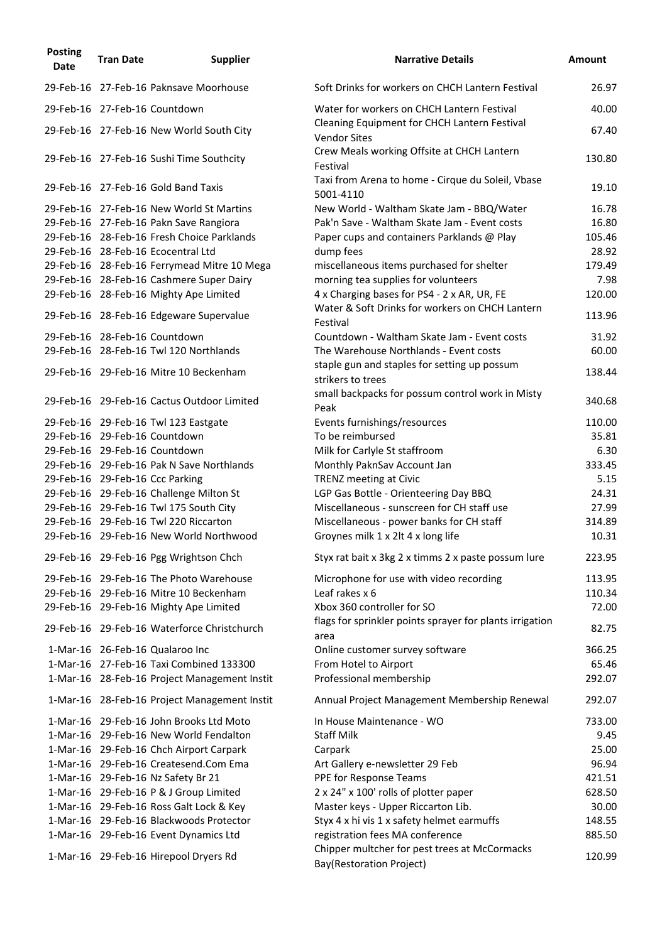| <b>Posting</b><br><b>Date</b> | <b>Tran Date</b> | <b>Supplier</b>                              | <b>Narrative Details</b>                                                  | <b>Amount</b> |
|-------------------------------|------------------|----------------------------------------------|---------------------------------------------------------------------------|---------------|
|                               |                  | 29-Feb-16 27-Feb-16 Paknsave Moorhouse       | Soft Drinks for workers on CHCH Lantern Festival                          | 26.97         |
|                               |                  | 29-Feb-16 27-Feb-16 Countdown                | Water for workers on CHCH Lantern Festival                                | 40.00         |
|                               |                  | 29-Feb-16 27-Feb-16 New World South City     | Cleaning Equipment for CHCH Lantern Festival<br><b>Vendor Sites</b>       | 67.40         |
|                               |                  | 29-Feb-16 27-Feb-16 Sushi Time Southcity     | Crew Meals working Offsite at CHCH Lantern<br>Festival                    | 130.80        |
|                               |                  | 29-Feb-16 27-Feb-16 Gold Band Taxis          | Taxi from Arena to home - Cirque du Soleil, Vbase<br>5001-4110            | 19.10         |
|                               |                  | 29-Feb-16 27-Feb-16 New World St Martins     | New World - Waltham Skate Jam - BBQ/Water                                 | 16.78         |
|                               |                  | 29-Feb-16 27-Feb-16 Pakn Save Rangiora       | Pak'n Save - Waltham Skate Jam - Event costs                              | 16.80         |
|                               |                  | 29-Feb-16 28-Feb-16 Fresh Choice Parklands   | Paper cups and containers Parklands @ Play                                | 105.46        |
|                               |                  | 29-Feb-16 28-Feb-16 Ecocentral Ltd           | dump fees                                                                 | 28.92         |
|                               |                  | 29-Feb-16 28-Feb-16 Ferrymead Mitre 10 Mega  | miscellaneous items purchased for shelter                                 | 179.49        |
|                               |                  | 29-Feb-16 28-Feb-16 Cashmere Super Dairy     | morning tea supplies for volunteers                                       | 7.98          |
|                               |                  | 29-Feb-16 28-Feb-16 Mighty Ape Limited       | 4 x Charging bases for PS4 - 2 x AR, UR, FE                               | 120.00        |
|                               |                  | 29-Feb-16 28-Feb-16 Edgeware Supervalue      | Water & Soft Drinks for workers on CHCH Lantern<br>Festival               | 113.96        |
|                               |                  | 29-Feb-16 28-Feb-16 Countdown                | Countdown - Waltham Skate Jam - Event costs                               | 31.92         |
|                               |                  | 29-Feb-16 28-Feb-16 Twl 120 Northlands       | The Warehouse Northlands - Event costs                                    | 60.00         |
|                               |                  | 29-Feb-16 29-Feb-16 Mitre 10 Beckenham       | staple gun and staples for setting up possum<br>strikers to trees         | 138.44        |
|                               |                  | 29-Feb-16 29-Feb-16 Cactus Outdoor Limited   | small backpacks for possum control work in Misty<br>Peak                  | 340.68        |
|                               |                  | 29-Feb-16 29-Feb-16 Twl 123 Eastgate         | Events furnishings/resources                                              | 110.00        |
|                               |                  | 29-Feb-16 29-Feb-16 Countdown                | To be reimbursed                                                          | 35.81         |
|                               |                  | 29-Feb-16 29-Feb-16 Countdown                | Milk for Carlyle St staffroom                                             | 6.30          |
|                               |                  | 29-Feb-16 29-Feb-16 Pak N Save Northlands    | Monthly PaknSav Account Jan                                               | 333.45        |
|                               |                  | 29-Feb-16 29-Feb-16 Ccc Parking              | <b>TRENZ meeting at Civic</b>                                             | 5.15          |
|                               |                  | 29-Feb-16 29-Feb-16 Challenge Milton St      | LGP Gas Bottle - Orienteering Day BBQ                                     | 24.31         |
|                               |                  | 29-Feb-16 29-Feb-16 Twl 175 South City       | Miscellaneous - sunscreen for CH staff use                                | 27.99         |
|                               |                  | 29-Feb-16 29-Feb-16 Twl 220 Riccarton        | Miscellaneous - power banks for CH staff                                  | 314.89        |
|                               |                  | 29-Feb-16 29-Feb-16 New World Northwood      | Groynes milk 1 x 2lt 4 x long life                                        | 10.31         |
|                               |                  | 29-Feb-16 29-Feb-16 Pgg Wrightson Chch       | Styx rat bait x 3kg 2 x timms 2 x paste possum lure                       | 223.95        |
|                               |                  | 29-Feb-16 29-Feb-16 The Photo Warehouse      | Microphone for use with video recording                                   | 113.95        |
|                               |                  | 29-Feb-16 29-Feb-16 Mitre 10 Beckenham       | Leaf rakes x 6                                                            | 110.34        |
|                               |                  | 29-Feb-16 29-Feb-16 Mighty Ape Limited       | Xbox 360 controller for SO                                                | 72.00         |
|                               |                  | 29-Feb-16 29-Feb-16 Waterforce Christchurch  | flags for sprinkler points sprayer for plants irrigation<br>area          | 82.75         |
|                               |                  | 1-Mar-16 26-Feb-16 Qualaroo Inc              | Online customer survey software                                           | 366.25        |
|                               |                  | 1-Mar-16 27-Feb-16 Taxi Combined 133300      | From Hotel to Airport                                                     | 65.46         |
|                               |                  | 1-Mar-16 28-Feb-16 Project Management Instit | Professional membership                                                   | 292.07        |
|                               |                  | 1-Mar-16 28-Feb-16 Project Management Instit | Annual Project Management Membership Renewal                              | 292.07        |
|                               |                  | 1-Mar-16 29-Feb-16 John Brooks Ltd Moto      | In House Maintenance - WO                                                 | 733.00        |
|                               |                  | 1-Mar-16 29-Feb-16 New World Fendalton       | <b>Staff Milk</b>                                                         | 9.45          |
|                               |                  | 1-Mar-16 29-Feb-16 Chch Airport Carpark      | Carpark                                                                   | 25.00         |
|                               |                  | 1-Mar-16 29-Feb-16 Createsend.Com Ema        | Art Gallery e-newsletter 29 Feb                                           | 96.94         |
|                               |                  | 1-Mar-16 29-Feb-16 Nz Safety Br 21           | PPE for Response Teams                                                    | 421.51        |
|                               |                  | 1-Mar-16 29-Feb-16 P & J Group Limited       | 2 x 24" x 100' rolls of plotter paper                                     | 628.50        |
|                               |                  | 1-Mar-16 29-Feb-16 Ross Galt Lock & Key      | Master keys - Upper Riccarton Lib.                                        | 30.00         |
|                               |                  | 1-Mar-16 29-Feb-16 Blackwoods Protector      | Styx 4 x hi vis 1 x safety helmet earmuffs                                | 148.55        |
|                               |                  | 1-Mar-16 29-Feb-16 Event Dynamics Ltd        | registration fees MA conference                                           | 885.50        |
|                               |                  | 1-Mar-16 29-Feb-16 Hirepool Dryers Rd        | Chipper multcher for pest trees at McCormacks<br>Bay(Restoration Project) | 120.99        |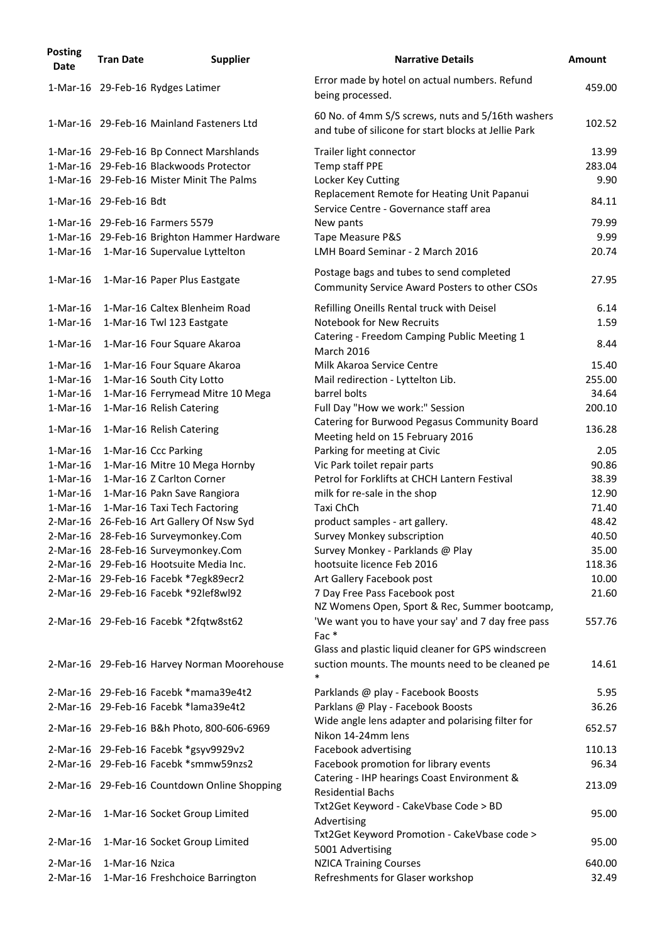| <b>Posting</b><br><b>Date</b> | <b>Tran Date</b>       | <b>Supplier</b>                              | <b>Narrative Details</b>                                                                                  | <b>Amount</b> |
|-------------------------------|------------------------|----------------------------------------------|-----------------------------------------------------------------------------------------------------------|---------------|
|                               |                        | 1-Mar-16 29-Feb-16 Rydges Latimer            | Error made by hotel on actual numbers. Refund<br>being processed.                                         | 459.00        |
|                               |                        | 1-Mar-16 29-Feb-16 Mainland Fasteners Ltd    | 60 No. of 4mm S/S screws, nuts and 5/16th washers<br>and tube of silicone for start blocks at Jellie Park | 102.52        |
|                               |                        | 1-Mar-16 29-Feb-16 Bp Connect Marshlands     | Trailer light connector                                                                                   | 13.99         |
|                               |                        | 1-Mar-16 29-Feb-16 Blackwoods Protector      | Temp staff PPE                                                                                            | 283.04        |
|                               |                        | 1-Mar-16 29-Feb-16 Mister Minit The Palms    | Locker Key Cutting                                                                                        | 9.90          |
|                               | 1-Mar-16 29-Feb-16 Bdt |                                              | Replacement Remote for Heating Unit Papanui<br>Service Centre - Governance staff area                     | 84.11         |
|                               |                        | 1-Mar-16 29-Feb-16 Farmers 5579              | New pants                                                                                                 | 79.99         |
|                               |                        | 1-Mar-16 29-Feb-16 Brighton Hammer Hardware  | Tape Measure P&S                                                                                          | 9.99          |
|                               |                        | 1-Mar-16 1-Mar-16 Supervalue Lyttelton       | LMH Board Seminar - 2 March 2016                                                                          | 20.74         |
| $1-Mar-16$                    |                        | 1-Mar-16 Paper Plus Eastgate                 | Postage bags and tubes to send completed<br>Community Service Award Posters to other CSOs                 | 27.95         |
|                               |                        |                                              |                                                                                                           |               |
| $1-Mar-16$                    |                        | 1-Mar-16 Caltex Blenheim Road                | Refilling Oneills Rental truck with Deisel                                                                | 6.14          |
| $1-Mar-16$                    |                        | 1-Mar-16 Twl 123 Eastgate                    | <b>Notebook for New Recruits</b>                                                                          | 1.59          |
| $1-Mar-16$                    |                        | 1-Mar-16 Four Square Akaroa                  | Catering - Freedom Camping Public Meeting 1<br><b>March 2016</b>                                          | 8.44          |
| $1-Mar-16$                    |                        | 1-Mar-16 Four Square Akaroa                  | Milk Akaroa Service Centre                                                                                | 15.40         |
| $1-Mar-16$                    |                        | 1-Mar-16 South City Lotto                    | Mail redirection - Lyttelton Lib.                                                                         | 255.00        |
| $1-Mar-16$                    |                        | 1-Mar-16 Ferrymead Mitre 10 Mega             | barrel bolts                                                                                              | 34.64         |
| $1-Mar-16$                    |                        | 1-Mar-16 Relish Catering                     | Full Day "How we work:" Session                                                                           | 200.10        |
| $1-Mar-16$                    |                        | 1-Mar-16 Relish Catering                     | Catering for Burwood Pegasus Community Board<br>Meeting held on 15 February 2016                          | 136.28        |
| $1-Mar-16$                    |                        | 1-Mar-16 Ccc Parking                         | Parking for meeting at Civic                                                                              | 2.05          |
|                               |                        | 1-Mar-16 1-Mar-16 Mitre 10 Mega Hornby       | Vic Park toilet repair parts                                                                              | 90.86         |
| 1-Mar-16                      |                        | 1-Mar-16 Z Carlton Corner                    | Petrol for Forklifts at CHCH Lantern Festival                                                             | 38.39         |
|                               |                        | 1-Mar-16 1-Mar-16 Pakn Save Rangiora         | milk for re-sale in the shop                                                                              | 12.90         |
|                               |                        | 1-Mar-16 1-Mar-16 Taxi Tech Factoring        | Taxi ChCh                                                                                                 | 71.40         |
|                               |                        | 2-Mar-16 26-Feb-16 Art Gallery Of Nsw Syd    | product samples - art gallery.                                                                            | 48.42         |
|                               |                        | 2-Mar-16 28-Feb-16 Surveymonkey.Com          | Survey Monkey subscription                                                                                | 40.50         |
|                               |                        | 2-Mar-16 28-Feb-16 Surveymonkey.Com          | Survey Monkey - Parklands @ Play                                                                          | 35.00         |
|                               |                        | 2-Mar-16 29-Feb-16 Hootsuite Media Inc.      | hootsuite licence Feb 2016                                                                                | 118.36        |
|                               |                        | 2-Mar-16 29-Feb-16 Facebk *7egk89ecr2        | Art Gallery Facebook post                                                                                 | 10.00         |
|                               |                        | 2-Mar-16 29-Feb-16 Facebk *92lef8wl92        | 7 Day Free Pass Facebook post                                                                             | 21.60         |
|                               |                        |                                              | NZ Womens Open, Sport & Rec, Summer bootcamp,                                                             |               |
|                               |                        | 2-Mar-16 29-Feb-16 Facebk *2fqtw8st62        | 'We want you to have your say' and 7 day free pass<br>Fac $*$                                             | 557.76        |
|                               |                        |                                              | Glass and plastic liquid cleaner for GPS windscreen                                                       |               |
|                               |                        | 2-Mar-16 29-Feb-16 Harvey Norman Moorehouse  | suction mounts. The mounts need to be cleaned pe<br>*                                                     | 14.61         |
|                               |                        | 2-Mar-16 29-Feb-16 Facebk *mama39e4t2        | Parklands @ play - Facebook Boosts                                                                        | 5.95          |
|                               |                        | 2-Mar-16 29-Feb-16 Facebk *lama39e4t2        | Parklans @ Play - Facebook Boosts                                                                         | 36.26         |
|                               |                        | 2-Mar-16 29-Feb-16 B&h Photo, 800-606-6969   | Wide angle lens adapter and polarising filter for<br>Nikon 14-24mm lens                                   | 652.57        |
|                               |                        | 2-Mar-16 29-Feb-16 Facebk *gsyv9929v2        | Facebook advertising                                                                                      | 110.13        |
|                               |                        | 2-Mar-16 29-Feb-16 Facebk *smmw59nzs2        | Facebook promotion for library events                                                                     | 96.34         |
|                               |                        |                                              | Catering - IHP hearings Coast Environment &                                                               |               |
|                               |                        | 2-Mar-16 29-Feb-16 Countdown Online Shopping | <b>Residential Bachs</b><br>Txt2Get Keyword - CakeVbase Code > BD                                         | 213.09        |
| $2-Mar-16$                    |                        | 1-Mar-16 Socket Group Limited                | Advertising<br>Txt2Get Keyword Promotion - CakeVbase code >                                               | 95.00         |
| $2-Mar-16$                    |                        | 1-Mar-16 Socket Group Limited                | 5001 Advertising                                                                                          | 95.00         |
| $2-Mar-16$                    | 1-Mar-16 Nzica         |                                              | <b>NZICA Training Courses</b>                                                                             | 640.00        |
| $2-Mar-16$                    |                        | 1-Mar-16 Freshchoice Barrington              | Refreshments for Glaser workshop                                                                          | 32.49         |
|                               |                        |                                              |                                                                                                           |               |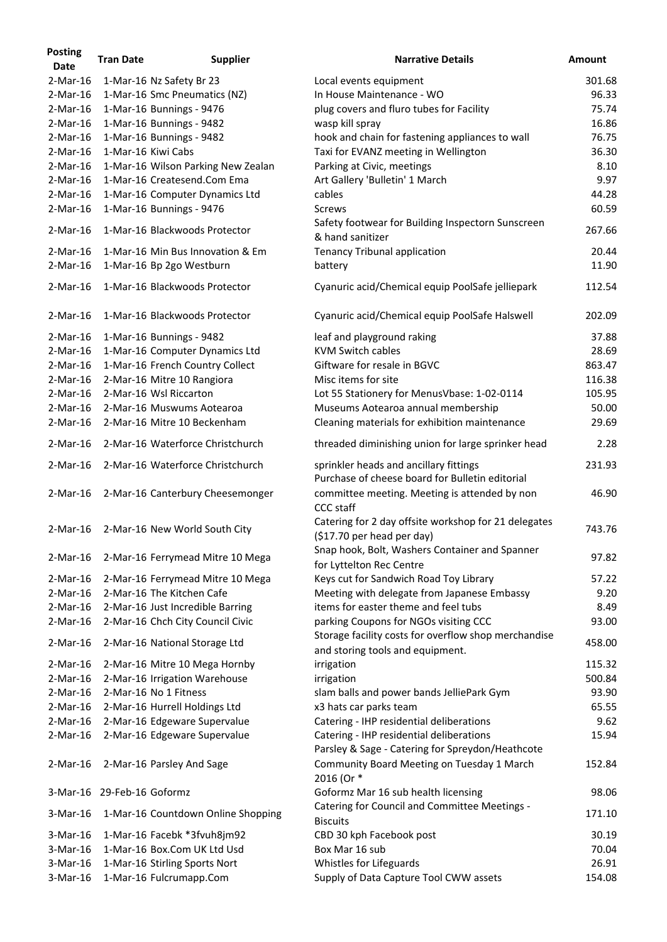| <b>Posting</b><br><b>Date</b> | <b>Tran Date</b>           | <b>Supplier</b>                           | <b>Narrative Details</b>                                                                     | <b>Amount</b> |
|-------------------------------|----------------------------|-------------------------------------------|----------------------------------------------------------------------------------------------|---------------|
| $2-Mar-16$                    |                            | 1-Mar-16 Nz Safety Br 23                  | Local events equipment                                                                       | 301.68        |
| $2-Mar-16$                    |                            | 1-Mar-16 Smc Pneumatics (NZ)              | In House Maintenance - WO                                                                    | 96.33         |
| $2-Mar-16$                    |                            | 1-Mar-16 Bunnings - 9476                  | plug covers and fluro tubes for Facility                                                     | 75.74         |
| $2-Mar-16$                    |                            | 1-Mar-16 Bunnings - 9482                  | wasp kill spray                                                                              | 16.86         |
| $2-Mar-16$                    |                            | 1-Mar-16 Bunnings - 9482                  | hook and chain for fastening appliances to wall                                              | 76.75         |
| $2-Mar-16$                    |                            | 1-Mar-16 Kiwi Cabs                        | Taxi for EVANZ meeting in Wellington                                                         | 36.30         |
| $2-Mar-16$                    |                            | 1-Mar-16 Wilson Parking New Zealan        | Parking at Civic, meetings                                                                   | 8.10          |
| $2-Mar-16$                    |                            | 1-Mar-16 Createsend.Com Ema               | Art Gallery 'Bulletin' 1 March                                                               | 9.97          |
| $2-Mar-16$                    |                            |                                           | cables                                                                                       | 44.28         |
|                               |                            | 1-Mar-16 Computer Dynamics Ltd            |                                                                                              |               |
| $2-Mar-16$                    |                            | 1-Mar-16 Bunnings - 9476                  | <b>Screws</b><br>Safety footwear for Building Inspectorn Sunscreen                           | 60.59         |
| $2-Mar-16$                    |                            | 1-Mar-16 Blackwoods Protector             | & hand sanitizer                                                                             | 267.66        |
| $2-Mar-16$                    |                            | 1-Mar-16 Min Bus Innovation & Em          | <b>Tenancy Tribunal application</b>                                                          | 20.44         |
| $2-Mar-16$                    |                            | 1-Mar-16 Bp 2go Westburn                  | battery                                                                                      | 11.90         |
| $2-Mar-16$                    |                            | 1-Mar-16 Blackwoods Protector             | Cyanuric acid/Chemical equip PoolSafe jelliepark                                             | 112.54        |
| $2-Mar-16$                    |                            | 1-Mar-16 Blackwoods Protector             | Cyanuric acid/Chemical equip PoolSafe Halswell                                               | 202.09        |
| $2-Mar-16$                    |                            | 1-Mar-16 Bunnings - 9482                  | leaf and playground raking                                                                   | 37.88         |
| $2-Mar-16$                    |                            | 1-Mar-16 Computer Dynamics Ltd            | <b>KVM Switch cables</b>                                                                     | 28.69         |
| $2-Mar-16$                    |                            | 1-Mar-16 French Country Collect           | Giftware for resale in BGVC                                                                  | 863.47        |
| $2-Mar-16$                    |                            | 2-Mar-16 Mitre 10 Rangiora                | Misc items for site                                                                          | 116.38        |
| $2-Mar-16$                    |                            | 2-Mar-16 Wsl Riccarton                    | Lot 55 Stationery for MenusVbase: 1-02-0114                                                  | 105.95        |
| $2-Mar-16$                    |                            | 2-Mar-16 Muswums Aotearoa                 | Museums Aotearoa annual membership                                                           | 50.00         |
| $2-Mar-16$                    |                            | 2-Mar-16 Mitre 10 Beckenham               | Cleaning materials for exhibition maintenance                                                | 29.69         |
| $2-Mar-16$                    |                            | 2-Mar-16 Waterforce Christchurch          | threaded diminishing union for large sprinker head                                           | 2.28          |
|                               |                            |                                           |                                                                                              |               |
|                               |                            | 2-Mar-16 2-Mar-16 Waterforce Christchurch | sprinkler heads and ancillary fittings<br>Purchase of cheese board for Bulletin editorial    | 231.93        |
| $2-Mar-16$                    |                            | 2-Mar-16 Canterbury Cheesemonger          | committee meeting. Meeting is attended by non<br><b>CCC staff</b>                            | 46.90         |
| $2-Mar-16$                    |                            | 2-Mar-16 New World South City             | Catering for 2 day offsite workshop for 21 delegates<br>$(517.70$ per head per day)          | 743.76        |
| $2-Mar-16$                    |                            | 2-Mar-16 Ferrymead Mitre 10 Mega          | Snap hook, Bolt, Washers Container and Spanner<br>for Lyttelton Rec Centre                   | 97.82         |
| $2-Mar-16$                    |                            | 2-Mar-16 Ferrymead Mitre 10 Mega          | Keys cut for Sandwich Road Toy Library                                                       | 57.22         |
| $2-Mar-16$                    |                            | 2-Mar-16 The Kitchen Cafe                 | Meeting with delegate from Japanese Embassy                                                  | 9.20          |
| $2-Mar-16$                    |                            | 2-Mar-16 Just Incredible Barring          | items for easter theme and feel tubs                                                         | 8.49          |
| $2-Mar-16$                    |                            | 2-Mar-16 Chch City Council Civic          | parking Coupons for NGOs visiting CCC                                                        | 93.00         |
| $2$ -Mar-16                   |                            | 2-Mar-16 National Storage Ltd             | Storage facility costs for overflow shop merchandise                                         | 458.00        |
|                               |                            |                                           | and storing tools and equipment.                                                             |               |
| $2$ -Mar-16                   |                            | 2-Mar-16 Mitre 10 Mega Hornby             | irrigation                                                                                   | 115.32        |
| $2-Mar-16$                    |                            | 2-Mar-16 Irrigation Warehouse             | irrigation                                                                                   | 500.84        |
| $2-Mar-16$                    |                            | 2-Mar-16 No 1 Fitness                     | slam balls and power bands JelliePark Gym                                                    | 93.90         |
| $2-Mar-16$                    |                            | 2-Mar-16 Hurrell Holdings Ltd             | x3 hats car parks team                                                                       | 65.55         |
| $2-Mar-16$                    |                            | 2-Mar-16 Edgeware Supervalue              | Catering - IHP residential deliberations                                                     | 9.62          |
| $2-Mar-16$                    |                            | 2-Mar-16 Edgeware Supervalue              | Catering - IHP residential deliberations<br>Parsley & Sage - Catering for Spreydon/Heathcote | 15.94         |
| $2-Mar-16$                    |                            | 2-Mar-16 Parsley And Sage                 | Community Board Meeting on Tuesday 1 March<br>2016 (Or *                                     | 152.84        |
|                               | 3-Mar-16 29-Feb-16 Goformz |                                           | Goformz Mar 16 sub health licensing                                                          | 98.06         |
| $3-Mar-16$                    |                            | 1-Mar-16 Countdown Online Shopping        | Catering for Council and Committee Meetings -<br><b>Biscuits</b>                             | 171.10        |
| 3-Mar-16                      |                            | 1-Mar-16 Facebk *3fvuh8jm92               | CBD 30 kph Facebook post                                                                     | 30.19         |
| $3-Mar-16$                    |                            | 1-Mar-16 Box.Com UK Ltd Usd               | Box Mar 16 sub                                                                               | 70.04         |
| $3-Mar-16$                    |                            | 1-Mar-16 Stirling Sports Nort             | Whistles for Lifeguards                                                                      | 26.91         |
| 3-Mar-16                      |                            | 1-Mar-16 Fulcrumapp.Com                   | Supply of Data Capture Tool CWW assets                                                       | 154.08        |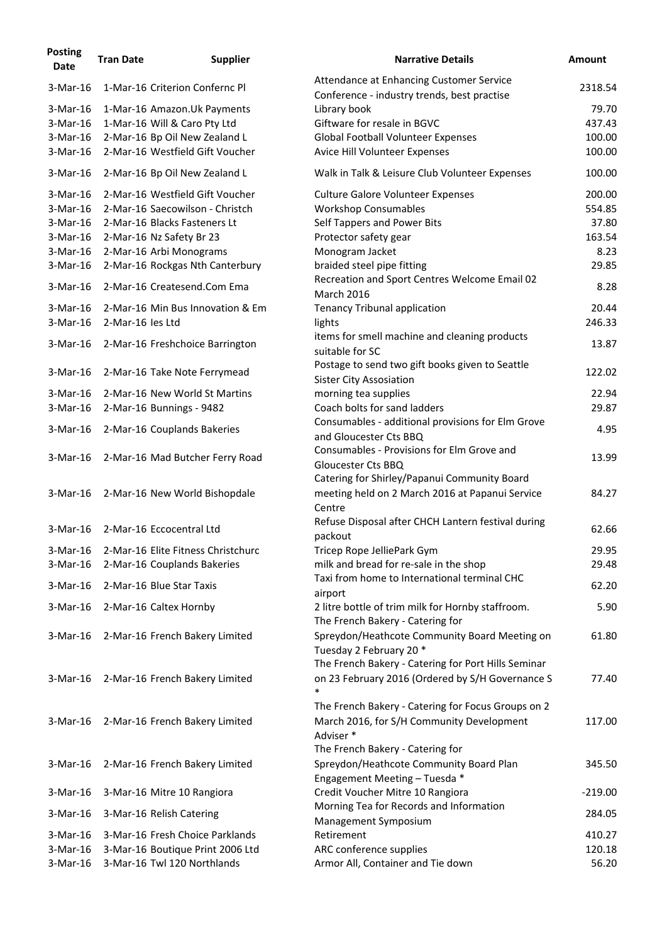| <b>Posting</b><br><b>Date</b> | <b>Tran Date</b> | <b>Supplier</b>                    | <b>Narrative Details</b>                                                                | <b>Amount</b> |
|-------------------------------|------------------|------------------------------------|-----------------------------------------------------------------------------------------|---------------|
| 3-Mar-16                      |                  | 1-Mar-16 Criterion Confernc Pl     | Attendance at Enhancing Customer Service<br>Conference - industry trends, best practise | 2318.54       |
| 3-Mar-16                      |                  | 1-Mar-16 Amazon. Uk Payments       | Library book                                                                            | 79.70         |
| 3-Mar-16                      |                  | 1-Mar-16 Will & Caro Pty Ltd       | Giftware for resale in BGVC                                                             | 437.43        |
| $3-Mar-16$                    |                  | 2-Mar-16 Bp Oil New Zealand L      | <b>Global Football Volunteer Expenses</b>                                               | 100.00        |
| 3-Mar-16                      |                  | 2-Mar-16 Westfield Gift Voucher    | Avice Hill Volunteer Expenses                                                           | 100.00        |
| $3-Mar-16$                    |                  | 2-Mar-16 Bp Oil New Zealand L      | Walk in Talk & Leisure Club Volunteer Expenses                                          | 100.00        |
| 3-Mar-16                      |                  | 2-Mar-16 Westfield Gift Voucher    | <b>Culture Galore Volunteer Expenses</b>                                                | 200.00        |
| 3-Mar-16                      |                  | 2-Mar-16 Saecowilson - Christch    | <b>Workshop Consumables</b>                                                             | 554.85        |
| 3-Mar-16                      |                  | 2-Mar-16 Blacks Fasteners Lt       | Self Tappers and Power Bits                                                             | 37.80         |
| 3-Mar-16                      |                  | 2-Mar-16 Nz Safety Br 23           | Protector safety gear                                                                   | 163.54        |
| 3-Mar-16                      |                  | 2-Mar-16 Arbi Monograms            | Monogram Jacket                                                                         | 8.23          |
| 3-Mar-16                      |                  | 2-Mar-16 Rockgas Nth Canterbury    | braided steel pipe fitting                                                              | 29.85         |
| 3-Mar-16                      |                  | 2-Mar-16 Createsend.Com Ema        | Recreation and Sport Centres Welcome Email 02<br><b>March 2016</b>                      | 8.28          |
| 3-Mar-16                      |                  | 2-Mar-16 Min Bus Innovation & Em   | <b>Tenancy Tribunal application</b>                                                     | 20.44         |
| $3-Mar-16$                    | 2-Mar-16 les Ltd |                                    | lights                                                                                  | 246.33        |
|                               |                  |                                    | items for smell machine and cleaning products                                           |               |
| $3-Mar-16$                    |                  | 2-Mar-16 Freshchoice Barrington    | suitable for SC                                                                         | 13.87         |
| 3-Mar-16                      |                  | 2-Mar-16 Take Note Ferrymead       | Postage to send two gift books given to Seattle<br><b>Sister City Assosiation</b>       | 122.02        |
| 3-Mar-16                      |                  | 2-Mar-16 New World St Martins      | morning tea supplies                                                                    | 22.94         |
| $3-Mar-16$                    |                  | 2-Mar-16 Bunnings - 9482           | Coach bolts for sand ladders                                                            | 29.87         |
|                               |                  |                                    | Consumables - additional provisions for Elm Grove                                       |               |
| 3-Mar-16                      |                  | 2-Mar-16 Couplands Bakeries        | and Gloucester Cts BBQ                                                                  | 4.95          |
|                               |                  |                                    | Consumables - Provisions for Elm Grove and                                              |               |
| 3-Mar-16                      |                  | 2-Mar-16 Mad Butcher Ferry Road    | <b>Gloucester Cts BBQ</b><br>Catering for Shirley/Papanui Community Board               | 13.99         |
| 3-Mar-16                      |                  | 2-Mar-16 New World Bishopdale      | meeting held on 2 March 2016 at Papanui Service<br>Centre                               | 84.27         |
| $3-Mar-16$                    |                  | 2-Mar-16 Eccocentral Ltd           | Refuse Disposal after CHCH Lantern festival during                                      | 62.66         |
| $3-Mar-16$                    |                  | 2-Mar-16 Elite Fitness Christchurc | packout                                                                                 | 29.95         |
| $3-Mar-16$                    |                  |                                    | Tricep Rope JelliePark Gym<br>milk and bread for re-sale in the shop                    | 29.48         |
|                               |                  | 2-Mar-16 Couplands Bakeries        | Taxi from home to International terminal CHC                                            |               |
| $3-Mar-16$                    |                  | 2-Mar-16 Blue Star Taxis           | airport                                                                                 | 62.20         |
| $3-Mar-16$                    |                  | 2-Mar-16 Caltex Hornby             | 2 litre bottle of trim milk for Hornby staffroom.<br>The French Bakery - Catering for   | 5.90          |
| 3-Mar-16                      |                  | 2-Mar-16 French Bakery Limited     | Spreydon/Heathcote Community Board Meeting on                                           | 61.80         |
|                               |                  |                                    | Tuesday 2 February 20 *                                                                 |               |
|                               |                  |                                    | The French Bakery - Catering for Port Hills Seminar                                     |               |
| $3-Mar-16$                    |                  | 2-Mar-16 French Bakery Limited     | on 23 February 2016 (Ordered by S/H Governance S<br>*                                   | 77.40         |
|                               |                  |                                    | The French Bakery - Catering for Focus Groups on 2                                      |               |
| 3-Mar-16                      |                  | 2-Mar-16 French Bakery Limited     | March 2016, for S/H Community Development<br>Adviser*                                   | 117.00        |
|                               |                  |                                    | The French Bakery - Catering for                                                        |               |
| 3-Mar-16                      |                  | 2-Mar-16 French Bakery Limited     | Spreydon/Heathcote Community Board Plan                                                 | 345.50        |
|                               |                  |                                    | Engagement Meeting - Tuesda *                                                           |               |
| 3-Mar-16                      |                  | 3-Mar-16 Mitre 10 Rangiora         | Credit Voucher Mitre 10 Rangiora                                                        | $-219.00$     |
| $3-Mar-16$                    |                  | 3-Mar-16 Relish Catering           | Morning Tea for Records and Information                                                 | 284.05        |
|                               |                  |                                    | Management Symposium                                                                    |               |
| $3-Mar-16$                    |                  | 3-Mar-16 Fresh Choice Parklands    | Retirement                                                                              | 410.27        |
| $3-Mar-16$                    |                  | 3-Mar-16 Boutique Print 2006 Ltd   | ARC conference supplies                                                                 | 120.18        |
| 3-Mar-16                      |                  | 3-Mar-16 Twl 120 Northlands        | Armor All, Container and Tie down                                                       | 56.20         |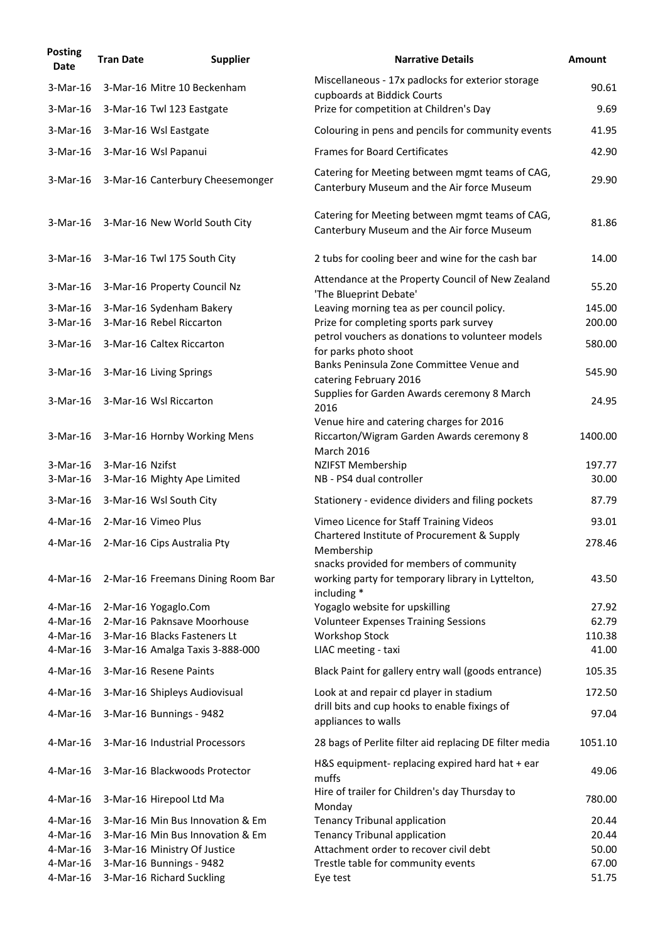| <b>Posting</b><br>Date | <b>Tran Date</b> | <b>Supplier</b>                   | <b>Narrative Details</b>                                                                                     | <b>Amount</b> |
|------------------------|------------------|-----------------------------------|--------------------------------------------------------------------------------------------------------------|---------------|
| 3-Mar-16               |                  | 3-Mar-16 Mitre 10 Beckenham       | Miscellaneous - 17x padlocks for exterior storage                                                            | 90.61         |
| 3-Mar-16               |                  | 3-Mar-16 Twl 123 Eastgate         | cupboards at Biddick Courts<br>Prize for competition at Children's Day                                       | 9.69          |
| $3-Mar-16$             |                  | 3-Mar-16 Wsl Eastgate             | Colouring in pens and pencils for community events                                                           | 41.95         |
| $3-Mar-16$             |                  | 3-Mar-16 Wsl Papanui              | <b>Frames for Board Certificates</b>                                                                         | 42.90         |
| $3-Mar-16$             |                  | 3-Mar-16 Canterbury Cheesemonger  | Catering for Meeting between mgmt teams of CAG,<br>Canterbury Museum and the Air force Museum                | 29.90         |
| $3-Mar-16$             |                  | 3-Mar-16 New World South City     | Catering for Meeting between mgmt teams of CAG,<br>Canterbury Museum and the Air force Museum                | 81.86         |
| $3-Mar-16$             |                  | 3-Mar-16 Twl 175 South City       | 2 tubs for cooling beer and wine for the cash bar                                                            | 14.00         |
| 3-Mar-16               |                  | 3-Mar-16 Property Council Nz      | Attendance at the Property Council of New Zealand<br>'The Blueprint Debate'                                  | 55.20         |
| $3-Mar-16$             |                  | 3-Mar-16 Sydenham Bakery          | Leaving morning tea as per council policy.                                                                   | 145.00        |
| 3-Mar-16               |                  | 3-Mar-16 Rebel Riccarton          | Prize for completing sports park survey                                                                      | 200.00        |
| $3-Mar-16$             |                  | 3-Mar-16 Caltex Riccarton         | petrol vouchers as donations to volunteer models<br>for parks photo shoot                                    | 580.00        |
| 3-Mar-16               |                  | 3-Mar-16 Living Springs           | Banks Peninsula Zone Committee Venue and<br>catering February 2016                                           | 545.90        |
| $3-Mar-16$             |                  | 3-Mar-16 Wsl Riccarton            | Supplies for Garden Awards ceremony 8 March<br>2016                                                          | 24.95         |
| $3-Mar-16$             |                  | 3-Mar-16 Hornby Working Mens      | Venue hire and catering charges for 2016<br>Riccarton/Wigram Garden Awards ceremony 8<br><b>March 2016</b>   | 1400.00       |
| 3-Mar-16               | 3-Mar-16 Nzifst  |                                   | NZIFST Membership                                                                                            | 197.77        |
| $3-Mar-16$             |                  | 3-Mar-16 Mighty Ape Limited       | NB - PS4 dual controller                                                                                     | 30.00         |
| 3-Mar-16               |                  | 3-Mar-16 Wsl South City           | Stationery - evidence dividers and filing pockets                                                            | 87.79         |
| 4-Mar-16               |                  | 2-Mar-16 Vimeo Plus               | Vimeo Licence for Staff Training Videos                                                                      | 93.01         |
| 4-Mar-16               |                  | 2-Mar-16 Cips Australia Pty       | Chartered Institute of Procurement & Supply<br>Membership                                                    | 278.46        |
| 4-Mar-16               |                  | 2-Mar-16 Freemans Dining Room Bar | snacks provided for members of community<br>working party for temporary library in Lyttelton,<br>including * | 43.50         |
| 4-Mar-16               |                  | 2-Mar-16 Yogaglo.Com              | Yogaglo website for upskilling                                                                               | 27.92         |
| 4-Mar-16               |                  | 2-Mar-16 Paknsave Moorhouse       | <b>Volunteer Expenses Training Sessions</b>                                                                  | 62.79         |
| 4-Mar-16               |                  | 3-Mar-16 Blacks Fasteners Lt      | <b>Workshop Stock</b>                                                                                        | 110.38        |
| 4-Mar-16               |                  | 3-Mar-16 Amalga Taxis 3-888-000   | LIAC meeting - taxi                                                                                          | 41.00         |
| 4-Mar-16               |                  | 3-Mar-16 Resene Paints            | Black Paint for gallery entry wall (goods entrance)                                                          | 105.35        |
| 4-Mar-16               |                  | 3-Mar-16 Shipleys Audiovisual     | Look at and repair cd player in stadium                                                                      | 172.50        |
| 4-Mar-16               |                  | 3-Mar-16 Bunnings - 9482          | drill bits and cup hooks to enable fixings of<br>appliances to walls                                         | 97.04         |
| 4-Mar-16               |                  | 3-Mar-16 Industrial Processors    | 28 bags of Perlite filter aid replacing DE filter media                                                      | 1051.10       |
| 4-Mar-16               |                  | 3-Mar-16 Blackwoods Protector     | H&S equipment- replacing expired hard hat + ear<br>muffs                                                     | 49.06         |
| 4-Mar-16               |                  | 3-Mar-16 Hirepool Ltd Ma          | Hire of trailer for Children's day Thursday to<br>Monday                                                     | 780.00        |
| 4-Mar-16               |                  | 3-Mar-16 Min Bus Innovation & Em  | <b>Tenancy Tribunal application</b>                                                                          | 20.44         |
| $4$ -Mar-16            |                  | 3-Mar-16 Min Bus Innovation & Em  | <b>Tenancy Tribunal application</b>                                                                          | 20.44         |
| 4-Mar-16               |                  | 3-Mar-16 Ministry Of Justice      | Attachment order to recover civil debt                                                                       | 50.00         |
| $4-Mar-16$             |                  | 3-Mar-16 Bunnings - 9482          | Trestle table for community events                                                                           | 67.00         |
| 4-Mar-16               |                  | 3-Mar-16 Richard Suckling         | Eye test                                                                                                     | 51.75         |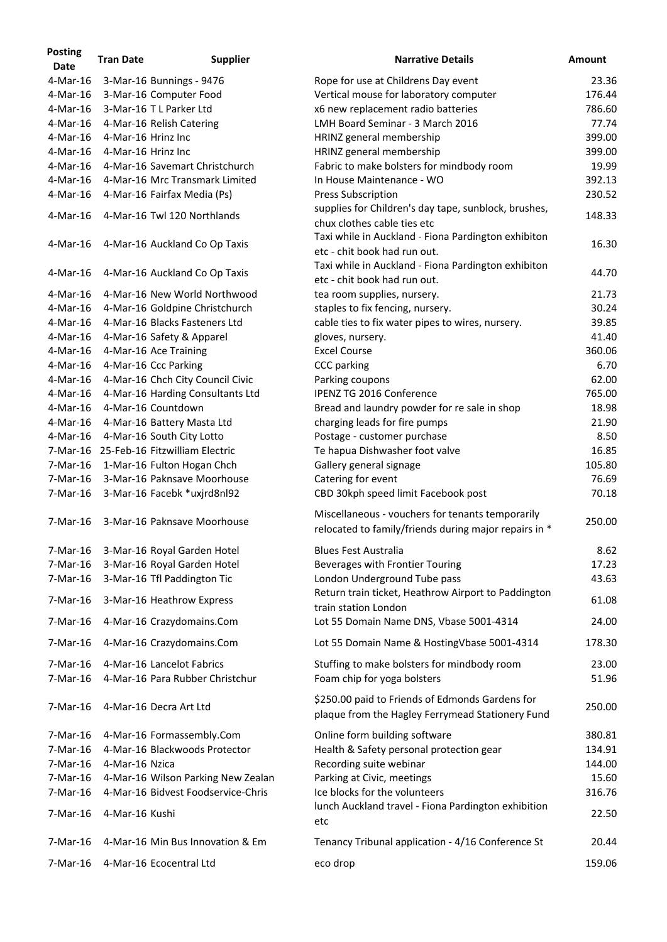| <b>Posting</b><br><b>Date</b> | <b>Tran Date</b>   | <b>Supplier</b>                         | <b>Narrative Details</b>                                                                                  | <b>Amount</b> |
|-------------------------------|--------------------|-----------------------------------------|-----------------------------------------------------------------------------------------------------------|---------------|
| 4-Mar-16                      |                    | 3-Mar-16 Bunnings - 9476                | Rope for use at Childrens Day event                                                                       | 23.36         |
| 4-Mar-16                      |                    | 3-Mar-16 Computer Food                  | Vertical mouse for laboratory computer                                                                    | 176.44        |
| $4$ -Mar-16                   |                    | 3-Mar-16 T L Parker Ltd                 | x6 new replacement radio batteries                                                                        | 786.60        |
| 4-Mar-16                      |                    | 4-Mar-16 Relish Catering                | LMH Board Seminar - 3 March 2016                                                                          | 77.74         |
| 4-Mar-16                      | 4-Mar-16 Hrinz Inc |                                         | HRINZ general membership                                                                                  | 399.00        |
| 4-Mar-16                      | 4-Mar-16 Hrinz Inc |                                         | HRINZ general membership                                                                                  | 399.00        |
| 4-Mar-16                      |                    | 4-Mar-16 Savemart Christchurch          | Fabric to make bolsters for mindbody room                                                                 | 19.99         |
| 4-Mar-16                      |                    | 4-Mar-16 Mrc Transmark Limited          | In House Maintenance - WO                                                                                 | 392.13        |
| 4-Mar-16                      |                    | 4-Mar-16 Fairfax Media (Ps)             | <b>Press Subscription</b>                                                                                 | 230.52        |
| 4-Mar-16                      |                    | 4-Mar-16 Twl 120 Northlands             | supplies for Children's day tape, sunblock, brushes,<br>chux clothes cable ties etc                       | 148.33        |
| 4-Mar-16                      |                    | 4-Mar-16 Auckland Co Op Taxis           | Taxi while in Auckland - Fiona Pardington exhibiton<br>etc - chit book had run out.                       | 16.30         |
| 4-Mar-16                      |                    | 4-Mar-16 Auckland Co Op Taxis           | Taxi while in Auckland - Fiona Pardington exhibiton<br>etc - chit book had run out.                       | 44.70         |
| 4-Mar-16                      |                    | 4-Mar-16 New World Northwood            | tea room supplies, nursery.                                                                               | 21.73         |
| 4-Mar-16                      |                    | 4-Mar-16 Goldpine Christchurch          | staples to fix fencing, nursery.                                                                          | 30.24         |
| 4-Mar-16                      |                    | 4-Mar-16 Blacks Fasteners Ltd           | cable ties to fix water pipes to wires, nursery.                                                          | 39.85         |
| 4-Mar-16                      |                    | 4-Mar-16 Safety & Apparel               | gloves, nursery.                                                                                          | 41.40         |
| 4-Mar-16                      |                    | 4-Mar-16 Ace Training                   | <b>Excel Course</b>                                                                                       | 360.06        |
| 4-Mar-16                      |                    | 4-Mar-16 Ccc Parking                    | <b>CCC</b> parking                                                                                        | 6.70          |
| 4-Mar-16                      |                    | 4-Mar-16 Chch City Council Civic        | Parking coupons                                                                                           | 62.00         |
| 4-Mar-16                      |                    | 4-Mar-16 Harding Consultants Ltd        | <b>IPENZ TG 2016 Conference</b>                                                                           | 765.00        |
| 4-Mar-16                      |                    | 4-Mar-16 Countdown                      | Bread and laundry powder for re sale in shop                                                              | 18.98         |
| 4-Mar-16                      |                    | 4-Mar-16 Battery Masta Ltd              | charging leads for fire pumps                                                                             | 21.90         |
| 4-Mar-16                      |                    | 4-Mar-16 South City Lotto               | Postage - customer purchase                                                                               | 8.50          |
|                               |                    | 7-Mar-16 25-Feb-16 Fitzwilliam Electric | Te hapua Dishwasher foot valve                                                                            | 16.85         |
|                               |                    | 7-Mar-16 1-Mar-16 Fulton Hogan Chch     | Gallery general signage                                                                                   | 105.80        |
| 7-Mar-16                      |                    | 3-Mar-16 Paknsave Moorhouse             | Catering for event                                                                                        | 76.69         |
| 7-Mar-16                      |                    | 3-Mar-16 Facebk *uxjrd8nl92             |                                                                                                           | 70.18         |
|                               |                    |                                         | CBD 30kph speed limit Facebook post                                                                       |               |
| 7-Mar-16                      |                    | 3-Mar-16 Paknsave Moorhouse             | Miscellaneous - vouchers for tenants temporarily<br>relocated to family/friends during major repairs in * | 250.00        |
| 7-Mar-16                      |                    | 3-Mar-16 Royal Garden Hotel             | <b>Blues Fest Australia</b>                                                                               | 8.62          |
| $7-Mar-16$                    |                    | 3-Mar-16 Royal Garden Hotel             | Beverages with Frontier Touring                                                                           | 17.23         |
| 7-Mar-16                      |                    | 3-Mar-16 Tfl Paddington Tic             | London Underground Tube pass                                                                              | 43.63         |
| 7-Mar-16                      |                    | 3-Mar-16 Heathrow Express               | Return train ticket, Heathrow Airport to Paddington<br>train station London                               | 61.08         |
| 7-Mar-16                      |                    | 4-Mar-16 Crazydomains.Com               | Lot 55 Domain Name DNS, Vbase 5001-4314                                                                   | 24.00         |
| 7-Mar-16                      |                    | 4-Mar-16 Crazydomains.Com               | Lot 55 Domain Name & HostingVbase 5001-4314                                                               | 178.30        |
| 7-Mar-16                      |                    | 4-Mar-16 Lancelot Fabrics               | Stuffing to make bolsters for mindbody room                                                               | 23.00         |
| 7-Mar-16                      |                    | 4-Mar-16 Para Rubber Christchur         | Foam chip for yoga bolsters                                                                               | 51.96         |
| 7-Mar-16                      |                    | 4-Mar-16 Decra Art Ltd                  | \$250.00 paid to Friends of Edmonds Gardens for<br>plaque from the Hagley Ferrymead Stationery Fund       | 250.00        |
| 7-Mar-16                      |                    | 4-Mar-16 Formassembly.Com               | Online form building software                                                                             | 380.81        |
| 7-Mar-16                      |                    | 4-Mar-16 Blackwoods Protector           | Health & Safety personal protection gear                                                                  | 134.91        |
| 7-Mar-16                      | 4-Mar-16 Nzica     |                                         | Recording suite webinar                                                                                   | 144.00        |
| 7-Mar-16                      |                    | 4-Mar-16 Wilson Parking New Zealan      | Parking at Civic, meetings                                                                                | 15.60         |
| 7-Mar-16                      |                    | 4-Mar-16 Bidvest Foodservice-Chris      | Ice blocks for the volunteers                                                                             | 316.76        |
| 7-Mar-16                      | 4-Mar-16 Kushi     |                                         | lunch Auckland travel - Fiona Pardington exhibition<br>etc                                                | 22.50         |
| $7-Mar-16$                    |                    | 4-Mar-16 Min Bus Innovation & Em        | Tenancy Tribunal application - 4/16 Conference St                                                         | 20.44         |
| 7-Mar-16                      |                    | 4-Mar-16 Ecocentral Ltd                 | eco drop                                                                                                  | 159.06        |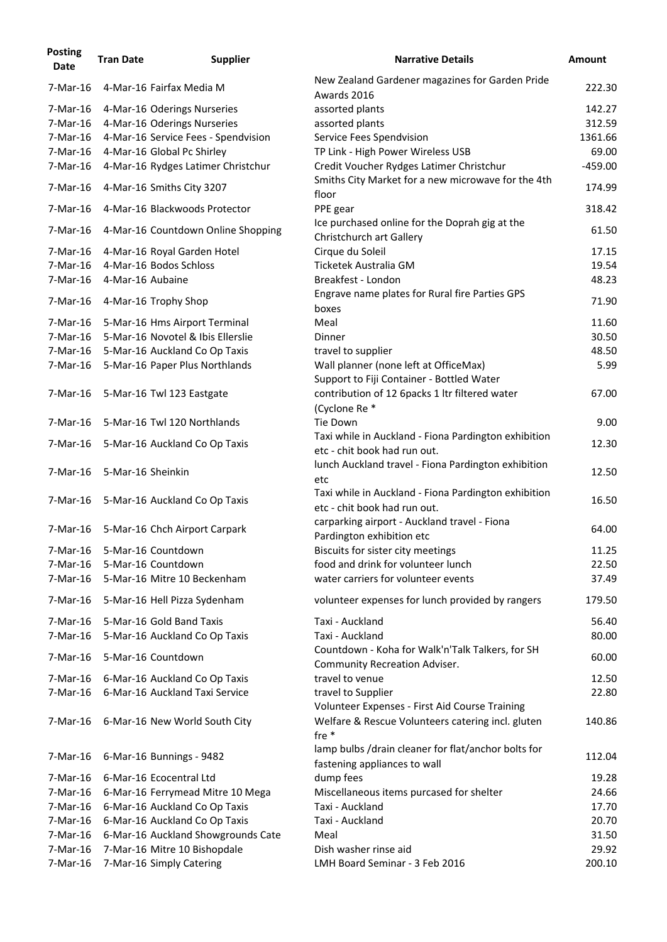| <b>Posting</b><br><b>Date</b> | <b>Tran Date</b>  | <b>Supplier</b>                     | <b>Narrative Details</b>                                                                            | <b>Amount</b> |
|-------------------------------|-------------------|-------------------------------------|-----------------------------------------------------------------------------------------------------|---------------|
| 7-Mar-16                      |                   | 4-Mar-16 Fairfax Media M            | New Zealand Gardener magazines for Garden Pride<br>Awards 2016                                      | 222.30        |
| 7-Mar-16                      |                   | 4-Mar-16 Oderings Nurseries         | assorted plants                                                                                     | 142.27        |
| 7-Mar-16                      |                   | 4-Mar-16 Oderings Nurseries         | assorted plants                                                                                     | 312.59        |
| $7-Mar-16$                    |                   | 4-Mar-16 Service Fees - Spendvision | Service Fees Spendvision                                                                            | 1361.66       |
| 7-Mar-16                      |                   | 4-Mar-16 Global Pc Shirley          | TP Link - High Power Wireless USB                                                                   | 69.00         |
| 7-Mar-16                      |                   | 4-Mar-16 Rydges Latimer Christchur  | Credit Voucher Rydges Latimer Christchur<br>Smiths City Market for a new microwave for the 4th      | $-459.00$     |
| 7-Mar-16                      |                   | 4-Mar-16 Smiths City 3207           | floor                                                                                               | 174.99        |
| 7-Mar-16                      |                   | 4-Mar-16 Blackwoods Protector       | PPE gear<br>Ice purchased online for the Doprah gig at the                                          | 318.42        |
| 7-Mar-16                      |                   | 4-Mar-16 Countdown Online Shopping  | Christchurch art Gallery                                                                            | 61.50         |
| 7-Mar-16                      |                   | 4-Mar-16 Royal Garden Hotel         | Cirque du Soleil                                                                                    | 17.15         |
| 7-Mar-16                      |                   | 4-Mar-16 Bodos Schloss              | Ticketek Australia GM                                                                               | 19.54         |
| 7-Mar-16                      | 4-Mar-16 Aubaine  |                                     | Breakfest - London                                                                                  | 48.23         |
| 7-Mar-16                      |                   | 4-Mar-16 Trophy Shop                | Engrave name plates for Rural fire Parties GPS<br>boxes                                             | 71.90         |
| 7-Mar-16                      |                   | 5-Mar-16 Hms Airport Terminal       | Meal                                                                                                | 11.60         |
| 7-Mar-16                      |                   | 5-Mar-16 Novotel & Ibis Ellerslie   | Dinner                                                                                              | 30.50         |
| 7-Mar-16                      |                   | 5-Mar-16 Auckland Co Op Taxis       | travel to supplier                                                                                  | 48.50         |
| 7-Mar-16                      |                   | 5-Mar-16 Paper Plus Northlands      | Wall planner (none left at OfficeMax)<br>Support to Fiji Container - Bottled Water                  | 5.99          |
| 7-Mar-16                      |                   | 5-Mar-16 Twl 123 Eastgate           | contribution of 12 6packs 1 ltr filtered water<br>(Cyclone Re *                                     | 67.00         |
| 7-Mar-16                      |                   | 5-Mar-16 Twl 120 Northlands         | Tie Down                                                                                            | 9.00          |
| 7-Mar-16                      |                   | 5-Mar-16 Auckland Co Op Taxis       | Taxi while in Auckland - Fiona Pardington exhibition<br>etc - chit book had run out.                | 12.30         |
| 7-Mar-16                      | 5-Mar-16 Sheinkin |                                     | lunch Auckland travel - Fiona Pardington exhibition<br>etc                                          | 12.50         |
| 7-Mar-16                      |                   | 5-Mar-16 Auckland Co Op Taxis       | Taxi while in Auckland - Fiona Pardington exhibition<br>etc - chit book had run out.                | 16.50         |
| 7-Mar-16                      |                   | 5-Mar-16 Chch Airport Carpark       | carparking airport - Auckland travel - Fiona<br>Pardington exhibition etc                           | 64.00         |
| 7-Mar-16                      |                   | 5-Mar-16 Countdown                  | Biscuits for sister city meetings                                                                   | 11.25         |
| $7-Mar-16$                    |                   | 5-Mar-16 Countdown                  | food and drink for volunteer lunch                                                                  | 22.50         |
| 7-Mar-16                      |                   | 5-Mar-16 Mitre 10 Beckenham         | water carriers for volunteer events                                                                 | 37.49         |
| 7-Mar-16                      |                   | 5-Mar-16 Hell Pizza Sydenham        | volunteer expenses for lunch provided by rangers                                                    | 179.50        |
| 7-Mar-16                      |                   | 5-Mar-16 Gold Band Taxis            | Taxi - Auckland                                                                                     | 56.40         |
| 7-Mar-16                      |                   | 5-Mar-16 Auckland Co Op Taxis       | Taxi - Auckland                                                                                     | 80.00         |
| 7-Mar-16                      |                   | 5-Mar-16 Countdown                  | Countdown - Koha for Walk'n'Talk Talkers, for SH                                                    | 60.00         |
|                               |                   |                                     | <b>Community Recreation Adviser.</b>                                                                |               |
| 7-Mar-16                      |                   | 6-Mar-16 Auckland Co Op Taxis       | travel to venue                                                                                     | 12.50         |
| 7-Mar-16                      |                   | 6-Mar-16 Auckland Taxi Service      | travel to Supplier                                                                                  | 22.80         |
| 7-Mar-16                      |                   | 6-Mar-16 New World South City       | Volunteer Expenses - First Aid Course Training<br>Welfare & Rescue Volunteers catering incl. gluten | 140.86        |
|                               |                   |                                     | fre $*$<br>lamp bulbs /drain cleaner for flat/anchor bolts for                                      |               |
| 7-Mar-16                      |                   | 6-Mar-16 Bunnings - 9482            | fastening appliances to wall                                                                        | 112.04        |
| $7-Mar-16$                    |                   | 6-Mar-16 Ecocentral Ltd             | dump fees                                                                                           | 19.28         |
| 7-Mar-16                      |                   | 6-Mar-16 Ferrymead Mitre 10 Mega    | Miscellaneous items purcased for shelter                                                            | 24.66         |
| 7-Mar-16                      |                   | 6-Mar-16 Auckland Co Op Taxis       | Taxi - Auckland                                                                                     | 17.70         |
| 7-Mar-16                      |                   | 6-Mar-16 Auckland Co Op Taxis       | Taxi - Auckland                                                                                     | 20.70         |
| 7-Mar-16                      |                   | 6-Mar-16 Auckland Showgrounds Cate  | Meal                                                                                                | 31.50         |
| $7-Mar-16$                    |                   | 7-Mar-16 Mitre 10 Bishopdale        | Dish washer rinse aid                                                                               | 29.92         |
| 7-Mar-16                      |                   | 7-Mar-16 Simply Catering            | LMH Board Seminar - 3 Feb 2016                                                                      | 200.10        |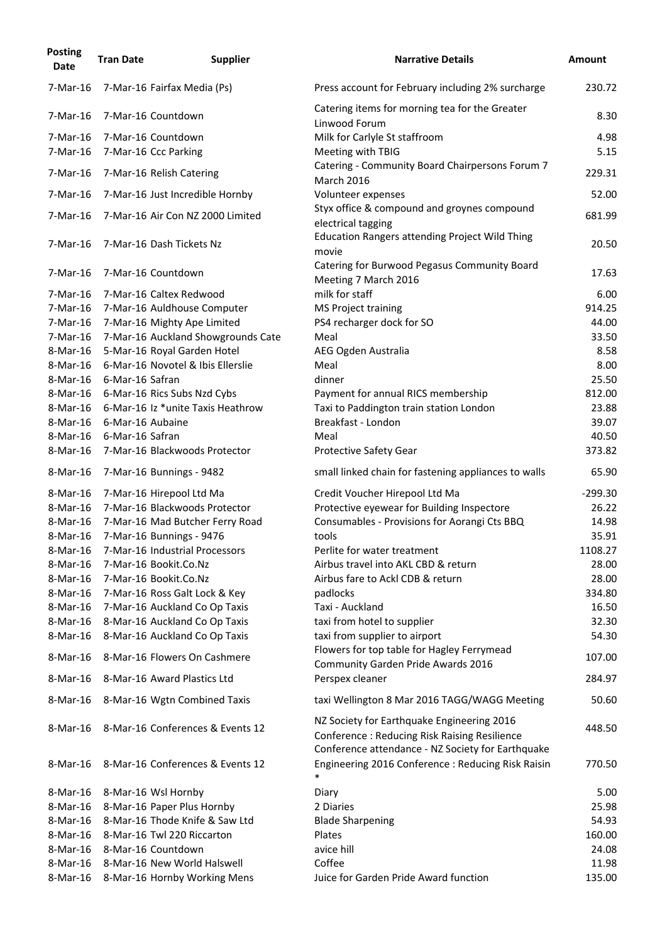| <b>Posting</b><br><b>Date</b> | <b>Tran Date</b> | <b>Supplier</b>                                               | <b>Narrative Details</b>                                                                                                                        | <b>Amount</b> |
|-------------------------------|------------------|---------------------------------------------------------------|-------------------------------------------------------------------------------------------------------------------------------------------------|---------------|
| 7-Mar-16                      |                  | 7-Mar-16 Fairfax Media (Ps)                                   | Press account for February including 2% surcharge                                                                                               | 230.72        |
| 7-Mar-16                      |                  | 7-Mar-16 Countdown                                            | Catering items for morning tea for the Greater<br>Linwood Forum                                                                                 | 8.30          |
| 7-Mar-16                      |                  | 7-Mar-16 Countdown                                            | Milk for Carlyle St staffroom                                                                                                                   | 4.98          |
| 7-Mar-16                      |                  | 7-Mar-16 Ccc Parking                                          | Meeting with TBIG                                                                                                                               | 5.15          |
| 7-Mar-16                      |                  | 7-Mar-16 Relish Catering                                      | Catering - Community Board Chairpersons Forum 7<br><b>March 2016</b>                                                                            | 229.31        |
| 7-Mar-16                      |                  | 7-Mar-16 Just Incredible Hornby                               | Volunteer expenses                                                                                                                              | 52.00         |
| 7-Mar-16                      |                  | 7-Mar-16 Air Con NZ 2000 Limited                              | Styx office & compound and groynes compound<br>electrical tagging                                                                               | 681.99        |
| 7-Mar-16                      |                  | 7-Mar-16 Dash Tickets Nz                                      | <b>Education Rangers attending Project Wild Thing</b><br>movie                                                                                  | 20.50         |
| 7-Mar-16                      |                  | 7-Mar-16 Countdown                                            | Catering for Burwood Pegasus Community Board<br>Meeting 7 March 2016                                                                            | 17.63         |
| 7-Mar-16                      |                  | 7-Mar-16 Caltex Redwood                                       | milk for staff                                                                                                                                  | 6.00          |
| 7-Mar-16                      |                  | 7-Mar-16 Auldhouse Computer                                   | MS Project training                                                                                                                             | 914.25        |
| 7-Mar-16                      |                  | 7-Mar-16 Mighty Ape Limited                                   | PS4 recharger dock for SO                                                                                                                       | 44.00         |
| 7-Mar-16                      |                  | 7-Mar-16 Auckland Showgrounds Cate                            | Meal                                                                                                                                            | 33.50         |
| 8-Mar-16                      |                  | 5-Mar-16 Royal Garden Hotel                                   | AEG Ogden Australia                                                                                                                             | 8.58          |
| 8-Mar-16                      |                  | 6-Mar-16 Novotel & Ibis Ellerslie                             | Meal                                                                                                                                            | 8.00          |
| 8-Mar-16                      | 6-Mar-16 Safran  |                                                               | dinner                                                                                                                                          | 25.50         |
| 8-Mar-16                      |                  | 6-Mar-16 Rics Subs Nzd Cybs                                   | Payment for annual RICS membership                                                                                                              | 812.00        |
| 8-Mar-16                      |                  | 6-Mar-16 Iz *unite Taxis Heathrow                             | Taxi to Paddington train station London                                                                                                         | 23.88         |
| 8-Mar-16                      | 6-Mar-16 Aubaine |                                                               | Breakfast - London                                                                                                                              | 39.07         |
| 8-Mar-16                      | 6-Mar-16 Safran  |                                                               | Meal                                                                                                                                            | 40.50         |
| 8-Mar-16                      |                  | 7-Mar-16 Blackwoods Protector                                 | <b>Protective Safety Gear</b>                                                                                                                   | 373.82        |
| 8-Mar-16                      |                  | 7-Mar-16 Bunnings - 9482                                      | small linked chain for fastening appliances to walls                                                                                            | 65.90         |
| 8-Mar-16                      |                  | 7-Mar-16 Hirepool Ltd Ma                                      | Credit Voucher Hirepool Ltd Ma                                                                                                                  | $-299.30$     |
| 8-Mar-16                      |                  | 7-Mar-16 Blackwoods Protector                                 | Protective eyewear for Building Inspectore                                                                                                      | 26.22         |
| 8-Mar-16                      |                  | 7-Mar-16 Mad Butcher Ferry Road                               | Consumables - Provisions for Aorangi Cts BBQ                                                                                                    | 14.98         |
| 8-Mar-16                      |                  | 7-Mar-16 Bunnings - 9476                                      | tools                                                                                                                                           | 35.91         |
| 8-Mar-16                      |                  | 7-Mar-16 Industrial Processors                                | Perlite for water treatment                                                                                                                     | 1108.27       |
| 8-Mar-16                      |                  | 7-Mar-16 Bookit.Co.Nz                                         | Airbus travel into AKL CBD & return                                                                                                             | 28.00         |
| 8-Mar-16                      |                  | 7-Mar-16 Bookit.Co.Nz                                         | Airbus fare to Ackl CDB & return                                                                                                                | 28.00         |
| 8-Mar-16                      |                  | 7-Mar-16 Ross Galt Lock & Key                                 | padlocks                                                                                                                                        | 334.80        |
| 8-Mar-16                      |                  | 7-Mar-16 Auckland Co Op Taxis                                 | Taxi - Auckland                                                                                                                                 | 16.50         |
| 8-Mar-16                      |                  | 8-Mar-16 Auckland Co Op Taxis                                 | taxi from hotel to supplier                                                                                                                     | 32.30         |
|                               |                  |                                                               |                                                                                                                                                 | 54.30         |
| 8-Mar-16<br>8-Mar-16          |                  | 8-Mar-16 Auckland Co Op Taxis<br>8-Mar-16 Flowers On Cashmere | taxi from supplier to airport<br>Flowers for top table for Hagley Ferrymead                                                                     | 107.00        |
| 8-Mar-16                      |                  | 8-Mar-16 Award Plastics Ltd                                   | Community Garden Pride Awards 2016<br>Perspex cleaner                                                                                           | 284.97        |
| 8-Mar-16                      |                  | 8-Mar-16 Wgtn Combined Taxis                                  | taxi Wellington 8 Mar 2016 TAGG/WAGG Meeting                                                                                                    | 50.60         |
| 8-Mar-16                      |                  | 8-Mar-16 Conferences & Events 12                              | NZ Society for Earthquake Engineering 2016<br>Conference: Reducing Risk Raising Resilience<br>Conference attendance - NZ Society for Earthquake | 448.50        |
| 8-Mar-16                      |                  | 8-Mar-16 Conferences & Events 12                              | Engineering 2016 Conference : Reducing Risk Raisin<br>$\ast$                                                                                    | 770.50        |
| 8-Mar-16                      |                  | 8-Mar-16 Wsl Hornby                                           | Diary                                                                                                                                           | 5.00          |
| 8-Mar-16                      |                  | 8-Mar-16 Paper Plus Hornby                                    | 2 Diaries                                                                                                                                       | 25.98         |
| 8-Mar-16                      |                  | 8-Mar-16 Thode Knife & Saw Ltd                                | <b>Blade Sharpening</b>                                                                                                                         | 54.93         |
| 8-Mar-16                      |                  | 8-Mar-16 Twl 220 Riccarton                                    | Plates                                                                                                                                          | 160.00        |
| 8-Mar-16                      |                  | 8-Mar-16 Countdown                                            | avice hill                                                                                                                                      | 24.08         |
| 8-Mar-16                      |                  | 8-Mar-16 New World Halswell                                   | Coffee                                                                                                                                          | 11.98         |
| 8-Mar-16                      |                  | 8-Mar-16 Hornby Working Mens                                  | Juice for Garden Pride Award function                                                                                                           | 135.00        |
|                               |                  |                                                               |                                                                                                                                                 |               |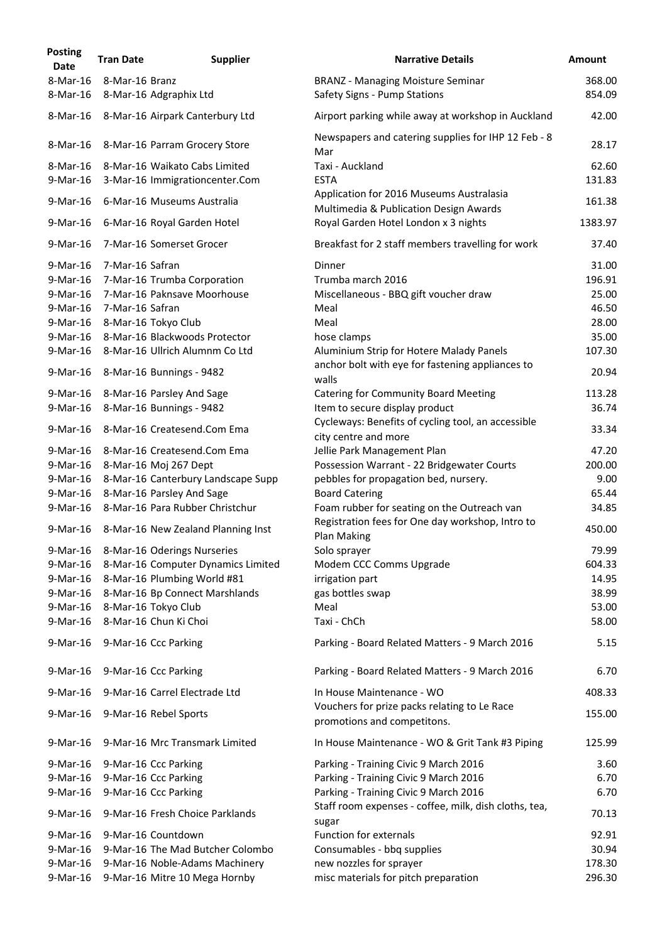| <b>Posting</b><br><b>Date</b> | <b>Tran Date</b> | <b>Supplier</b>                                                 | <b>Narrative Details</b>                                                           | <b>Amount</b>    |
|-------------------------------|------------------|-----------------------------------------------------------------|------------------------------------------------------------------------------------|------------------|
| 8-Mar-16<br>8-Mar-16          | 8-Mar-16 Branz   | 8-Mar-16 Adgraphix Ltd                                          | <b>BRANZ - Managing Moisture Seminar</b><br>Safety Signs - Pump Stations           | 368.00<br>854.09 |
| 8-Mar-16                      |                  | 8-Mar-16 Airpark Canterbury Ltd                                 | Airport parking while away at workshop in Auckland                                 | 42.00            |
|                               |                  |                                                                 | Newspapers and catering supplies for IHP 12 Feb - 8                                |                  |
| 8-Mar-16                      |                  | 8-Mar-16 Parram Grocery Store                                   | Mar                                                                                | 28.17            |
| 8-Mar-16<br>9-Mar-16          |                  | 8-Mar-16 Waikato Cabs Limited<br>3-Mar-16 Immigrationcenter.Com | Taxi - Auckland<br><b>ESTA</b>                                                     | 62.60<br>131.83  |
| 9-Mar-16                      |                  | 6-Mar-16 Museums Australia                                      | Application for 2016 Museums Australasia<br>Multimedia & Publication Design Awards | 161.38           |
| 9-Mar-16                      |                  | 6-Mar-16 Royal Garden Hotel                                     | Royal Garden Hotel London x 3 nights                                               | 1383.97          |
| 9-Mar-16                      |                  | 7-Mar-16 Somerset Grocer                                        | Breakfast for 2 staff members travelling for work                                  | 37.40            |
| 9-Mar-16                      | 7-Mar-16 Safran  |                                                                 | Dinner                                                                             | 31.00            |
| 9-Mar-16                      |                  | 7-Mar-16 Trumba Corporation                                     | Trumba march 2016                                                                  | 196.91           |
| 9-Mar-16                      |                  | 7-Mar-16 Paknsave Moorhouse                                     | Miscellaneous - BBQ gift voucher draw                                              | 25.00            |
| 9-Mar-16                      | 7-Mar-16 Safran  |                                                                 | Meal                                                                               | 46.50            |
| 9-Mar-16                      |                  | 8-Mar-16 Tokyo Club                                             | Meal                                                                               | 28.00            |
| 9-Mar-16                      |                  | 8-Mar-16 Blackwoods Protector                                   | hose clamps                                                                        | 35.00            |
| 9-Mar-16                      |                  | 8-Mar-16 Ullrich Alumnm Co Ltd                                  | Aluminium Strip for Hotere Malady Panels                                           | 107.30           |
| 9-Mar-16                      |                  | 8-Mar-16 Bunnings - 9482                                        | anchor bolt with eye for fastening appliances to<br>walls                          | 20.94            |
| 9-Mar-16                      |                  | 8-Mar-16 Parsley And Sage                                       | <b>Catering for Community Board Meeting</b>                                        | 113.28           |
| 9-Mar-16                      |                  | 8-Mar-16 Bunnings - 9482                                        | Item to secure display product                                                     | 36.74            |
| 9-Mar-16                      |                  | 8-Mar-16 Createsend.Com Ema                                     | Cycleways: Benefits of cycling tool, an accessible<br>city centre and more         | 33.34            |
| 9-Mar-16                      |                  | 8-Mar-16 Createsend.Com Ema                                     | Jellie Park Management Plan                                                        | 47.20            |
| 9-Mar-16                      |                  | 8-Mar-16 Moj 267 Dept                                           | Possession Warrant - 22 Bridgewater Courts                                         | 200.00           |
| 9-Mar-16                      |                  | 8-Mar-16 Canterbury Landscape Supp                              | pebbles for propagation bed, nursery.                                              | 9.00             |
| 9-Mar-16                      |                  | 8-Mar-16 Parsley And Sage                                       | <b>Board Catering</b>                                                              | 65.44            |
| 9-Mar-16                      |                  | 8-Mar-16 Para Rubber Christchur                                 | Foam rubber for seating on the Outreach van                                        | 34.85            |
| 9-Mar-16                      |                  | 8-Mar-16 New Zealand Planning Inst                              | Registration fees for One day workshop, Intro to<br>Plan Making                    | 450.00           |
| 9-Mar-16                      |                  | 8-Mar-16 Oderings Nurseries                                     | Solo sprayer                                                                       | 79.99            |
| 9-Mar-16                      |                  | 8-Mar-16 Computer Dynamics Limited                              | Modem CCC Comms Upgrade                                                            | 604.33           |
| 9-Mar-16                      |                  | 8-Mar-16 Plumbing World #81                                     | irrigation part                                                                    | 14.95            |
| 9-Mar-16                      |                  | 8-Mar-16 Bp Connect Marshlands                                  | gas bottles swap                                                                   | 38.99            |
| 9-Mar-16                      |                  | 8-Mar-16 Tokyo Club                                             | Meal                                                                               | 53.00            |
| 9-Mar-16                      |                  | 8-Mar-16 Chun Ki Choi                                           | Taxi - ChCh                                                                        | 58.00            |
| 9-Mar-16                      |                  | 9-Mar-16 Ccc Parking                                            | Parking - Board Related Matters - 9 March 2016                                     | 5.15             |
| 9-Mar-16                      |                  | 9-Mar-16 Ccc Parking                                            | Parking - Board Related Matters - 9 March 2016                                     | 6.70             |
| 9-Mar-16                      |                  | 9-Mar-16 Carrel Electrade Ltd                                   | In House Maintenance - WO                                                          | 408.33           |
| 9-Mar-16                      |                  | 9-Mar-16 Rebel Sports                                           | Vouchers for prize packs relating to Le Race<br>promotions and competitons.        | 155.00           |
| 9-Mar-16                      |                  | 9-Mar-16 Mrc Transmark Limited                                  | In House Maintenance - WO & Grit Tank #3 Piping                                    | 125.99           |
| 9-Mar-16                      |                  | 9-Mar-16 Ccc Parking                                            | Parking - Training Civic 9 March 2016                                              | 3.60             |
| 9-Mar-16                      |                  | 9-Mar-16 Ccc Parking                                            | Parking - Training Civic 9 March 2016                                              | 6.70             |
| 9-Mar-16                      |                  | 9-Mar-16 Ccc Parking                                            | Parking - Training Civic 9 March 2016                                              | 6.70             |
| 9-Mar-16                      |                  | 9-Mar-16 Fresh Choice Parklands                                 | Staff room expenses - coffee, milk, dish cloths, tea,<br>sugar                     | 70.13            |
| 9-Mar-16                      |                  | 9-Mar-16 Countdown                                              | <b>Function for externals</b>                                                      | 92.91            |
| 9-Mar-16                      |                  | 9-Mar-16 The Mad Butcher Colombo                                | Consumables - bbq supplies                                                         | 30.94            |
| 9-Mar-16                      |                  | 9-Mar-16 Noble-Adams Machinery                                  | new nozzles for sprayer                                                            | 178.30           |
| 9-Mar-16                      |                  | 9-Mar-16 Mitre 10 Mega Hornby                                   | misc materials for pitch preparation                                               | 296.30           |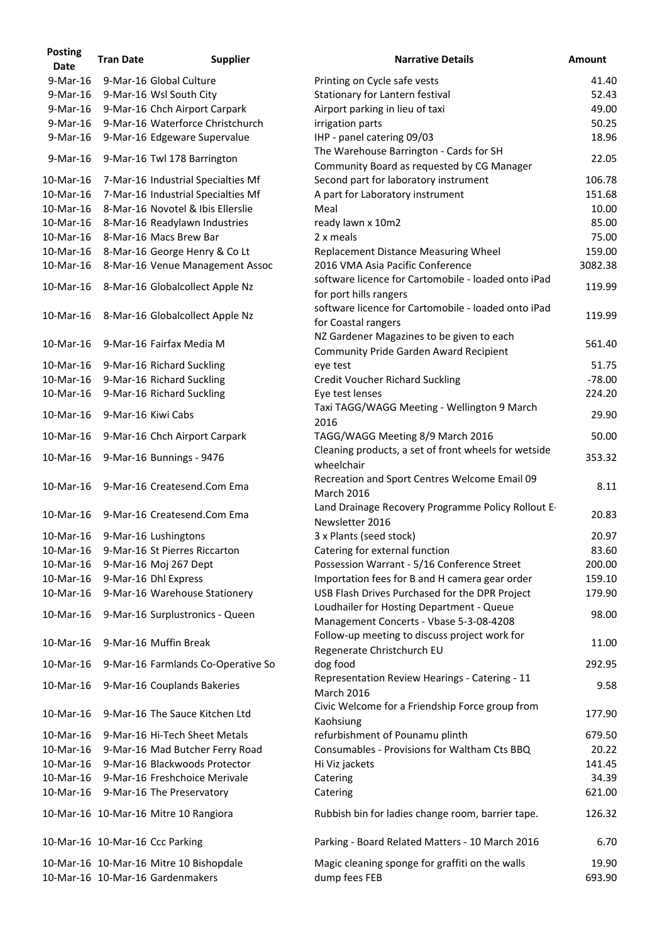| <b>Posting</b><br><b>Date</b> | <b>Tran Date</b>   | <b>Supplier</b>                                                             | <b>Narrative Details</b>                                                                   | <b>Amount</b>   |
|-------------------------------|--------------------|-----------------------------------------------------------------------------|--------------------------------------------------------------------------------------------|-----------------|
| 9-Mar-16                      |                    | 9-Mar-16 Global Culture                                                     | Printing on Cycle safe vests                                                               | 41.40           |
| 9-Mar-16                      |                    | 9-Mar-16 Wsl South City                                                     | Stationary for Lantern festival                                                            | 52.43           |
| $9$ -Mar-16                   |                    | 9-Mar-16 Chch Airport Carpark                                               | Airport parking in lieu of taxi                                                            | 49.00           |
| 9-Mar-16                      |                    | 9-Mar-16 Waterforce Christchurch                                            | irrigation parts                                                                           | 50.25           |
| 9-Mar-16                      |                    | 9-Mar-16 Edgeware Supervalue                                                | IHP - panel catering 09/03                                                                 | 18.96           |
|                               |                    |                                                                             |                                                                                            |                 |
| 9-Mar-16                      |                    | 9-Mar-16 Twl 178 Barrington                                                 | The Warehouse Barrington - Cards for SH<br>Community Board as requested by CG Manager      | 22.05           |
| 10-Mar-16                     |                    | 7-Mar-16 Industrial Specialties Mf                                          | Second part for laboratory instrument                                                      | 106.78          |
| 10-Mar-16                     |                    | 7-Mar-16 Industrial Specialties Mf                                          | A part for Laboratory instrument                                                           | 151.68          |
| 10-Mar-16                     |                    | 8-Mar-16 Novotel & Ibis Ellerslie                                           | Meal                                                                                       | 10.00           |
| 10-Mar-16                     |                    | 8-Mar-16 Readylawn Industries                                               | ready lawn x 10m2                                                                          | 85.00           |
| 10-Mar-16                     |                    | 8-Mar-16 Macs Brew Bar                                                      | 2 x meals                                                                                  | 75.00           |
| 10-Mar-16                     |                    | 8-Mar-16 George Henry & Co Lt                                               | Replacement Distance Measuring Wheel                                                       | 159.00          |
| 10-Mar-16                     |                    | 8-Mar-16 Venue Management Assoc                                             | 2016 VMA Asia Pacific Conference                                                           | 3082.38         |
| 10-Mar-16                     |                    | 8-Mar-16 Globalcollect Apple Nz                                             | software licence for Cartomobile - loaded onto iPad<br>for port hills rangers              | 119.99          |
| 10-Mar-16                     |                    | 8-Mar-16 Globalcollect Apple Nz                                             | software licence for Cartomobile - loaded onto iPad                                        | 119.99          |
|                               |                    |                                                                             | for Coastal rangers                                                                        |                 |
| 10-Mar-16                     |                    | 9-Mar-16 Fairfax Media M                                                    | NZ Gardener Magazines to be given to each<br><b>Community Pride Garden Award Recipient</b> | 561.40          |
| 10-Mar-16                     |                    | 9-Mar-16 Richard Suckling                                                   | eye test                                                                                   | 51.75           |
| 10-Mar-16                     |                    | 9-Mar-16 Richard Suckling                                                   | <b>Credit Voucher Richard Suckling</b>                                                     | $-78.00$        |
| 10-Mar-16                     |                    | 9-Mar-16 Richard Suckling                                                   | Eye test lenses                                                                            | 224.20          |
| 10-Mar-16                     | 9-Mar-16 Kiwi Cabs |                                                                             | Taxi TAGG/WAGG Meeting - Wellington 9 March<br>2016                                        | 29.90           |
| 10-Mar-16                     |                    | 9-Mar-16 Chch Airport Carpark                                               | TAGG/WAGG Meeting 8/9 March 2016                                                           | 50.00           |
| 10-Mar-16                     |                    | 9-Mar-16 Bunnings - 9476                                                    | Cleaning products, a set of front wheels for wetside<br>wheelchair                         | 353.32          |
| 10-Mar-16                     |                    | 9-Mar-16 Createsend.Com Ema                                                 | Recreation and Sport Centres Welcome Email 09<br><b>March 2016</b>                         | 8.11            |
| 10-Mar-16                     |                    | 9-Mar-16 Createsend.Com Ema                                                 | Land Drainage Recovery Programme Policy Rollout E-<br>Newsletter 2016                      | 20.83           |
| 10-Mar-16                     |                    | 9-Mar-16 Lushingtons                                                        | 3 x Plants (seed stock)                                                                    | 20.97           |
| 10-Mar-16                     |                    | 9-Mar-16 St Pierres Riccarton                                               | Catering for external function                                                             | 83.60           |
| 10-Mar-16                     |                    | 9-Mar-16 Moj 267 Dept                                                       | Possession Warrant - 5/16 Conference Street                                                | 200.00          |
| 10-Mar-16                     |                    | 9-Mar-16 Dhl Express                                                        | Importation fees for B and H camera gear order                                             | 159.10          |
| 10-Mar-16                     |                    | 9-Mar-16 Warehouse Stationery                                               | USB Flash Drives Purchased for the DPR Project                                             | 179.90          |
| 10-Mar-16                     |                    | 9-Mar-16 Surplustronics - Queen                                             | Loudhailer for Hosting Department - Queue<br>Management Concerts - Vbase 5-3-08-4208       | 98.00           |
| 10-Mar-16                     |                    | 9-Mar-16 Muffin Break                                                       | Follow-up meeting to discuss project work for<br>Regenerate Christchurch EU                | 11.00           |
| 10-Mar-16                     |                    | 9-Mar-16 Farmlands Co-Operative So                                          | dog food<br>Representation Review Hearings - Catering - 11                                 | 292.95          |
| 10-Mar-16                     |                    | 9-Mar-16 Couplands Bakeries                                                 | <b>March 2016</b>                                                                          | 9.58            |
| 10-Mar-16                     |                    | 9-Mar-16 The Sauce Kitchen Ltd                                              | Civic Welcome for a Friendship Force group from<br>Kaohsiung                               | 177.90          |
| 10-Mar-16                     |                    | 9-Mar-16 Hi-Tech Sheet Metals                                               | refurbishment of Pounamu plinth                                                            | 679.50          |
| 10-Mar-16                     |                    | 9-Mar-16 Mad Butcher Ferry Road                                             | Consumables - Provisions for Waltham Cts BBQ                                               | 20.22           |
| 10-Mar-16                     |                    | 9-Mar-16 Blackwoods Protector                                               | Hi Viz jackets                                                                             | 141.45          |
| 10-Mar-16                     |                    | 9-Mar-16 Freshchoice Merivale                                               | Catering                                                                                   | 34.39           |
| 10-Mar-16                     |                    | 9-Mar-16 The Preservatory                                                   | Catering                                                                                   | 621.00          |
|                               |                    | 10-Mar-16 10-Mar-16 Mitre 10 Rangiora                                       | Rubbish bin for ladies change room, barrier tape.                                          | 126.32          |
|                               |                    | 10-Mar-16 10-Mar-16 Ccc Parking                                             | Parking - Board Related Matters - 10 March 2016                                            | 6.70            |
|                               |                    | 10-Mar-16 10-Mar-16 Mitre 10 Bishopdale<br>10-Mar-16 10-Mar-16 Gardenmakers | Magic cleaning sponge for graffiti on the walls<br>dump fees FEB                           | 19.90<br>693.90 |
|                               |                    |                                                                             |                                                                                            |                 |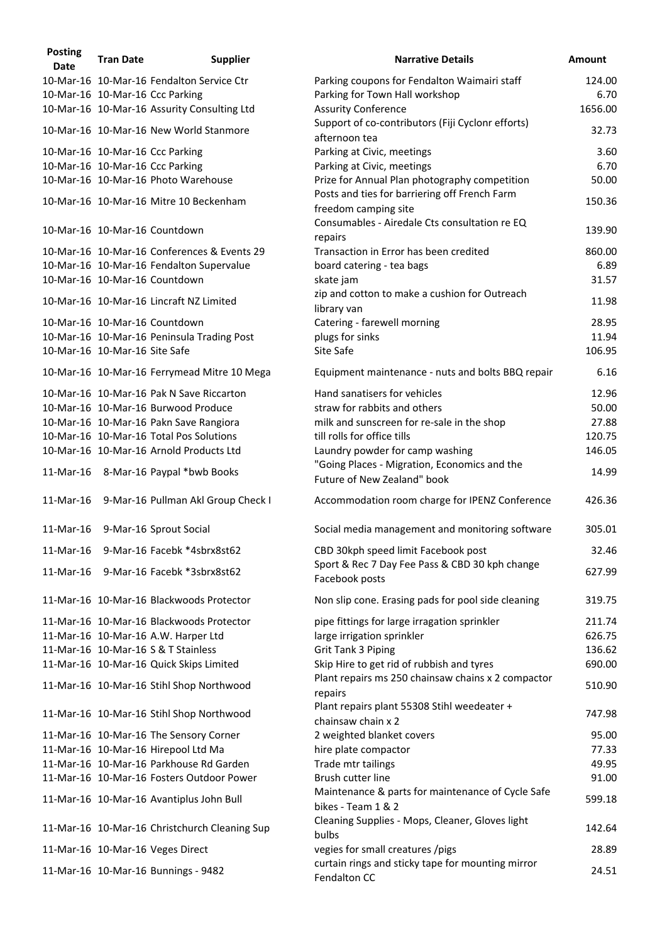| <b>Posting</b><br><b>Date</b> | <b>Tran Date</b> | <b>Supplier</b>                               | <b>Narrative Details</b>                                                     | <b>Amount</b> |
|-------------------------------|------------------|-----------------------------------------------|------------------------------------------------------------------------------|---------------|
|                               |                  | 10-Mar-16 10-Mar-16 Fendalton Service Ctr     | Parking coupons for Fendalton Waimairi staff                                 | 124.00        |
|                               |                  | 10-Mar-16 10-Mar-16 Ccc Parking               | Parking for Town Hall workshop                                               | 6.70          |
|                               |                  | 10-Mar-16 10-Mar-16 Assurity Consulting Ltd   | <b>Assurity Conference</b>                                                   | 1656.00       |
|                               |                  | 10-Mar-16 10-Mar-16 New World Stanmore        | Support of co-contributors (Fiji Cyclonr efforts)                            | 32.73         |
|                               |                  |                                               | afternoon tea                                                                |               |
|                               |                  | 10-Mar-16 10-Mar-16 Ccc Parking               | Parking at Civic, meetings                                                   | 3.60          |
|                               |                  | 10-Mar-16 10-Mar-16 Ccc Parking               | Parking at Civic, meetings                                                   | 6.70          |
|                               |                  | 10-Mar-16 10-Mar-16 Photo Warehouse           | Prize for Annual Plan photography competition                                | 50.00         |
|                               |                  | 10-Mar-16 10-Mar-16 Mitre 10 Beckenham        | Posts and ties for barriering off French Farm<br>freedom camping site        | 150.36        |
|                               |                  | 10-Mar-16 10-Mar-16 Countdown                 | Consumables - Airedale Cts consultation re EQ<br>repairs                     | 139.90        |
|                               |                  | 10-Mar-16 10-Mar-16 Conferences & Events 29   | Transaction in Error has been credited                                       | 860.00        |
|                               |                  | 10-Mar-16 10-Mar-16 Fendalton Supervalue      | board catering - tea bags                                                    | 6.89          |
|                               |                  | 10-Mar-16 10-Mar-16 Countdown                 | skate jam                                                                    | 31.57         |
|                               |                  | 10-Mar-16 10-Mar-16 Lincraft NZ Limited       | zip and cotton to make a cushion for Outreach<br>library van                 | 11.98         |
|                               |                  | 10-Mar-16 10-Mar-16 Countdown                 | Catering - farewell morning                                                  | 28.95         |
|                               |                  | 10-Mar-16 10-Mar-16 Peninsula Trading Post    | plugs for sinks                                                              | 11.94         |
| 10-Mar-16 10-Mar-16 Site Safe |                  |                                               | Site Safe                                                                    | 106.95        |
|                               |                  | 10-Mar-16 10-Mar-16 Ferrymead Mitre 10 Mega   | Equipment maintenance - nuts and bolts BBQ repair                            | 6.16          |
|                               |                  |                                               |                                                                              |               |
|                               |                  | 10-Mar-16 10-Mar-16 Pak N Save Riccarton      | Hand sanatisers for vehicles                                                 | 12.96         |
|                               |                  | 10-Mar-16 10-Mar-16 Burwood Produce           | straw for rabbits and others                                                 | 50.00         |
|                               |                  | 10-Mar-16 10-Mar-16 Pakn Save Rangiora        | milk and sunscreen for re-sale in the shop                                   | 27.88         |
|                               |                  | 10-Mar-16 10-Mar-16 Total Pos Solutions       | till rolls for office tills                                                  | 120.75        |
|                               |                  | 10-Mar-16 10-Mar-16 Arnold Products Ltd       | Laundry powder for camp washing                                              | 146.05        |
|                               |                  | 11-Mar-16 8-Mar-16 Paypal *bwb Books          | "Going Places - Migration, Economics and the<br>Future of New Zealand" book  | 14.99         |
|                               |                  | 11-Mar-16 9-Mar-16 Pullman Akl Group Check I  | Accommodation room charge for IPENZ Conference                               | 426.36        |
| 11-Mar-16                     |                  | 9-Mar-16 Sprout Social                        | Social media management and monitoring software                              | 305.01        |
| 11-Mar-16                     |                  | 9-Mar-16 Facebk *4sbrx8st62                   | CBD 30kph speed limit Facebook post                                          | 32.46         |
| 11-Mar-16                     |                  | 9-Mar-16 Facebk *3sbrx8st62                   | Sport & Rec 7 Day Fee Pass & CBD 30 kph change<br>Facebook posts             | 627.99        |
|                               |                  | 11-Mar-16 10-Mar-16 Blackwoods Protector      | Non slip cone. Erasing pads for pool side cleaning                           | 319.75        |
|                               |                  | 11-Mar-16 10-Mar-16 Blackwoods Protector      | pipe fittings for large irragation sprinkler                                 | 211.74        |
|                               |                  | 11-Mar-16 10-Mar-16 A.W. Harper Ltd           | large irrigation sprinkler                                                   | 626.75        |
|                               |                  | 11-Mar-16 10-Mar-16 S & T Stainless           | <b>Grit Tank 3 Piping</b>                                                    | 136.62        |
|                               |                  | 11-Mar-16 10-Mar-16 Quick Skips Limited       | Skip Hire to get rid of rubbish and tyres                                    | 690.00        |
|                               |                  | 11-Mar-16 10-Mar-16 Stihl Shop Northwood      | Plant repairs ms 250 chainsaw chains x 2 compactor                           | 510.90        |
|                               |                  | 11-Mar-16 10-Mar-16 Stihl Shop Northwood      | repairs<br>Plant repairs plant 55308 Stihl weedeater +<br>chainsaw chain x 2 | 747.98        |
|                               |                  | 11-Mar-16 10-Mar-16 The Sensory Corner        | 2 weighted blanket covers                                                    | 95.00         |
|                               |                  |                                               |                                                                              | 77.33         |
|                               |                  | 11-Mar-16 10-Mar-16 Hirepool Ltd Ma           | hire plate compactor                                                         |               |
|                               |                  | 11-Mar-16 10-Mar-16 Parkhouse Rd Garden       | Trade mtr tailings                                                           | 49.95         |
|                               |                  | 11-Mar-16 10-Mar-16 Fosters Outdoor Power     | Brush cutter line                                                            | 91.00         |
|                               |                  | 11-Mar-16 10-Mar-16 Avantiplus John Bull      | Maintenance & parts for maintenance of Cycle Safe<br>bikes - Team 1 & 2      | 599.18        |
|                               |                  | 11-Mar-16 10-Mar-16 Christchurch Cleaning Sup | Cleaning Supplies - Mops, Cleaner, Gloves light<br>bulbs                     | 142.64        |
|                               |                  | 11-Mar-16 10-Mar-16 Veges Direct              | vegies for small creatures /pigs                                             | 28.89         |
|                               |                  | 11-Mar-16 10-Mar-16 Bunnings - 9482           | curtain rings and sticky tape for mounting mirror<br>Fendalton CC            | 24.51         |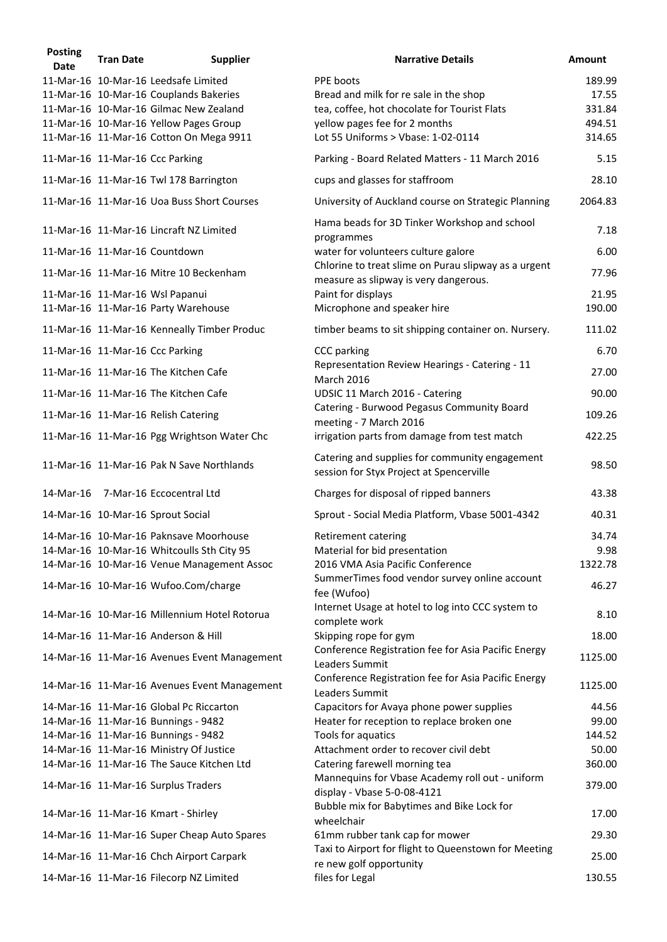| <b>Posting</b><br><b>Date</b> | <b>Tran Date</b> | <b>Supplier</b>                              | <b>Narrative Details</b>                                                                    | <b>Amount</b> |
|-------------------------------|------------------|----------------------------------------------|---------------------------------------------------------------------------------------------|---------------|
|                               |                  | 11-Mar-16 10-Mar-16 Leedsafe Limited         | PPE boots                                                                                   | 189.99        |
|                               |                  | 11-Mar-16 10-Mar-16 Couplands Bakeries       | Bread and milk for re sale in the shop                                                      | 17.55         |
|                               |                  | 11-Mar-16 10-Mar-16 Gilmac New Zealand       | tea, coffee, hot chocolate for Tourist Flats                                                | 331.84        |
|                               |                  | 11-Mar-16 10-Mar-16 Yellow Pages Group       | yellow pages fee for 2 months                                                               | 494.51        |
|                               |                  | 11-Mar-16 11-Mar-16 Cotton On Mega 9911      | Lot 55 Uniforms > Vbase: 1-02-0114                                                          | 314.65        |
|                               |                  | 11-Mar-16 11-Mar-16 Ccc Parking              | Parking - Board Related Matters - 11 March 2016                                             | 5.15          |
|                               |                  | 11-Mar-16 11-Mar-16 Twl 178 Barrington       | cups and glasses for staffroom                                                              | 28.10         |
|                               |                  | 11-Mar-16 11-Mar-16 Uoa Buss Short Courses   | University of Auckland course on Strategic Planning                                         | 2064.83       |
|                               |                  | 11-Mar-16 11-Mar-16 Lincraft NZ Limited      | Hama beads for 3D Tinker Workshop and school<br>programmes                                  | 7.18          |
|                               |                  | 11-Mar-16 11-Mar-16 Countdown                | water for volunteers culture galore<br>Chlorine to treat slime on Purau slipway as a urgent | 6.00          |
|                               |                  | 11-Mar-16 11-Mar-16 Mitre 10 Beckenham       | measure as slipway is very dangerous.                                                       | 77.96         |
|                               |                  | 11-Mar-16 11-Mar-16 Wsl Papanui              | Paint for displays                                                                          | 21.95         |
|                               |                  | 11-Mar-16 11-Mar-16 Party Warehouse          | Microphone and speaker hire                                                                 | 190.00        |
|                               |                  | 11-Mar-16 11-Mar-16 Kenneally Timber Produc  | timber beams to sit shipping container on. Nursery.                                         | 111.02        |
|                               |                  | 11-Mar-16 11-Mar-16 Ccc Parking              | <b>CCC</b> parking                                                                          | 6.70          |
|                               |                  | 11-Mar-16 11-Mar-16 The Kitchen Cafe         | Representation Review Hearings - Catering - 11<br><b>March 2016</b>                         | 27.00         |
|                               |                  | 11-Mar-16 11-Mar-16 The Kitchen Cafe         | UDSIC 11 March 2016 - Catering                                                              | 90.00         |
|                               |                  | 11-Mar-16 11-Mar-16 Relish Catering          | Catering - Burwood Pegasus Community Board<br>meeting - 7 March 2016                        | 109.26        |
|                               |                  | 11-Mar-16 11-Mar-16 Pgg Wrightson Water Chc  | irrigation parts from damage from test match                                                | 422.25        |
|                               |                  | 11-Mar-16 11-Mar-16 Pak N Save Northlands    | Catering and supplies for community engagement<br>session for Styx Project at Spencerville  | 98.50         |
| 14-Mar-16                     |                  | 7-Mar-16 Eccocentral Ltd                     | Charges for disposal of ripped banners                                                      | 43.38         |
|                               |                  | 14-Mar-16 10-Mar-16 Sprout Social            | Sprout - Social Media Platform, Vbase 5001-4342                                             | 40.31         |
|                               |                  | 14-Mar-16 10-Mar-16 Paknsave Moorhouse       | Retirement catering                                                                         | 34.74         |
|                               |                  | 14-Mar-16 10-Mar-16 Whitcoulls Sth City 95   | Material for bid presentation                                                               | 9.98          |
|                               |                  | 14-Mar-16 10-Mar-16 Venue Management Assoc   | 2016 VMA Asia Pacific Conference                                                            | 1322.78       |
|                               |                  | 14-Mar-16 10-Mar-16 Wufoo.Com/charge         | SummerTimes food vendor survey online account<br>fee (Wufoo)                                | 46.27         |
|                               |                  | 14-Mar-16 10-Mar-16 Millennium Hotel Rotorua | Internet Usage at hotel to log into CCC system to                                           | 8.10          |
|                               |                  | 14-Mar-16 11-Mar-16 Anderson & Hill          | complete work<br>Skipping rope for gym                                                      | 18.00         |
|                               |                  | 14-Mar-16 11-Mar-16 Avenues Event Management | Conference Registration fee for Asia Pacific Energy<br>Leaders Summit                       | 1125.00       |
|                               |                  | 14-Mar-16 11-Mar-16 Avenues Event Management | Conference Registration fee for Asia Pacific Energy<br>Leaders Summit                       | 1125.00       |
|                               |                  | 14-Mar-16 11-Mar-16 Global Pc Riccarton      | Capacitors for Avaya phone power supplies                                                   | 44.56         |
|                               |                  | 14-Mar-16 11-Mar-16 Bunnings - 9482          | Heater for reception to replace broken one                                                  | 99.00         |
|                               |                  | 14-Mar-16 11-Mar-16 Bunnings - 9482          | Tools for aquatics                                                                          | 144.52        |
|                               |                  | 14-Mar-16 11-Mar-16 Ministry Of Justice      | Attachment order to recover civil debt                                                      | 50.00         |
|                               |                  | 14-Mar-16 11-Mar-16 The Sauce Kitchen Ltd    | Catering farewell morning tea                                                               | 360.00        |
|                               |                  | 14-Mar-16 11-Mar-16 Surplus Traders          | Mannequins for Vbase Academy roll out - uniform<br>display - Vbase 5-0-08-4121              | 379.00        |
|                               |                  | 14-Mar-16 11-Mar-16 Kmart - Shirley          | Bubble mix for Babytimes and Bike Lock for<br>wheelchair                                    | 17.00         |
|                               |                  | 14-Mar-16 11-Mar-16 Super Cheap Auto Spares  | 61mm rubber tank cap for mower                                                              | 29.30         |
|                               |                  | 14-Mar-16 11-Mar-16 Chch Airport Carpark     | Taxi to Airport for flight to Queenstown for Meeting<br>re new golf opportunity             | 25.00         |
|                               |                  | 14-Mar-16 11-Mar-16 Filecorp NZ Limited      | files for Legal                                                                             | 130.55        |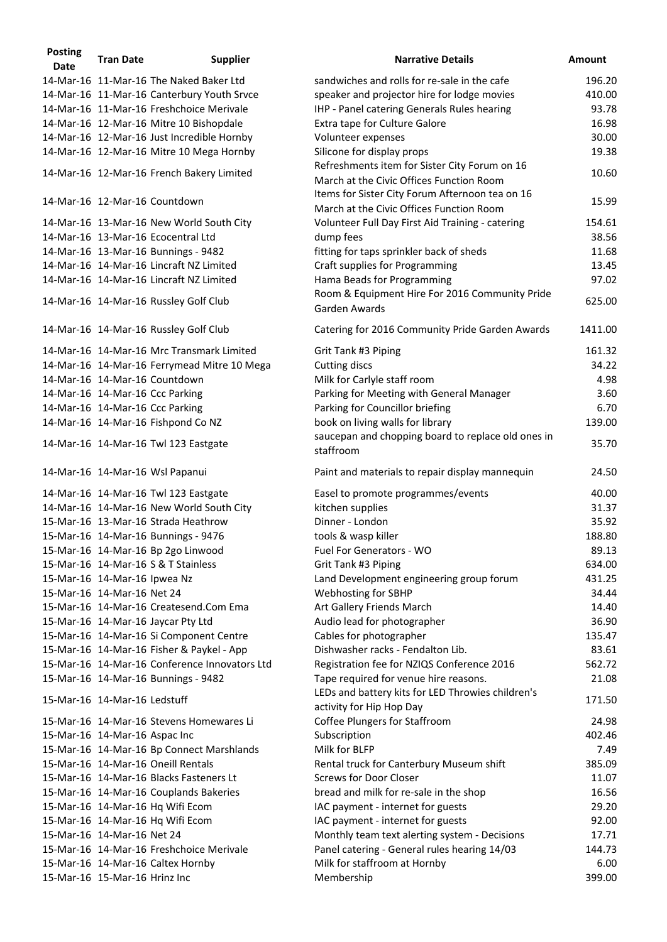| <b>Posting</b><br>Date | <b>Tran Date</b>              | <b>Supplier</b>                               | <b>Narrative Details</b>                                                                    | <b>Amount</b>   |
|------------------------|-------------------------------|-----------------------------------------------|---------------------------------------------------------------------------------------------|-----------------|
|                        |                               | 14-Mar-16 11-Mar-16 The Naked Baker Ltd       | sandwiches and rolls for re-sale in the cafe                                                | 196.20          |
|                        |                               | 14-Mar-16 11-Mar-16 Canterbury Youth Srvce    | speaker and projector hire for lodge movies                                                 | 410.00          |
|                        |                               | 14-Mar-16 11-Mar-16 Freshchoice Merivale      | IHP - Panel catering Generals Rules hearing                                                 | 93.78           |
|                        |                               | 14-Mar-16 12-Mar-16 Mitre 10 Bishopdale       | Extra tape for Culture Galore                                                               | 16.98           |
|                        |                               | 14-Mar-16 12-Mar-16 Just Incredible Hornby    | Volunteer expenses                                                                          | 30.00           |
|                        |                               |                                               |                                                                                             |                 |
|                        |                               | 14-Mar-16 12-Mar-16 Mitre 10 Mega Hornby      | Silicone for display props                                                                  | 19.38           |
|                        |                               | 14-Mar-16 12-Mar-16 French Bakery Limited     | Refreshments item for Sister City Forum on 16<br>March at the Civic Offices Function Room   | 10.60           |
|                        |                               | 14-Mar-16 12-Mar-16 Countdown                 | Items for Sister City Forum Afternoon tea on 16<br>March at the Civic Offices Function Room | 15.99           |
|                        |                               | 14-Mar-16 13-Mar-16 New World South City      | Volunteer Full Day First Aid Training - catering                                            | 154.61          |
|                        |                               | 14-Mar-16 13-Mar-16 Ecocentral Ltd            | dump fees                                                                                   | 38.56           |
|                        |                               | 14-Mar-16 13-Mar-16 Bunnings - 9482           | fitting for taps sprinkler back of sheds                                                    | 11.68           |
|                        |                               | 14-Mar-16 14-Mar-16 Lincraft NZ Limited       | Craft supplies for Programming                                                              | 13.45           |
|                        |                               | 14-Mar-16 14-Mar-16 Lincraft NZ Limited       | Hama Beads for Programming                                                                  | 97.02           |
|                        |                               |                                               | Room & Equipment Hire For 2016 Community Pride                                              |                 |
|                        |                               | 14-Mar-16 14-Mar-16 Russley Golf Club         | Garden Awards                                                                               | 625.00          |
|                        |                               | 14-Mar-16 14-Mar-16 Russley Golf Club         | Catering for 2016 Community Pride Garden Awards                                             | 1411.00         |
|                        |                               | 14-Mar-16 14-Mar-16 Mrc Transmark Limited     | Grit Tank #3 Piping                                                                         | 161.32          |
|                        |                               | 14-Mar-16 14-Mar-16 Ferrymead Mitre 10 Mega   | <b>Cutting discs</b>                                                                        | 34.22           |
|                        |                               | 14-Mar-16 14-Mar-16 Countdown                 | Milk for Carlyle staff room                                                                 | 4.98            |
|                        |                               | 14-Mar-16 14-Mar-16 Ccc Parking               | Parking for Meeting with General Manager                                                    | 3.60            |
|                        |                               | 14-Mar-16 14-Mar-16 Ccc Parking               | Parking for Councillor briefing                                                             | 6.70            |
|                        |                               | 14-Mar-16 14-Mar-16 Fishpond Co NZ            | book on living walls for library                                                            | 139.00          |
|                        |                               |                                               | saucepan and chopping board to replace old ones in                                          |                 |
|                        |                               | 14-Mar-16 14-Mar-16 Twl 123 Eastgate          | staffroom                                                                                   | 35.70           |
|                        |                               | 14-Mar-16 14-Mar-16 Wsl Papanui               | Paint and materials to repair display mannequin                                             | 24.50           |
|                        |                               | 14-Mar-16 14-Mar-16 Twl 123 Eastgate          | Easel to promote programmes/events                                                          | 40.00           |
|                        |                               | 14-Mar-16 14-Mar-16 New World South City      | kitchen supplies                                                                            | 31.37           |
|                        |                               | 15-Mar-16 13-Mar-16 Strada Heathrow           | Dinner - London                                                                             | 35.92           |
|                        |                               | 15-Mar-16 14-Mar-16 Bunnings - 9476           | tools & wasp killer                                                                         | 188.80          |
|                        |                               | 15-Mar-16 14-Mar-16 Bp 2go Linwood            | Fuel For Generators - WO                                                                    | 89.13           |
|                        |                               | 15-Mar-16 14-Mar-16 S & T Stainless           | Grit Tank #3 Piping                                                                         | 634.00          |
|                        | 15-Mar-16 14-Mar-16 Ipwea Nz  |                                               | Land Development engineering group forum                                                    | 431.25          |
|                        | 15-Mar-16 14-Mar-16 Net 24    |                                               | Webhosting for SBHP                                                                         | 34.44           |
|                        |                               | 15-Mar-16 14-Mar-16 Createsend.Com Ema        |                                                                                             | 14.40           |
|                        |                               |                                               | Art Gallery Friends March                                                                   |                 |
|                        |                               | 15-Mar-16 14-Mar-16 Jaycar Pty Ltd            | Audio lead for photographer                                                                 | 36.90           |
|                        |                               | 15-Mar-16 14-Mar-16 Si Component Centre       | Cables for photographer                                                                     | 135.47          |
|                        |                               | 15-Mar-16 14-Mar-16 Fisher & Paykel - App     | Dishwasher racks - Fendalton Lib.                                                           | 83.61           |
|                        |                               | 15-Mar-16 14-Mar-16 Conference Innovators Ltd | Registration fee for NZIQS Conference 2016                                                  | 562.72          |
|                        |                               | 15-Mar-16 14-Mar-16 Bunnings - 9482           | Tape required for venue hire reasons.<br>LEDs and battery kits for LED Throwies children's  | 21.08           |
|                        | 15-Mar-16 14-Mar-16 Ledstuff  | 15-Mar-16 14-Mar-16 Stevens Homewares Li      | activity for Hip Hop Day<br><b>Coffee Plungers for Staffroom</b>                            | 171.50<br>24.98 |
|                        |                               |                                               |                                                                                             |                 |
|                        | 15-Mar-16 14-Mar-16 Aspac Inc |                                               | Subscription                                                                                | 402.46          |
|                        |                               | 15-Mar-16 14-Mar-16 Bp Connect Marshlands     | Milk for BLFP                                                                               | 7.49            |
|                        |                               | 15-Mar-16 14-Mar-16 Oneill Rentals            | Rental truck for Canterbury Museum shift                                                    | 385.09          |
|                        |                               | 15-Mar-16 14-Mar-16 Blacks Fasteners Lt       | <b>Screws for Door Closer</b>                                                               | 11.07           |
|                        |                               | 15-Mar-16 14-Mar-16 Couplands Bakeries        | bread and milk for re-sale in the shop                                                      | 16.56           |
|                        |                               | 15-Mar-16 14-Mar-16 Hq Wifi Ecom              | IAC payment - internet for guests                                                           | 29.20           |
|                        |                               | 15-Mar-16 14-Mar-16 Hq Wifi Ecom              | IAC payment - internet for guests                                                           | 92.00           |
|                        | 15-Mar-16 14-Mar-16 Net 24    |                                               | Monthly team text alerting system - Decisions                                               | 17.71           |
|                        |                               | 15-Mar-16 14-Mar-16 Freshchoice Merivale      | Panel catering - General rules hearing 14/03                                                | 144.73          |
|                        |                               | 15-Mar-16 14-Mar-16 Caltex Hornby             | Milk for staffroom at Hornby                                                                | 6.00            |
|                        | 15-Mar-16 15-Mar-16 Hrinz Inc |                                               | Membership                                                                                  | 399.00          |
|                        |                               |                                               |                                                                                             |                 |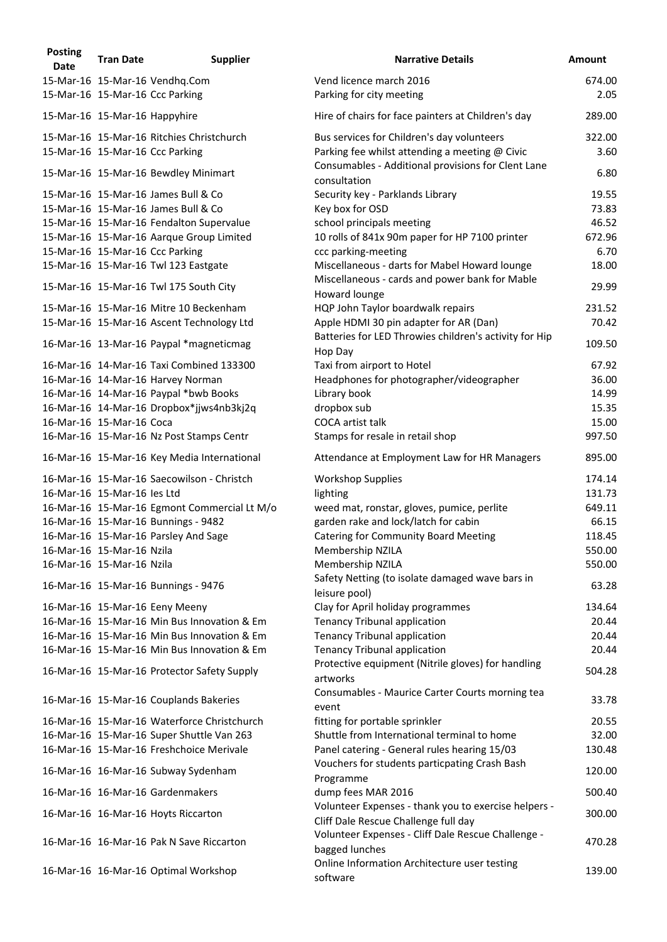| <b>Posting</b><br><b>Date</b> | <b>Tran Date</b>              | <b>Supplier</b>                              | <b>Narrative Details</b>                                                                     | <b>Amount</b>   |
|-------------------------------|-------------------------------|----------------------------------------------|----------------------------------------------------------------------------------------------|-----------------|
|                               |                               | 15-Mar-16 15-Mar-16 Vendhq.Com               | Vend licence march 2016                                                                      | 674.00          |
|                               |                               | 15-Mar-16 15-Mar-16 Ccc Parking              | Parking for city meeting                                                                     | 2.05            |
|                               | 15-Mar-16 15-Mar-16 Happyhire |                                              | Hire of chairs for face painters at Children's day                                           | 289.00          |
|                               |                               | 15-Mar-16 15-Mar-16 Ritchies Christchurch    | Bus services for Children's day volunteers                                                   | 322.00          |
|                               |                               | 15-Mar-16 15-Mar-16 Ccc Parking              | Parking fee whilst attending a meeting @ Civic                                               | 3.60            |
|                               |                               | 15-Mar-16 15-Mar-16 Bewdley Minimart         | Consumables - Additional provisions for Clent Lane<br>consultation                           | 6.80            |
|                               |                               | 15-Mar-16 15-Mar-16 James Bull & Co          | Security key - Parklands Library                                                             | 19.55           |
|                               |                               | 15-Mar-16 15-Mar-16 James Bull & Co          | Key box for OSD                                                                              | 73.83           |
|                               |                               | 15-Mar-16 15-Mar-16 Fendalton Supervalue     | school principals meeting                                                                    | 46.52           |
|                               |                               | 15-Mar-16 15-Mar-16 Aarque Group Limited     | 10 rolls of 841x 90m paper for HP 7100 printer                                               | 672.96          |
|                               |                               | 15-Mar-16 15-Mar-16 Ccc Parking              | ccc parking-meeting                                                                          | 6.70            |
|                               |                               | 15-Mar-16 15-Mar-16 Twl 123 Eastgate         | Miscellaneous - darts for Mabel Howard lounge                                                | 18.00           |
|                               |                               | 15-Mar-16 15-Mar-16 Twl 175 South City       | Miscellaneous - cards and power bank for Mable<br>Howard lounge                              | 29.99           |
|                               |                               | 15-Mar-16 15-Mar-16 Mitre 10 Beckenham       | HQP John Taylor boardwalk repairs                                                            | 231.52          |
|                               |                               | 15-Mar-16 15-Mar-16 Ascent Technology Ltd    | Apple HDMI 30 pin adapter for AR (Dan)                                                       | 70.42           |
|                               |                               | 16-Mar-16 13-Mar-16 Paypal *magneticmag      | Batteries for LED Throwies children's activity for Hip<br>Hop Day                            | 109.50          |
|                               |                               | 16-Mar-16 14-Mar-16 Taxi Combined 133300     | Taxi from airport to Hotel                                                                   | 67.92           |
|                               |                               | 16-Mar-16 14-Mar-16 Harvey Norman            | Headphones for photographer/videographer                                                     | 36.00           |
|                               |                               | 16-Mar-16 14-Mar-16 Paypal *bwb Books        | Library book                                                                                 | 14.99           |
|                               |                               | 16-Mar-16 14-Mar-16 Dropbox*jjws4nb3kj2q     | dropbox sub                                                                                  | 15.35           |
|                               | 16-Mar-16 15-Mar-16 Coca      |                                              | <b>COCA</b> artist talk                                                                      | 15.00           |
|                               |                               | 16-Mar-16 15-Mar-16 Nz Post Stamps Centr     | Stamps for resale in retail shop                                                             | 997.50          |
|                               |                               | 16-Mar-16 15-Mar-16 Key Media International  | Attendance at Employment Law for HR Managers                                                 | 895.00          |
|                               |                               | 16-Mar-16 15-Mar-16 Saecowilson - Christch   | <b>Workshop Supplies</b>                                                                     | 174.14          |
|                               | 16-Mar-16 15-Mar-16 les Ltd   |                                              | lighting                                                                                     | 131.73          |
|                               |                               | 16-Mar-16 15-Mar-16 Egmont Commercial Lt M/o | weed mat, ronstar, gloves, pumice, perlite                                                   | 649.11          |
|                               |                               | 16-Mar-16 15-Mar-16 Bunnings - 9482          | garden rake and lock/latch for cabin                                                         | 66.15           |
|                               |                               | 16-Mar-16 15-Mar-16 Parsley And Sage         | <b>Catering for Community Board Meeting</b>                                                  | 118.45          |
|                               | 16-Mar-16 15-Mar-16 Nzila     |                                              | Membership NZILA                                                                             | 550.00          |
|                               | 16-Mar-16 15-Mar-16 Nzila     | 16-Mar-16 15-Mar-16 Bunnings - 9476          | Membership NZILA<br>Safety Netting (to isolate damaged wave bars in                          | 550.00<br>63.28 |
|                               |                               |                                              | leisure pool)                                                                                |                 |
|                               |                               | 16-Mar-16 15-Mar-16 Eeny Meeny               | Clay for April holiday programmes                                                            | 134.64          |
|                               |                               | 16-Mar-16 15-Mar-16 Min Bus Innovation & Em  | <b>Tenancy Tribunal application</b>                                                          | 20.44           |
|                               |                               | 16-Mar-16 15-Mar-16 Min Bus Innovation & Em  | <b>Tenancy Tribunal application</b>                                                          | 20.44           |
|                               |                               | 16-Mar-16 15-Mar-16 Min Bus Innovation & Em  | <b>Tenancy Tribunal application</b>                                                          | 20.44           |
|                               |                               | 16-Mar-16 15-Mar-16 Protector Safety Supply  | Protective equipment (Nitrile gloves) for handling<br>artworks                               | 504.28          |
|                               |                               | 16-Mar-16 15-Mar-16 Couplands Bakeries       | Consumables - Maurice Carter Courts morning tea<br>event                                     | 33.78           |
|                               |                               | 16-Mar-16 15-Mar-16 Waterforce Christchurch  | fitting for portable sprinkler                                                               | 20.55           |
|                               |                               | 16-Mar-16 15-Mar-16 Super Shuttle Van 263    | Shuttle from International terminal to home                                                  | 32.00           |
|                               |                               | 16-Mar-16 15-Mar-16 Freshchoice Merivale     | Panel catering - General rules hearing 15/03                                                 | 130.48          |
|                               |                               | 16-Mar-16 16-Mar-16 Subway Sydenham          | Vouchers for students particpating Crash Bash<br>Programme                                   | 120.00          |
|                               |                               | 16-Mar-16 16-Mar-16 Gardenmakers             | dump fees MAR 2016                                                                           | 500.40          |
|                               |                               | 16-Mar-16 16-Mar-16 Hoyts Riccarton          | Volunteer Expenses - thank you to exercise helpers -<br>Cliff Dale Rescue Challenge full day | 300.00          |
|                               |                               | 16-Mar-16 16-Mar-16 Pak N Save Riccarton     | Volunteer Expenses - Cliff Dale Rescue Challenge -                                           | 470.28          |
|                               |                               |                                              | bagged lunches<br>Online Information Architecture user testing                               |                 |
|                               |                               | 16-Mar-16 16-Mar-16 Optimal Workshop         | software                                                                                     | 139.00          |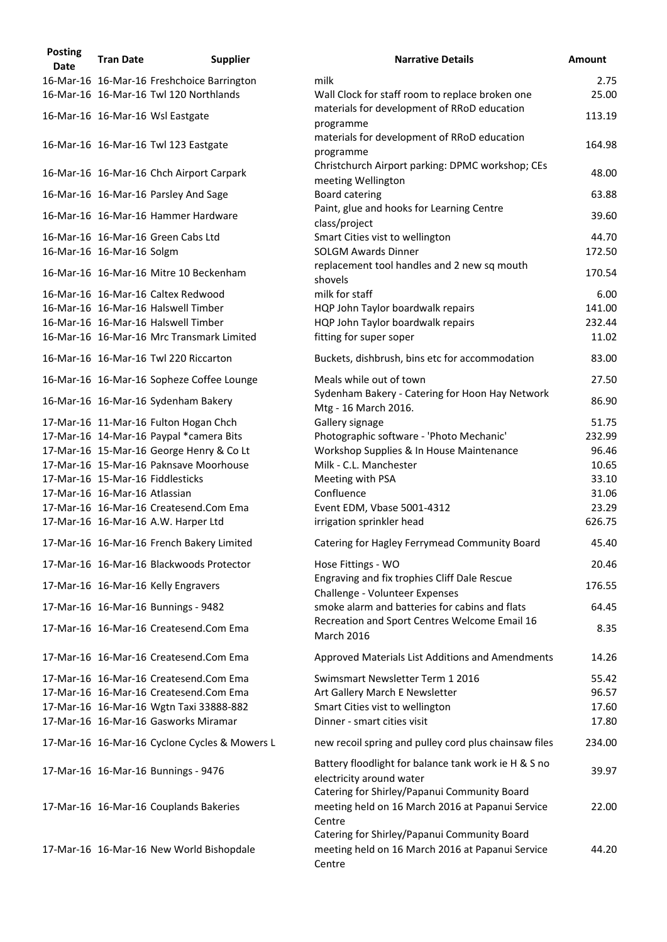| <b>Posting</b><br><b>Date</b> | <b>Tran Date</b>              | <b>Supplier</b>                               | <b>Narrative Details</b>                                                                                                         | <b>Amount</b> |
|-------------------------------|-------------------------------|-----------------------------------------------|----------------------------------------------------------------------------------------------------------------------------------|---------------|
|                               |                               | 16-Mar-16 16-Mar-16 Freshchoice Barrington    | milk                                                                                                                             | 2.75          |
|                               |                               | 16-Mar-16 16-Mar-16 Twl 120 Northlands        | Wall Clock for staff room to replace broken one                                                                                  | 25.00         |
|                               |                               | 16-Mar-16 16-Mar-16 Wsl Eastgate              | materials for development of RRoD education<br>programme                                                                         | 113.19        |
|                               |                               | 16-Mar-16 16-Mar-16 Twl 123 Eastgate          | materials for development of RRoD education<br>programme                                                                         | 164.98        |
|                               |                               | 16-Mar-16 16-Mar-16 Chch Airport Carpark      | Christchurch Airport parking: DPMC workshop; CEs<br>meeting Wellington                                                           | 48.00         |
|                               |                               | 16-Mar-16 16-Mar-16 Parsley And Sage          | <b>Board catering</b>                                                                                                            | 63.88         |
|                               |                               | 16-Mar-16 16-Mar-16 Hammer Hardware           | Paint, glue and hooks for Learning Centre<br>class/project                                                                       | 39.60         |
|                               |                               | 16-Mar-16 16-Mar-16 Green Cabs Ltd            | Smart Cities vist to wellington                                                                                                  | 44.70         |
|                               | 16-Mar-16 16-Mar-16 Solgm     |                                               | <b>SOLGM Awards Dinner</b>                                                                                                       | 172.50        |
|                               |                               | 16-Mar-16 16-Mar-16 Mitre 10 Beckenham        | replacement tool handles and 2 new sq mouth<br>shovels                                                                           | 170.54        |
|                               |                               | 16-Mar-16 16-Mar-16 Caltex Redwood            | milk for staff                                                                                                                   | 6.00          |
|                               |                               | 16-Mar-16 16-Mar-16 Halswell Timber           | HQP John Taylor boardwalk repairs                                                                                                | 141.00        |
|                               |                               | 16-Mar-16 16-Mar-16 Halswell Timber           | HQP John Taylor boardwalk repairs                                                                                                | 232.44        |
|                               |                               | 16-Mar-16 16-Mar-16 Mrc Transmark Limited     | fitting for super soper                                                                                                          | 11.02         |
|                               |                               | 16-Mar-16 16-Mar-16 Twl 220 Riccarton         | Buckets, dishbrush, bins etc for accommodation                                                                                   | 83.00         |
|                               |                               | 16-Mar-16 16-Mar-16 Sopheze Coffee Lounge     | Meals while out of town                                                                                                          | 27.50         |
|                               |                               | 16-Mar-16 16-Mar-16 Sydenham Bakery           | Sydenham Bakery - Catering for Hoon Hay Network<br>Mtg - 16 March 2016.                                                          | 86.90         |
|                               |                               | 17-Mar-16 11-Mar-16 Fulton Hogan Chch         | Gallery signage                                                                                                                  | 51.75         |
|                               |                               | 17-Mar-16 14-Mar-16 Paypal *camera Bits       | Photographic software - 'Photo Mechanic'                                                                                         | 232.99        |
|                               |                               | 17-Mar-16 15-Mar-16 George Henry & Co Lt      | Workshop Supplies & In House Maintenance                                                                                         | 96.46         |
|                               |                               | 17-Mar-16 15-Mar-16 Paknsave Moorhouse        | Milk - C.L. Manchester                                                                                                           | 10.65         |
|                               |                               | 17-Mar-16 15-Mar-16 Fiddlesticks              | Meeting with PSA                                                                                                                 | 33.10         |
|                               | 17-Mar-16 16-Mar-16 Atlassian |                                               | Confluence                                                                                                                       | 31.06         |
|                               |                               | 17-Mar-16 16-Mar-16 Createsend.Com Ema        | Event EDM, Vbase 5001-4312                                                                                                       | 23.29         |
|                               |                               | 17-Mar-16 16-Mar-16 A.W. Harper Ltd           | irrigation sprinkler head                                                                                                        | 626.75        |
|                               |                               | 17-Mar-16 16-Mar-16 French Bakery Limited     | Catering for Hagley Ferrymead Community Board                                                                                    | 45.40         |
|                               |                               | 17-Mar-16 16-Mar-16 Blackwoods Protector      | Hose Fittings - WO                                                                                                               | 20.46         |
|                               |                               | 17-Mar-16 16-Mar-16 Kelly Engravers           | Engraving and fix trophies Cliff Dale Rescue                                                                                     | 176.55        |
|                               |                               | 17-Mar-16 16-Mar-16 Bunnings - 9482           | Challenge - Volunteer Expenses<br>smoke alarm and batteries for cabins and flats                                                 | 64.45         |
|                               |                               | 17-Mar-16 16-Mar-16 Createsend.Com Ema        | Recreation and Sport Centres Welcome Email 16<br>March 2016                                                                      | 8.35          |
|                               |                               | 17-Mar-16 16-Mar-16 Createsend.Com Ema        | Approved Materials List Additions and Amendments                                                                                 | 14.26         |
|                               |                               | 17-Mar-16 16-Mar-16 Createsend.Com Ema        | Swimsmart Newsletter Term 1 2016                                                                                                 | 55.42         |
|                               |                               | 17-Mar-16 16-Mar-16 Createsend.Com Ema        | Art Gallery March E Newsletter                                                                                                   | 96.57         |
|                               |                               | 17-Mar-16 16-Mar-16 Wgtn Taxi 33888-882       | Smart Cities vist to wellington                                                                                                  | 17.60         |
|                               |                               | 17-Mar-16 16-Mar-16 Gasworks Miramar          | Dinner - smart cities visit                                                                                                      | 17.80         |
|                               |                               | 17-Mar-16 16-Mar-16 Cyclone Cycles & Mowers L | new recoil spring and pulley cord plus chainsaw files                                                                            | 234.00        |
|                               |                               | 17-Mar-16 16-Mar-16 Bunnings - 9476           | Battery floodlight for balance tank work ie H & S no<br>electricity around water<br>Catering for Shirley/Papanui Community Board | 39.97         |
|                               |                               | 17-Mar-16 16-Mar-16 Couplands Bakeries        | meeting held on 16 March 2016 at Papanui Service<br>Centre<br>Catering for Shirley/Papanui Community Board                       | 22.00         |
|                               |                               | 17-Mar-16 16-Mar-16 New World Bishopdale      | meeting held on 16 March 2016 at Papanui Service<br>Centre                                                                       | 44.20         |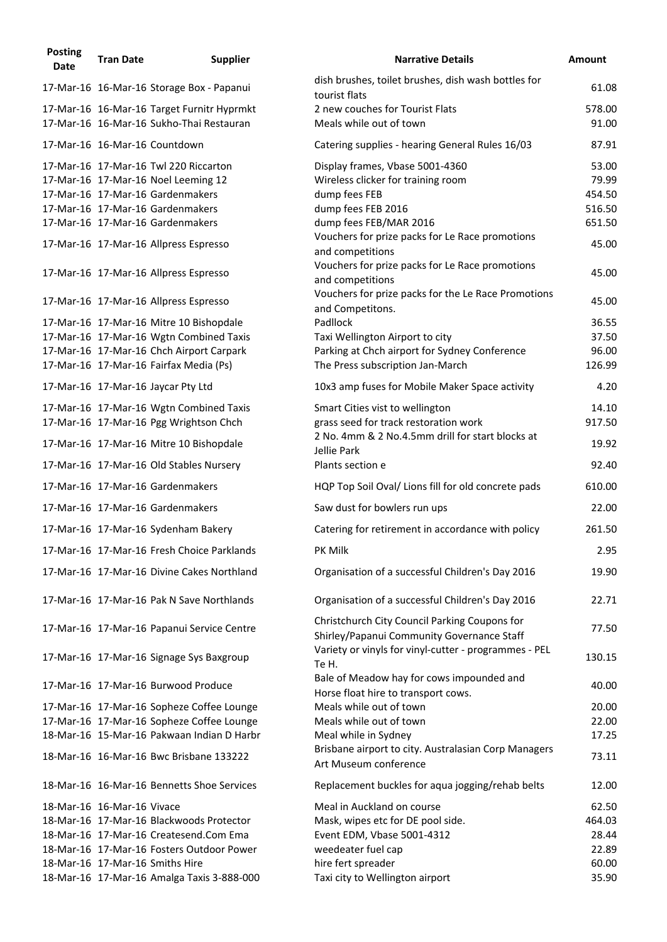| <b>Posting</b><br><b>Date</b> | <b>Tran Date</b>           | <b>Supplier</b>                            | <b>Narrative Details</b>                                                                            | <b>Amount</b> |
|-------------------------------|----------------------------|--------------------------------------------|-----------------------------------------------------------------------------------------------------|---------------|
|                               |                            | 17-Mar-16 16-Mar-16 Storage Box - Papanui  | dish brushes, toilet brushes, dish wash bottles for<br>tourist flats                                | 61.08         |
|                               |                            | 17-Mar-16 16-Mar-16 Target Furnitr Hyprmkt | 2 new couches for Tourist Flats                                                                     | 578.00        |
|                               |                            | 17-Mar-16 16-Mar-16 Sukho-Thai Restauran   | Meals while out of town                                                                             | 91.00         |
|                               |                            | 17-Mar-16 16-Mar-16 Countdown              | Catering supplies - hearing General Rules 16/03                                                     | 87.91         |
|                               |                            | 17-Mar-16 17-Mar-16 Twl 220 Riccarton      | Display frames, Vbase 5001-4360                                                                     | 53.00         |
|                               |                            | 17-Mar-16 17-Mar-16 Noel Leeming 12        | Wireless clicker for training room                                                                  | 79.99         |
|                               |                            | 17-Mar-16 17-Mar-16 Gardenmakers           | dump fees FEB                                                                                       | 454.50        |
|                               |                            | 17-Mar-16 17-Mar-16 Gardenmakers           | dump fees FEB 2016                                                                                  | 516.50        |
|                               |                            | 17-Mar-16 17-Mar-16 Gardenmakers           | dump fees FEB/MAR 2016                                                                              | 651.50        |
|                               |                            | 17-Mar-16 17-Mar-16 Allpress Espresso      | Vouchers for prize packs for Le Race promotions<br>and competitions                                 | 45.00         |
|                               |                            | 17-Mar-16 17-Mar-16 Allpress Espresso      | Vouchers for prize packs for Le Race promotions<br>and competitions                                 | 45.00         |
|                               |                            | 17-Mar-16 17-Mar-16 Allpress Espresso      | Vouchers for prize packs for the Le Race Promotions<br>and Competitons.                             | 45.00         |
|                               |                            | 17-Mar-16 17-Mar-16 Mitre 10 Bishopdale    | Padllock                                                                                            | 36.55         |
|                               |                            | 17-Mar-16 17-Mar-16 Wgtn Combined Taxis    | Taxi Wellington Airport to city                                                                     | 37.50         |
|                               |                            | 17-Mar-16 17-Mar-16 Chch Airport Carpark   | Parking at Chch airport for Sydney Conference                                                       | 96.00         |
|                               |                            | 17-Mar-16 17-Mar-16 Fairfax Media (Ps)     | The Press subscription Jan-March                                                                    | 126.99        |
|                               |                            | 17-Mar-16 17-Mar-16 Jaycar Pty Ltd         | 10x3 amp fuses for Mobile Maker Space activity                                                      | 4.20          |
|                               |                            | 17-Mar-16 17-Mar-16 Wgtn Combined Taxis    | Smart Cities vist to wellington                                                                     | 14.10         |
|                               |                            | 17-Mar-16 17-Mar-16 Pgg Wrightson Chch     | grass seed for track restoration work                                                               | 917.50        |
|                               |                            | 17-Mar-16 17-Mar-16 Mitre 10 Bishopdale    | 2 No. 4mm & 2 No.4.5mm drill for start blocks at                                                    | 19.92         |
|                               |                            | 17-Mar-16 17-Mar-16 Old Stables Nursery    | Jellie Park<br>Plants section e                                                                     | 92.40         |
|                               |                            | 17-Mar-16 17-Mar-16 Gardenmakers           | HQP Top Soil Oval/ Lions fill for old concrete pads                                                 | 610.00        |
|                               |                            | 17-Mar-16 17-Mar-16 Gardenmakers           | Saw dust for bowlers run ups                                                                        | 22.00         |
|                               |                            | 17-Mar-16 17-Mar-16 Sydenham Bakery        | Catering for retirement in accordance with policy                                                   | 261.50        |
|                               |                            | 17-Mar-16 17-Mar-16 Fresh Choice Parklands | PK Milk                                                                                             | 2.95          |
|                               |                            | 17-Mar-16 17-Mar-16 Divine Cakes Northland | Organisation of a successful Children's Day 2016                                                    | 19.90         |
|                               |                            | 17-Mar-16 17-Mar-16 Pak N Save Northlands  | Organisation of a successful Children's Day 2016                                                    | 22.71         |
|                               |                            | 17-Mar-16 17-Mar-16 Papanui Service Centre | Christchurch City Council Parking Coupons for                                                       | 77.50         |
|                               |                            |                                            | Shirley/Papanui Community Governance Staff<br>Variety or vinyls for vinyl-cutter - programmes - PEL |               |
|                               |                            | 17-Mar-16 17-Mar-16 Signage Sys Baxgroup   | Te H.                                                                                               | 130.15        |
|                               |                            | 17-Mar-16 17-Mar-16 Burwood Produce        | Bale of Meadow hay for cows impounded and<br>Horse float hire to transport cows.                    | 40.00         |
|                               |                            | 17-Mar-16 17-Mar-16 Sopheze Coffee Lounge  | Meals while out of town                                                                             | 20.00         |
|                               |                            | 17-Mar-16 17-Mar-16 Sopheze Coffee Lounge  | Meals while out of town                                                                             | 22.00         |
|                               |                            | 18-Mar-16 15-Mar-16 Pakwaan Indian D Harbr | Meal while in Sydney                                                                                | 17.25         |
|                               |                            | 18-Mar-16 16-Mar-16 Bwc Brisbane 133222    | Brisbane airport to city. Australasian Corp Managers<br>Art Museum conference                       | 73.11         |
|                               |                            | 18-Mar-16 16-Mar-16 Bennetts Shoe Services | Replacement buckles for aqua jogging/rehab belts                                                    | 12.00         |
|                               | 18-Mar-16 16-Mar-16 Vivace |                                            | Meal in Auckland on course                                                                          | 62.50         |
|                               |                            | 18-Mar-16 17-Mar-16 Blackwoods Protector   | Mask, wipes etc for DE pool side.                                                                   | 464.03        |
|                               |                            | 18-Mar-16 17-Mar-16 Createsend.Com Ema     | Event EDM, Vbase 5001-4312                                                                          | 28.44         |
|                               |                            | 18-Mar-16 17-Mar-16 Fosters Outdoor Power  | weedeater fuel cap                                                                                  | 22.89         |
|                               |                            | 18-Mar-16 17-Mar-16 Smiths Hire            | hire fert spreader                                                                                  | 60.00         |
|                               |                            | 18-Mar-16 17-Mar-16 Amalga Taxis 3-888-000 | Taxi city to Wellington airport                                                                     | 35.90         |
|                               |                            |                                            |                                                                                                     |               |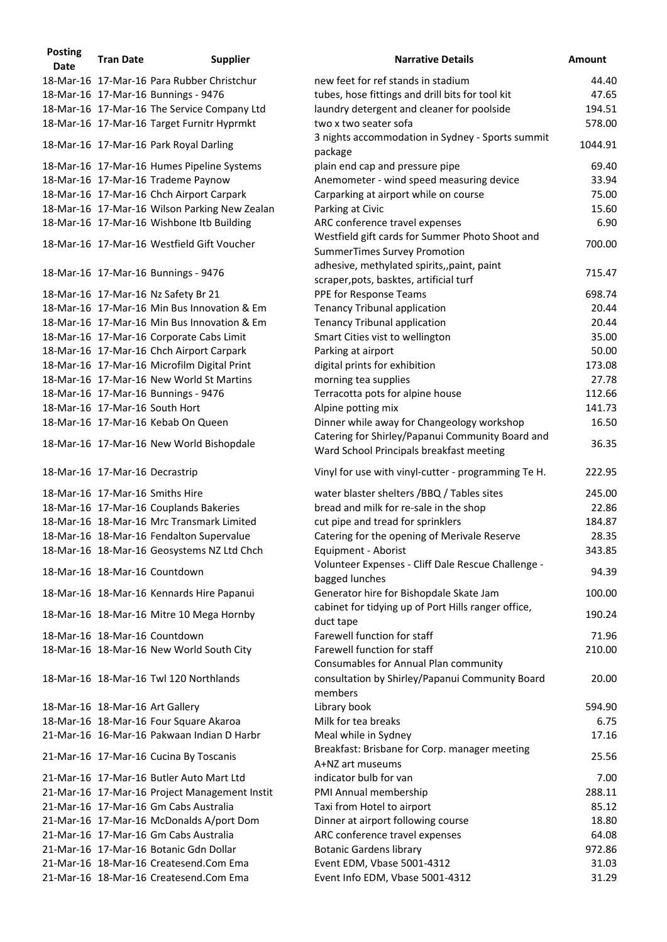| <b>Posting</b><br><b>Date</b> | <b>Tran Date</b>                | <b>Supplier</b>                               | <b>Narrative Details</b>                                                                                                      | <b>Amount</b> |
|-------------------------------|---------------------------------|-----------------------------------------------|-------------------------------------------------------------------------------------------------------------------------------|---------------|
|                               |                                 | 18-Mar-16 17-Mar-16 Para Rubber Christchur    | new feet for ref stands in stadium                                                                                            | 44.40         |
|                               |                                 | 18-Mar-16 17-Mar-16 Bunnings - 9476           | tubes, hose fittings and drill bits for tool kit                                                                              | 47.65         |
|                               |                                 | 18-Mar-16 17-Mar-16 The Service Company Ltd   | laundry detergent and cleaner for poolside                                                                                    | 194.51        |
|                               |                                 | 18-Mar-16 17-Mar-16 Target Furnitr Hyprmkt    | two x two seater sofa                                                                                                         | 578.00        |
|                               |                                 | 18-Mar-16 17-Mar-16 Park Royal Darling        | 3 nights accommodation in Sydney - Sports summit<br>package                                                                   | 1044.91       |
|                               |                                 | 18-Mar-16 17-Mar-16 Humes Pipeline Systems    | plain end cap and pressure pipe                                                                                               | 69.40         |
|                               |                                 | 18-Mar-16 17-Mar-16 Trademe Paynow            | Anemometer - wind speed measuring device                                                                                      | 33.94         |
|                               |                                 | 18-Mar-16 17-Mar-16 Chch Airport Carpark      | Carparking at airport while on course                                                                                         | 75.00         |
|                               |                                 | 18-Mar-16 17-Mar-16 Wilson Parking New Zealan | Parking at Civic                                                                                                              | 15.60         |
|                               |                                 | 18-Mar-16 17-Mar-16 Wishbone Itb Building     | ARC conference travel expenses                                                                                                | 6.90          |
|                               |                                 | 18-Mar-16 17-Mar-16 Westfield Gift Voucher    | Westfield gift cards for Summer Photo Shoot and                                                                               | 700.00        |
|                               |                                 | 18-Mar-16 17-Mar-16 Bunnings - 9476           | <b>SummerTimes Survey Promotion</b><br>adhesive, methylated spirits,, paint, paint<br>scraper, pots, basktes, artificial turf | 715.47        |
|                               |                                 | 18-Mar-16 17-Mar-16 Nz Safety Br 21           | PPE for Response Teams                                                                                                        | 698.74        |
|                               |                                 | 18-Mar-16 17-Mar-16 Min Bus Innovation & Em   | <b>Tenancy Tribunal application</b>                                                                                           | 20.44         |
|                               |                                 | 18-Mar-16 17-Mar-16 Min Bus Innovation & Em   | <b>Tenancy Tribunal application</b>                                                                                           | 20.44         |
|                               |                                 | 18-Mar-16 17-Mar-16 Corporate Cabs Limit      | Smart Cities vist to wellington                                                                                               | 35.00         |
|                               |                                 | 18-Mar-16 17-Mar-16 Chch Airport Carpark      | Parking at airport                                                                                                            | 50.00         |
|                               |                                 | 18-Mar-16 17-Mar-16 Microfilm Digital Print   |                                                                                                                               | 173.08        |
|                               |                                 | 18-Mar-16 17-Mar-16 New World St Martins      | digital prints for exhibition                                                                                                 | 27.78         |
|                               |                                 |                                               | morning tea supplies                                                                                                          | 112.66        |
|                               |                                 | 18-Mar-16 17-Mar-16 Bunnings - 9476           | Terracotta pots for alpine house                                                                                              |               |
|                               |                                 | 18-Mar-16 17-Mar-16 South Hort                | Alpine potting mix                                                                                                            | 141.73        |
|                               |                                 | 18-Mar-16 17-Mar-16 Kebab On Queen            | Dinner while away for Changeology workshop                                                                                    | 16.50         |
|                               |                                 | 18-Mar-16 17-Mar-16 New World Bishopdale      | Catering for Shirley/Papanui Community Board and<br>Ward School Principals breakfast meeting                                  | 36.35         |
|                               | 18-Mar-16 17-Mar-16 Decrastrip  |                                               | Vinyl for use with vinyl-cutter - programming Te H.                                                                           | 222.95        |
|                               |                                 | 18-Mar-16 17-Mar-16 Smiths Hire               | water blaster shelters /BBQ / Tables sites                                                                                    | 245.00        |
|                               |                                 | 18-Mar-16 17-Mar-16 Couplands Bakeries        | bread and milk for re-sale in the shop                                                                                        | 22.86         |
|                               |                                 | 18-Mar-16 18-Mar-16 Mrc Transmark Limited     | cut pipe and tread for sprinklers                                                                                             | 184.87        |
|                               |                                 | 18-Mar-16 18-Mar-16 Fendalton Supervalue      | Catering for the opening of Merivale Reserve                                                                                  | 28.35         |
|                               |                                 | 18-Mar-16 18-Mar-16 Geosystems NZ Ltd Chch    | Equipment - Aborist                                                                                                           | 343.85        |
|                               |                                 | 18-Mar-16 18-Mar-16 Countdown                 | Volunteer Expenses - Cliff Dale Rescue Challenge -<br>bagged lunches                                                          | 94.39         |
|                               |                                 | 18-Mar-16 18-Mar-16 Kennards Hire Papanui     | Generator hire for Bishopdale Skate Jam                                                                                       | 100.00        |
|                               |                                 | 18-Mar-16 18-Mar-16 Mitre 10 Mega Hornby      | cabinet for tidying up of Port Hills ranger office,<br>duct tape                                                              | 190.24        |
|                               |                                 | 18-Mar-16 18-Mar-16 Countdown                 | Farewell function for staff                                                                                                   | 71.96         |
|                               |                                 | 18-Mar-16 18-Mar-16 New World South City      | Farewell function for staff<br>Consumables for Annual Plan community                                                          | 210.00        |
|                               |                                 | 18-Mar-16 18-Mar-16 Twl 120 Northlands        | consultation by Shirley/Papanui Community Board<br>members                                                                    | 20.00         |
|                               | 18-Mar-16 18-Mar-16 Art Gallery |                                               | Library book                                                                                                                  | 594.90        |
|                               |                                 | 18-Mar-16 18-Mar-16 Four Square Akaroa        | Milk for tea breaks                                                                                                           | 6.75          |
|                               |                                 | 21-Mar-16 16-Mar-16 Pakwaan Indian D Harbr    | Meal while in Sydney                                                                                                          | 17.16         |
|                               |                                 | 21-Mar-16 17-Mar-16 Cucina By Toscanis        | Breakfast: Brisbane for Corp. manager meeting                                                                                 | 25.56         |
|                               |                                 | 21-Mar-16 17-Mar-16 Butler Auto Mart Ltd      | A+NZ art museums<br>indicator bulb for van                                                                                    | 7.00          |
|                               |                                 | 21-Mar-16 17-Mar-16 Project Management Instit | PMI Annual membership                                                                                                         | 288.11        |
|                               |                                 | 21-Mar-16 17-Mar-16 Gm Cabs Australia         | Taxi from Hotel to airport                                                                                                    | 85.12         |
|                               |                                 | 21-Mar-16 17-Mar-16 McDonalds A/port Dom      | Dinner at airport following course                                                                                            | 18.80         |
|                               |                                 | 21-Mar-16 17-Mar-16 Gm Cabs Australia         | ARC conference travel expenses                                                                                                | 64.08         |
|                               |                                 | 21-Mar-16 17-Mar-16 Botanic Gdn Dollar        | <b>Botanic Gardens library</b>                                                                                                | 972.86        |
|                               |                                 | 21-Mar-16 18-Mar-16 Createsend.Com Ema        | Event EDM, Vbase 5001-4312                                                                                                    | 31.03         |
|                               |                                 | 21-Mar-16 18-Mar-16 Createsend.Com Ema        | Event Info EDM, Vbase 5001-4312                                                                                               | 31.29         |
|                               |                                 |                                               |                                                                                                                               |               |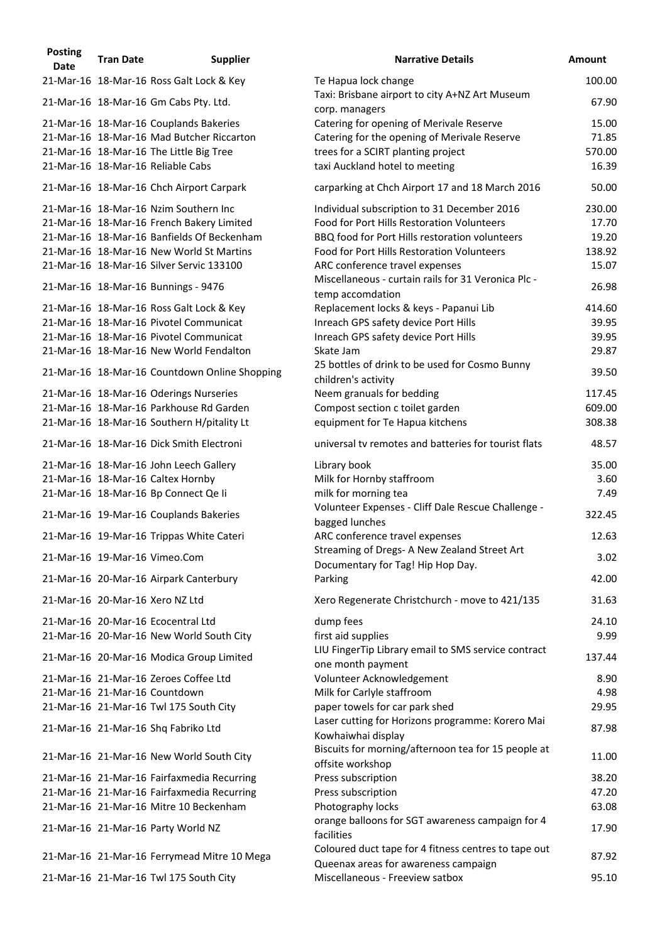| <b>Posting</b><br><b>Date</b> | <b>Tran Date</b> | <b>Supplier</b>                               | <b>Narrative Details</b>                                                                     | <b>Amount</b> |
|-------------------------------|------------------|-----------------------------------------------|----------------------------------------------------------------------------------------------|---------------|
|                               |                  | 21-Mar-16 18-Mar-16 Ross Galt Lock & Key      | Te Hapua lock change                                                                         | 100.00        |
|                               |                  | 21-Mar-16 18-Mar-16 Gm Cabs Pty. Ltd.         | Taxi: Brisbane airport to city A+NZ Art Museum<br>corp. managers                             | 67.90         |
|                               |                  | 21-Mar-16 18-Mar-16 Couplands Bakeries        | Catering for opening of Merivale Reserve                                                     | 15.00         |
|                               |                  | 21-Mar-16 18-Mar-16 Mad Butcher Riccarton     | Catering for the opening of Merivale Reserve                                                 | 71.85         |
|                               |                  | 21-Mar-16 18-Mar-16 The Little Big Tree       | trees for a SCIRT planting project                                                           | 570.00        |
|                               |                  | 21-Mar-16 18-Mar-16 Reliable Cabs             | taxi Auckland hotel to meeting                                                               | 16.39         |
|                               |                  | 21-Mar-16 18-Mar-16 Chch Airport Carpark      | carparking at Chch Airport 17 and 18 March 2016                                              | 50.00         |
|                               |                  | 21-Mar-16 18-Mar-16 Nzim Southern Inc         | Individual subscription to 31 December 2016                                                  | 230.00        |
|                               |                  | 21-Mar-16 18-Mar-16 French Bakery Limited     | Food for Port Hills Restoration Volunteers                                                   | 17.70         |
|                               |                  | 21-Mar-16 18-Mar-16 Banfields Of Beckenham    | BBQ food for Port Hills restoration volunteers                                               | 19.20         |
|                               |                  | 21-Mar-16 18-Mar-16 New World St Martins      | Food for Port Hills Restoration Volunteers                                                   | 138.92        |
|                               |                  | 21-Mar-16 18-Mar-16 Silver Servic 133100      | ARC conference travel expenses<br>Miscellaneous - curtain rails for 31 Veronica Plc -        | 15.07         |
|                               |                  | 21-Mar-16 18-Mar-16 Bunnings - 9476           | temp accomdation                                                                             | 26.98         |
|                               |                  | 21-Mar-16 18-Mar-16 Ross Galt Lock & Key      | Replacement locks & keys - Papanui Lib                                                       | 414.60        |
|                               |                  | 21-Mar-16 18-Mar-16 Pivotel Communicat        | Inreach GPS safety device Port Hills                                                         | 39.95         |
|                               |                  | 21-Mar-16 18-Mar-16 Pivotel Communicat        | Inreach GPS safety device Port Hills                                                         | 39.95         |
|                               |                  | 21-Mar-16 18-Mar-16 New World Fendalton       | Skate Jam                                                                                    | 29.87         |
|                               |                  | 21-Mar-16 18-Mar-16 Countdown Online Shopping | 25 bottles of drink to be used for Cosmo Bunny<br>children's activity                        | 39.50         |
|                               |                  | 21-Mar-16 18-Mar-16 Oderings Nurseries        | Neem granuals for bedding                                                                    | 117.45        |
|                               |                  | 21-Mar-16 18-Mar-16 Parkhouse Rd Garden       | Compost section c toilet garden                                                              | 609.00        |
|                               |                  | 21-Mar-16 18-Mar-16 Southern H/pitality Lt    | equipment for Te Hapua kitchens                                                              | 308.38        |
|                               |                  | 21-Mar-16 18-Mar-16 Dick Smith Electroni      | universal tv remotes and batteries for tourist flats                                         | 48.57         |
|                               |                  | 21-Mar-16 18-Mar-16 John Leech Gallery        | Library book                                                                                 | 35.00         |
|                               |                  | 21-Mar-16 18-Mar-16 Caltex Hornby             | Milk for Hornby staffroom                                                                    | 3.60          |
|                               |                  | 21-Mar-16 18-Mar-16 Bp Connect Qe li          | milk for morning tea                                                                         | 7.49          |
|                               |                  | 21-Mar-16 19-Mar-16 Couplands Bakeries        | Volunteer Expenses - Cliff Dale Rescue Challenge -<br>bagged lunches                         | 322.45        |
|                               |                  | 21-Mar-16 19-Mar-16 Trippas White Cateri      | ARC conference travel expenses                                                               | 12.63         |
|                               |                  | 21-Mar-16 19-Mar-16 Vimeo.Com                 | Streaming of Dregs- A New Zealand Street Art<br>Documentary for Tag! Hip Hop Day.            | 3.02          |
|                               |                  | 21-Mar-16 20-Mar-16 Airpark Canterbury        | Parking                                                                                      | 42.00         |
|                               |                  | 21-Mar-16 20-Mar-16 Xero NZ Ltd               | Xero Regenerate Christchurch - move to 421/135                                               | 31.63         |
|                               |                  | 21-Mar-16 20-Mar-16 Ecocentral Ltd            | dump fees                                                                                    | 24.10         |
|                               |                  | 21-Mar-16 20-Mar-16 New World South City      | first aid supplies                                                                           | 9.99          |
|                               |                  | 21-Mar-16 20-Mar-16 Modica Group Limited      | LIU FingerTip Library email to SMS service contract                                          | 137.44        |
|                               |                  | 21-Mar-16 21-Mar-16 Zeroes Coffee Ltd         | one month payment<br>Volunteer Acknowledgement                                               | 8.90          |
|                               |                  | 21-Mar-16 21-Mar-16 Countdown                 | Milk for Carlyle staffroom                                                                   | 4.98          |
|                               |                  | 21-Mar-16 21-Mar-16 Twl 175 South City        | paper towels for car park shed                                                               | 29.95         |
|                               |                  | 21-Mar-16 21-Mar-16 Shq Fabriko Ltd           | Laser cutting for Horizons programme: Korero Mai<br>Kowhaiwhai display                       | 87.98         |
|                               |                  | 21-Mar-16 21-Mar-16 New World South City      | Biscuits for morning/afternoon tea for 15 people at                                          | 11.00         |
|                               |                  | 21-Mar-16 21-Mar-16 Fairfaxmedia Recurring    | offsite workshop<br>Press subscription                                                       | 38.20         |
|                               |                  | 21-Mar-16 21-Mar-16 Fairfaxmedia Recurring    | Press subscription                                                                           | 47.20         |
|                               |                  | 21-Mar-16 21-Mar-16 Mitre 10 Beckenham        | Photography locks                                                                            | 63.08         |
|                               |                  |                                               | orange balloons for SGT awareness campaign for 4                                             |               |
|                               |                  | 21-Mar-16 21-Mar-16 Party World NZ            | facilities                                                                                   | 17.90         |
|                               |                  | 21-Mar-16 21-Mar-16 Ferrymead Mitre 10 Mega   | Coloured duct tape for 4 fitness centres to tape out<br>Queenax areas for awareness campaign | 87.92         |
|                               |                  | 21-Mar-16 21-Mar-16 Twl 175 South City        | Miscellaneous - Freeview satbox                                                              | 95.10         |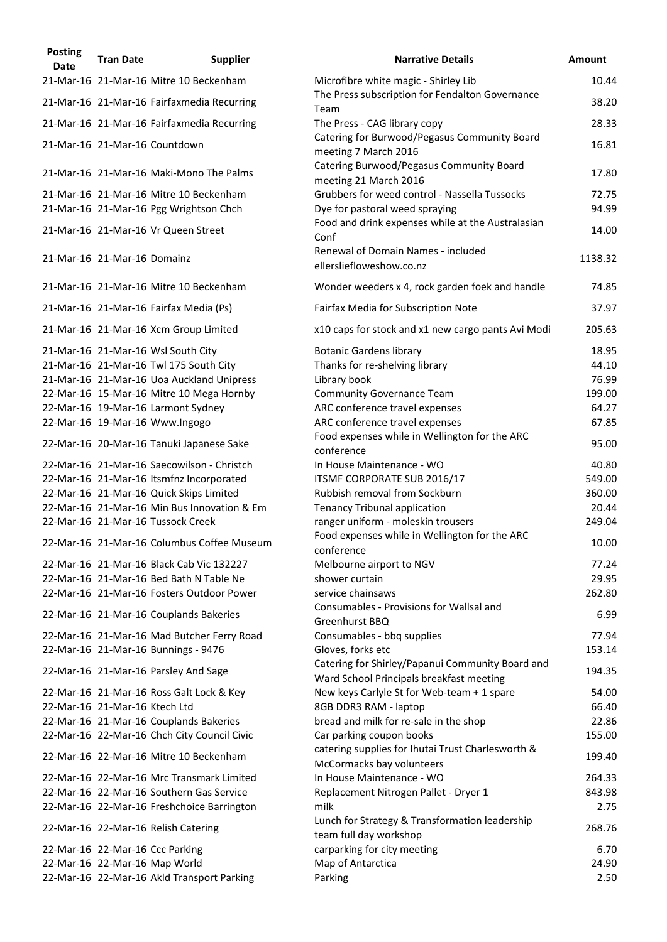| <b>Posting</b><br>Date | <b>Tran Date</b>              | <b>Supplier</b>                                                                  | <b>Narrative Details</b>                                                                    |
|------------------------|-------------------------------|----------------------------------------------------------------------------------|---------------------------------------------------------------------------------------------|
|                        |                               | 21-Mar-16 21-Mar-16 Mitre 10 Beckenham                                           | Microfibre white magic - Shirley Lib                                                        |
|                        |                               | 21-Mar-16 21-Mar-16 Fairfaxmedia Recurring                                       | The Press subscription for Fendalton Governance<br>Team                                     |
|                        |                               | 21-Mar-16 21-Mar-16 Fairfaxmedia Recurring                                       | The Press - CAG library copy                                                                |
|                        |                               | 21-Mar-16 21-Mar-16 Countdown                                                    | Catering for Burwood/Pegasus Community Board<br>meeting 7 March 2016                        |
|                        |                               | 21-Mar-16 21-Mar-16 Maki-Mono The Palms                                          | Catering Burwood/Pegasus Community Board<br>meeting 21 March 2016                           |
|                        |                               | 21-Mar-16 21-Mar-16 Mitre 10 Beckenham<br>21-Mar-16 21-Mar-16 Pgg Wrightson Chch | Grubbers for weed control - Nassella Tussocks<br>Dye for pastoral weed spraying             |
|                        |                               | 21-Mar-16 21-Mar-16 Vr Queen Street                                              | Food and drink expenses while at the Australasiar<br>Conf                                   |
|                        | 21-Mar-16 21-Mar-16 Domainz   |                                                                                  | Renewal of Domain Names - included<br>ellersliefloweshow.co.nz                              |
|                        |                               | 21-Mar-16 21-Mar-16 Mitre 10 Beckenham                                           | Wonder weeders x 4, rock garden foek and handle                                             |
|                        |                               | 21-Mar-16 21-Mar-16 Fairfax Media (Ps)                                           | Fairfax Media for Subscription Note                                                         |
|                        |                               | 21-Mar-16 21-Mar-16 Xcm Group Limited                                            | x10 caps for stock and x1 new cargo pants Avi Mo                                            |
|                        |                               | 21-Mar-16 21-Mar-16 Wsl South City                                               | <b>Botanic Gardens library</b>                                                              |
|                        |                               | 21-Mar-16 21-Mar-16 Twl 175 South City                                           | Thanks for re-shelving library                                                              |
|                        |                               | 21-Mar-16 21-Mar-16 Uoa Auckland Unipress                                        | Library book                                                                                |
|                        |                               | 22-Mar-16 15-Mar-16 Mitre 10 Mega Hornby                                         | <b>Community Governance Team</b>                                                            |
|                        |                               | 22-Mar-16 19-Mar-16 Larmont Sydney                                               | ARC conference travel expenses                                                              |
|                        |                               | 22-Mar-16 19-Mar-16 Www.Ingogo                                                   | ARC conference travel expenses                                                              |
|                        |                               | 22-Mar-16 20-Mar-16 Tanuki Japanese Sake                                         | Food expenses while in Wellington for the ARC<br>conference                                 |
|                        |                               | 22-Mar-16 21-Mar-16 Saecowilson - Christch                                       | In House Maintenance - WO                                                                   |
|                        |                               | 22-Mar-16 21-Mar-16 Itsmfnz Incorporated                                         | ITSMF CORPORATE SUB 2016/17                                                                 |
|                        |                               | 22-Mar-16 21-Mar-16 Quick Skips Limited                                          | Rubbish removal from Sockburn                                                               |
|                        |                               | 22-Mar-16 21-Mar-16 Min Bus Innovation & Em                                      | <b>Tenancy Tribunal application</b>                                                         |
|                        |                               | 22-Mar-16 21-Mar-16 Tussock Creek                                                | ranger uniform - moleskin trousers                                                          |
|                        |                               | 22-Mar-16 21-Mar-16 Columbus Coffee Museum                                       | Food expenses while in Wellington for the ARC<br>conference                                 |
|                        |                               | 22-Mar-16 21-Mar-16 Black Cab Vic 132227                                         | Melbourne airport to NGV                                                                    |
|                        |                               | 22-Mar-16 21-Mar-16 Bed Bath N Table Ne                                          | shower curtain                                                                              |
|                        |                               | 22-Mar-16 21-Mar-16 Fosters Outdoor Power                                        | service chainsaws                                                                           |
|                        |                               | 22-Mar-16 21-Mar-16 Couplands Bakeries                                           | Consumables - Provisions for Wallsal and<br>Greenhurst BBQ                                  |
|                        |                               | 22-Mar-16 21-Mar-16 Mad Butcher Ferry Road                                       | Consumables - bbq supplies                                                                  |
|                        |                               | 22-Mar-16 21-Mar-16 Bunnings - 9476                                              | Gloves, forks etc                                                                           |
|                        |                               | 22-Mar-16 21-Mar-16 Parsley And Sage                                             | Catering for Shirley/Papanui Community Board an<br>Ward School Principals breakfast meeting |
|                        |                               | 22-Mar-16 21-Mar-16 Ross Galt Lock & Key                                         | New keys Carlyle St for Web-team + 1 spare                                                  |
|                        | 22-Mar-16 21-Mar-16 Ktech Ltd |                                                                                  | 8GB DDR3 RAM - laptop                                                                       |
|                        |                               | 22-Mar-16 21-Mar-16 Couplands Bakeries                                           | bread and milk for re-sale in the shop                                                      |
|                        |                               | 22-Mar-16 22-Mar-16 Chch City Council Civic                                      | Car parking coupon books                                                                    |
|                        |                               | 22-Mar-16 22-Mar-16 Mitre 10 Beckenham                                           | catering supplies for Ihutai Trust Charlesworth &<br>McCormacks bay volunteers              |
|                        |                               | 22-Mar-16 22-Mar-16 Mrc Transmark Limited                                        | In House Maintenance - WO                                                                   |
|                        |                               | 22-Mar-16 22-Mar-16 Southern Gas Service                                         | Replacement Nitrogen Pallet - Dryer 1                                                       |
|                        |                               | 22-Mar-16 22-Mar-16 Freshchoice Barrington                                       | milk                                                                                        |
|                        |                               | 22-Mar-16 22-Mar-16 Relish Catering                                              | Lunch for Strategy & Transformation leadership<br>team full day workshop                    |
|                        |                               | 22-Mar-16 22-Mar-16 Ccc Parking                                                  | carparking for city meeting                                                                 |
|                        |                               | 22-Mar-16 22-Mar-16 Map World                                                    | Map of Antarctica                                                                           |
|                        |                               | 22-Mar-16 22-Mar-16 Akld Transport Parking                                       | Parking                                                                                     |

| POSTING<br><b>Date</b> | <b>Tran Date</b>              | <b>Supplier</b>                             | <b>Narrative Details</b>                                                                     | <b>Amount</b> |
|------------------------|-------------------------------|---------------------------------------------|----------------------------------------------------------------------------------------------|---------------|
|                        |                               | 21-Mar-16 21-Mar-16 Mitre 10 Beckenham      | Microfibre white magic - Shirley Lib                                                         | 10.44         |
|                        |                               | 21-Mar-16 21-Mar-16 Fairfaxmedia Recurring  | The Press subscription for Fendalton Governance                                              | 38.20         |
|                        |                               | 21-Mar-16 21-Mar-16 Fairfaxmedia Recurring  | Team<br>The Press - CAG library copy                                                         | 28.33         |
|                        |                               |                                             | Catering for Burwood/Pegasus Community Board                                                 |               |
|                        |                               | 21-Mar-16 21-Mar-16 Countdown               | meeting 7 March 2016                                                                         | 16.81         |
|                        |                               | 21-Mar-16 21-Mar-16 Maki-Mono The Palms     | Catering Burwood/Pegasus Community Board<br>meeting 21 March 2016                            | 17.80         |
|                        |                               | 21-Mar-16 21-Mar-16 Mitre 10 Beckenham      | Grubbers for weed control - Nassella Tussocks                                                | 72.75         |
|                        |                               | 21-Mar-16 21-Mar-16 Pgg Wrightson Chch      | Dye for pastoral weed spraying                                                               | 94.99         |
|                        |                               | 21-Mar-16 21-Mar-16 Vr Queen Street         | Food and drink expenses while at the Australasian<br>Conf                                    | 14.00         |
|                        | 21-Mar-16 21-Mar-16 Domainz   |                                             | Renewal of Domain Names - included<br>ellersliefloweshow.co.nz                               | 1138.32       |
|                        |                               | 21-Mar-16 21-Mar-16 Mitre 10 Beckenham      | Wonder weeders x 4, rock garden foek and handle                                              | 74.85         |
|                        |                               | 21-Mar-16 21-Mar-16 Fairfax Media (Ps)      | Fairfax Media for Subscription Note                                                          | 37.97         |
|                        |                               | 21-Mar-16 21-Mar-16 Xcm Group Limited       | x10 caps for stock and x1 new cargo pants Avi Modi                                           | 205.63        |
|                        |                               | 21-Mar-16 21-Mar-16 Wsl South City          | <b>Botanic Gardens library</b>                                                               | 18.95         |
|                        |                               | 21-Mar-16 21-Mar-16 Twl 175 South City      | Thanks for re-shelving library                                                               | 44.10         |
|                        |                               | 21-Mar-16 21-Mar-16 Uoa Auckland Unipress   | Library book                                                                                 | 76.99         |
|                        |                               | 22-Mar-16 15-Mar-16 Mitre 10 Mega Hornby    | <b>Community Governance Team</b>                                                             | 199.00        |
|                        |                               | 22-Mar-16 19-Mar-16 Larmont Sydney          | ARC conference travel expenses                                                               | 64.27         |
|                        |                               | 22-Mar-16 19-Mar-16 Www.Ingogo              | ARC conference travel expenses                                                               | 67.85         |
|                        |                               | 22-Mar-16 20-Mar-16 Tanuki Japanese Sake    | Food expenses while in Wellington for the ARC<br>conference                                  | 95.00         |
|                        |                               | 22-Mar-16 21-Mar-16 Saecowilson - Christch  | In House Maintenance - WO                                                                    | 40.80         |
|                        |                               | 22-Mar-16 21-Mar-16 Itsmfnz Incorporated    | ITSMF CORPORATE SUB 2016/17                                                                  | 549.00        |
|                        |                               | 22-Mar-16 21-Mar-16 Quick Skips Limited     | Rubbish removal from Sockburn                                                                | 360.00        |
|                        |                               | 22-Mar-16 21-Mar-16 Min Bus Innovation & Em | <b>Tenancy Tribunal application</b>                                                          | 20.44         |
|                        |                               | 22-Mar-16 21-Mar-16 Tussock Creek           | ranger uniform - moleskin trousers                                                           | 249.04        |
|                        |                               | 22-Mar-16 21-Mar-16 Columbus Coffee Museum  | Food expenses while in Wellington for the ARC<br>conference                                  | 10.00         |
|                        |                               | 22-Mar-16 21-Mar-16 Black Cab Vic 132227    | Melbourne airport to NGV                                                                     | 77.24         |
|                        |                               | 22-Mar-16 21-Mar-16 Bed Bath N Table Ne     | shower curtain                                                                               | 29.95         |
|                        |                               | 22-Mar-16 21-Mar-16 Fosters Outdoor Power   | service chainsaws                                                                            | 262.80        |
|                        |                               | 22-Mar-16 21-Mar-16 Couplands Bakeries      | Consumables - Provisions for Wallsal and                                                     | 6.99          |
|                        |                               |                                             | Greenhurst BBQ                                                                               |               |
|                        |                               | 22-Mar-16 21-Mar-16 Mad Butcher Ferry Road  | Consumables - bbq supplies                                                                   | 77.94         |
|                        |                               | 22-Mar-16 21-Mar-16 Bunnings - 9476         | Gloves, forks etc                                                                            | 153.14        |
|                        |                               | 22-Mar-16 21-Mar-16 Parsley And Sage        | Catering for Shirley/Papanui Community Board and<br>Ward School Principals breakfast meeting | 194.35        |
|                        |                               | 22-Mar-16 21-Mar-16 Ross Galt Lock & Key    | New keys Carlyle St for Web-team + 1 spare                                                   | 54.00         |
|                        | 22-Mar-16 21-Mar-16 Ktech Ltd |                                             | 8GB DDR3 RAM - laptop                                                                        | 66.40         |
|                        |                               | 22-Mar-16 21-Mar-16 Couplands Bakeries      | bread and milk for re-sale in the shop                                                       | 22.86         |
|                        |                               | 22-Mar-16 22-Mar-16 Chch City Council Civic | Car parking coupon books                                                                     | 155.00        |
|                        |                               | 22-Mar-16 22-Mar-16 Mitre 10 Beckenham      | catering supplies for Ihutai Trust Charlesworth &<br>McCormacks bay volunteers               | 199.40        |
|                        |                               | 22-Mar-16 22-Mar-16 Mrc Transmark Limited   | In House Maintenance - WO                                                                    | 264.33        |
|                        |                               | 22-Mar-16 22-Mar-16 Southern Gas Service    | Replacement Nitrogen Pallet - Dryer 1                                                        | 843.98        |
|                        |                               | 22-Mar-16 22-Mar-16 Freshchoice Barrington  | milk                                                                                         | 2.75          |
|                        |                               | 22-Mar-16 22-Mar-16 Relish Catering         | Lunch for Strategy & Transformation leadership<br>team full day workshop                     | 268.76        |
|                        |                               | 22-Mar-16 22-Mar-16 Ccc Parking             | carparking for city meeting                                                                  | 6.70          |
|                        |                               | 22-Mar-16 22-Mar-16 Map World               | Map of Antarctica                                                                            | 24.90         |
|                        |                               | 22-Mar-16 22-Mar-16 Akld Transport Parking  | Parking                                                                                      | 2.50          |
|                        |                               |                                             |                                                                                              |               |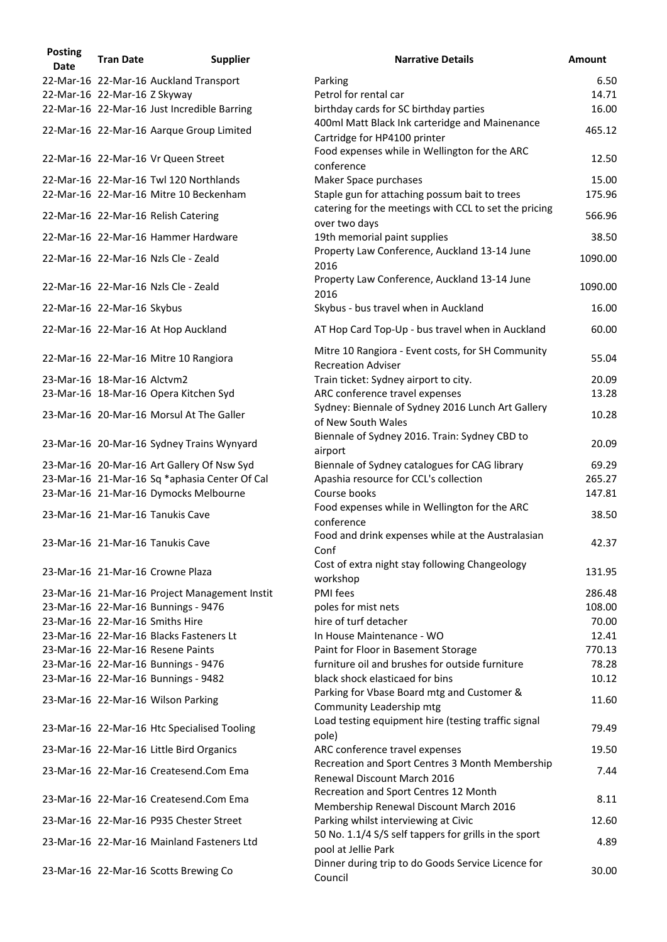| <b>Posting</b><br><b>Date</b> | <b>Tran Date</b>             | <b>Supplier</b>                               | <b>Narrative Details</b>                                                                              | <b>Amount</b> |
|-------------------------------|------------------------------|-----------------------------------------------|-------------------------------------------------------------------------------------------------------|---------------|
|                               |                              | 22-Mar-16 22-Mar-16 Auckland Transport        | Parking                                                                                               | 6.50          |
|                               | 22-Mar-16 22-Mar-16 Z Skyway |                                               | Petrol for rental car                                                                                 | 14.71         |
|                               |                              | 22-Mar-16 22-Mar-16 Just Incredible Barring   | birthday cards for SC birthday parties                                                                | 16.00         |
|                               |                              | 22-Mar-16 22-Mar-16 Aarque Group Limited      | 400ml Matt Black Ink carteridge and Mainenance<br>Cartridge for HP4100 printer                        | 465.12        |
|                               |                              | 22-Mar-16 22-Mar-16 Vr Queen Street           | Food expenses while in Wellington for the ARC<br>conference                                           | 12.50         |
|                               |                              | 22-Mar-16 22-Mar-16 Twl 120 Northlands        | Maker Space purchases                                                                                 | 15.00         |
|                               |                              | 22-Mar-16 22-Mar-16 Mitre 10 Beckenham        | Staple gun for attaching possum bait to trees                                                         | 175.96        |
|                               |                              | 22-Mar-16 22-Mar-16 Relish Catering           | catering for the meetings with CCL to set the pricing<br>over two days                                | 566.96        |
|                               |                              | 22-Mar-16 22-Mar-16 Hammer Hardware           | 19th memorial paint supplies                                                                          | 38.50         |
|                               |                              |                                               | Property Law Conference, Auckland 13-14 June                                                          |               |
|                               |                              | 22-Mar-16 22-Mar-16 Nzls Cle - Zeald          | 2016                                                                                                  | 1090.00       |
|                               |                              | 22-Mar-16 22-Mar-16 Nzls Cle - Zeald          | Property Law Conference, Auckland 13-14 June<br>2016                                                  | 1090.00       |
|                               | 22-Mar-16 22-Mar-16 Skybus   |                                               | Skybus - bus travel when in Auckland                                                                  | 16.00         |
|                               |                              |                                               |                                                                                                       |               |
|                               |                              | 22-Mar-16 22-Mar-16 At Hop Auckland           | AT Hop Card Top-Up - bus travel when in Auckland<br>Mitre 10 Rangiora - Event costs, for SH Community | 60.00         |
|                               |                              | 22-Mar-16 22-Mar-16 Mitre 10 Rangiora         | <b>Recreation Adviser</b>                                                                             | 55.04         |
|                               | 23-Mar-16 18-Mar-16 Alctvm2  |                                               | Train ticket: Sydney airport to city.                                                                 | 20.09         |
|                               |                              | 23-Mar-16 18-Mar-16 Opera Kitchen Syd         | ARC conference travel expenses                                                                        | 13.28         |
|                               |                              | 23-Mar-16 20-Mar-16 Morsul At The Galler      | Sydney: Biennale of Sydney 2016 Lunch Art Gallery<br>of New South Wales                               | 10.28         |
|                               |                              | 23-Mar-16 20-Mar-16 Sydney Trains Wynyard     | Biennale of Sydney 2016. Train: Sydney CBD to<br>airport                                              | 20.09         |
|                               |                              | 23-Mar-16 20-Mar-16 Art Gallery Of Nsw Syd    | Biennale of Sydney catalogues for CAG library                                                         | 69.29         |
|                               |                              | 23-Mar-16 21-Mar-16 Sq *aphasia Center Of Cal | Apashia resource for CCL's collection                                                                 | 265.27        |
|                               |                              | 23-Mar-16 21-Mar-16 Dymocks Melbourne         | Course books                                                                                          | 147.81        |
|                               |                              | 23-Mar-16 21-Mar-16 Tanukis Cave              | Food expenses while in Wellington for the ARC<br>conference                                           | 38.50         |
|                               |                              | 23-Mar-16 21-Mar-16 Tanukis Cave              | Food and drink expenses while at the Australasian<br>Conf                                             | 42.37         |
|                               |                              | 23-Mar-16 21-Mar-16 Crowne Plaza              | Cost of extra night stay following Changeology<br>workshop                                            | 131.95        |
|                               |                              | 23-Mar-16 21-Mar-16 Project Management Instit | PMI fees                                                                                              | 286.48        |
|                               |                              | 23-Mar-16 22-Mar-16 Bunnings - 9476           | poles for mist nets                                                                                   | 108.00        |
|                               |                              | 23-Mar-16 22-Mar-16 Smiths Hire               | hire of turf detacher                                                                                 | 70.00         |
|                               |                              | 23-Mar-16 22-Mar-16 Blacks Fasteners Lt       | In House Maintenance - WO                                                                             | 12.41         |
|                               |                              | 23-Mar-16 22-Mar-16 Resene Paints             | Paint for Floor in Basement Storage                                                                   | 770.13        |
|                               |                              | 23-Mar-16 22-Mar-16 Bunnings - 9476           | furniture oil and brushes for outside furniture                                                       | 78.28         |
|                               |                              | 23-Mar-16 22-Mar-16 Bunnings - 9482           | black shock elasticaed for bins                                                                       | 10.12         |
|                               |                              | 23-Mar-16 22-Mar-16 Wilson Parking            | Parking for Vbase Board mtg and Customer &<br>Community Leadership mtg                                | 11.60         |
|                               |                              | 23-Mar-16 22-Mar-16 Htc Specialised Tooling   | Load testing equipment hire (testing traffic signal<br>pole)                                          | 79.49         |
|                               |                              | 23-Mar-16 22-Mar-16 Little Bird Organics      | ARC conference travel expenses                                                                        | 19.50         |
|                               |                              |                                               | Recreation and Sport Centres 3 Month Membership                                                       |               |
|                               |                              | 23-Mar-16 22-Mar-16 Createsend.Com Ema        | Renewal Discount March 2016                                                                           | 7.44          |
|                               |                              | 23-Mar-16 22-Mar-16 Createsend.Com Ema        | Recreation and Sport Centres 12 Month<br>Membership Renewal Discount March 2016                       | 8.11          |
|                               |                              | 23-Mar-16 22-Mar-16 P935 Chester Street       | Parking whilst interviewing at Civic                                                                  | 12.60         |
|                               |                              | 23-Mar-16 22-Mar-16 Mainland Fasteners Ltd    | 50 No. 1.1/4 S/S self tappers for grills in the sport<br>pool at Jellie Park                          | 4.89          |
|                               |                              | 23-Mar-16 22-Mar-16 Scotts Brewing Co         | Dinner during trip to do Goods Service Licence for<br>Council                                         | 30.00         |